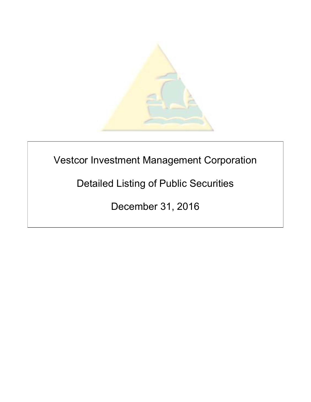

# Vestcor Investment Management Corporation

Detailed Listing of Public Securities

December 31, 2016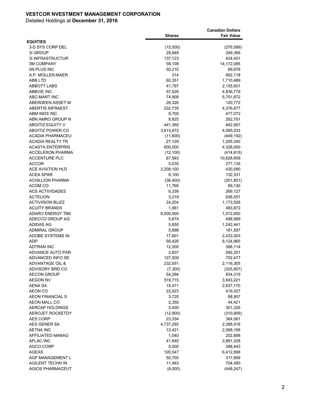|                         |               | <b>Canadian Dollars</b> |
|-------------------------|---------------|-------------------------|
| <b>EQUITIES</b>         | <b>Shares</b> | <b>Fair Value</b>       |
| 3-D SYS CORP DEL        | (15,500)      | (276, 589)              |
| 3I GROUP                | 29,948        | 349,366                 |
| <b>3I INFRASTRUCTUR</b> | 137,123       | 424,451                 |
| <b>3M COMPANY</b>       | 59,108        | 14,172,085              |
| 5N PLUS INC             | 50,210        | 89,876                  |
| A.P. MOLLER-MAER        | 314           | 662,118                 |
| ABB LTD                 | 60,351        | 1,710,489               |
| <b>ABBOTT LABS</b>      | 41,797        | 2,155,601               |
| <b>ABBVIE INC</b>       | 57,526        | 4,836,779               |
| <b>ABC-MART INC</b>     | 74,908        | 5,701,672               |
| ABERDEEN ASSET M        | 28,326        | 120,772                 |
| <b>ABERTIS INFRAEST</b> | 232,735       | 4,376,677               |
| ABM INDS INC            | 8,700         | 477,072                 |
| ABN AMRO GROUP N        | 8,825         | 262,761                 |
| <b>ABOITIZ EQUITY V</b> | 441,360       | 842,957                 |
| ABOITIZ POWER CO        | 3,613,672     | 4,065,033               |
| <b>ACADIA PHARMACEU</b> | (11,600)      | (449, 192)              |
| ACADIA REALTY TR        | 27,129        | 1,205,340               |
| <b>ACASTA ENTERPRIS</b> | 600,000       | 4,328,000               |
| <b>ACCELERON PHARMA</b> | (12, 100)     | (414, 615)              |
| <b>ACCENTURE PLC</b>    | 67,583        | 10,628,809              |
| <b>ACCOR</b>            | 5,530         | 277,135                 |
| ACE AVIATION HLD        | 2,208,100     | 430,580                 |
| <b>ACEA SPAR</b>        | 8,100         | 132,331                 |
| <b>ACHILLION PHARMA</b> | (36, 400)     | (201, 851)              |
| ACOM CO                 | 11,766        | 69,130                  |
| <b>ACS ACTIVIDADES</b>  | 6,338         | 269,127                 |
| <b>ACTELION</b>         | 3,219         | 936,551                 |
| <b>ACTIVISION BLIZZ</b> | 24,204        | 1,173,528               |
| <b>ACUITY BRANDS</b>    | 1,561         | 483,872                 |
| <b>ADARO ENERGY TBK</b> | 6,000,500     | 1,012,400               |
| ADECCO GROUP AG         | 5,674         | 498,989                 |
| ADIDAS AG               | 5,850         | 1,242,441               |
| <b>ADMIRAL GROUP</b>    | 5,998         | 181,587                 |
| ADOBE SYSTEMS IN        | 17,601        | 2,433,003               |
| ADP                     | 56,426        | 8,124,965               |
| <b>ADTRAN INC</b>       | 12,200        | 366,114                 |
| ADVANCE AUTO PAR        | 2,607         | 592,201                 |
| <b>ADVANCED INFO SE</b> | 127,500       | 702,477                 |
| ADVANTAGE OIL &         | 232,051       | 2,116,305               |
| ADVISORY BRD CO         | (7,300)       | (325, 907)              |
| <b>AECON GROUP</b>      | 54,294        | 834,319                 |
| <b>AEGON NV</b>         | 519,715       | 3,843,221               |
| AENA SA                 | 15,471        | 2,837,170               |
| AEON CO                 | 22,023        | 419,327                 |
| <b>AEON FINANCIAL S</b> | 3,725         | 88,957                  |
| <b>AEON MALL CO</b>     | 2,350         | 44,421                  |
| <b>AERCAP HOLDINGS</b>  | 5,400         | 301,326                 |
| <b>AEROJET ROCKETDY</b> | (12,900)      | (310,909)               |
| <b>AES CORP</b>         | 23,334        | 364,061                 |
| AES GENER SA            | 4,737,292     | 2,268,918               |
| AETNA INC               | 12,421        | 2,068,199               |
| AFFILIATED MANAG        | 1,040         | 202,898                 |
| AFLAC INC               | 41,640        | 3,891,338               |
| <b>AGCO CORP</b>        | 5,000         | 388,443                 |
| AGEAS                   | 120,547       | 6,412,896               |
| AGF MANAGEMENT L        | 50,700        | 317,889                 |
| AGILENT TECHN IN        | 11,483        | 704,490                 |
| <b>AGIOS PHARMACEUT</b> | (8,000)       | (448, 247)              |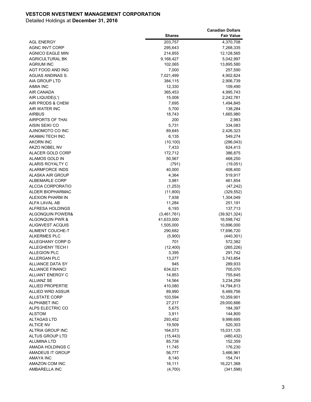|                                                    |                   | <b>Canadian Dollars</b> |
|----------------------------------------------------|-------------------|-------------------------|
|                                                    | <b>Shares</b>     | <b>Fair Value</b>       |
| <b>AGL ENERGY</b>                                  | 203,757           | 4,370,708               |
| <b>AGNC INVT CORP</b>                              | 295,643           | 7,268,335               |
| <b>AGNICO EAGLE MIN</b>                            | 214,855           | 12,128,565              |
| <b>AGRICULTURAL BK</b>                             | 9,168,427         | 5,042,997               |
| <b>AGRIUM INC</b>                                  | 102,065           | 13,895,580              |
| AGT FOOD AND ING                                   | 7,000             | 257,590                 |
| AGUAS ANDINAS S.                                   | 7,021,499         | 4,902,624               |
| AIA GROUP LTD                                      | 384,115           | 2,906,739               |
| AIMIA INC                                          | 12,330            | 109,490                 |
| AIR CANADA                                         | 365,453           | 4,995,743               |
| AIR LIQUIDE(L')                                    | 15,008            | 2,242,781               |
| AIR PRODS & CHEM                                   | 7,695             | 1,494,845               |
| AIR WATER INC                                      | 5,700             | 138,284                 |
| <b>AIRBUS</b>                                      | 18,743            | 1,665,980               |
| <b>AIRPORTS OF THAI</b>                            | 200               | 2,983                   |
| AISIN SEIKI CO                                     | 5,731             | 334,083                 |
| AJINOMOTO CO INC                                   | 89,645            | 2,426,323               |
| <b>AKAMAI TECH INC</b>                             | 6,135             | 549,274                 |
| <b>AKORN INC</b>                                   | (10, 100)         | (296, 043)              |
| AKZO NOBEL NV                                      | 7,433             | 624,413                 |
| ALACER GOLD CORP                                   | 172,712           | 386,875                 |
| ALAMOS GOLD IN                                     | 50,567            | 468,250                 |
| ALARIS ROYALTY C                                   | (791)             | (19,051)                |
| <b>ALARMFORCE INDS</b>                             | 40,000            | 408,400                 |
| ALASKA AIR GROUP                                   | 4,364             | 519,917                 |
| <b>ALBEMARLE CORP</b>                              | 3,981             | 461,854                 |
| ALCOA CORPORATIO                                   | (1, 253)          | (47, 242)               |
| ALDER BIOPHARMAC                                   | (11,800)          | (329, 552)              |
| ALEXION PHARM IN                                   | 7,938             | 1,304,049               |
| ALFA LAVAL AB                                      | 11,284            | 251,191                 |
| ALFRESA HOLDINGS                                   | 6,193             | 137,713                 |
| <b>ALGONQUIN POWER&amp;</b>                        | (3,461,761)       | (39, 921, 324)          |
| ALGONQUIN PWR &                                    | 41,633,000        | 16,598,742              |
| ALIGNVEST ACQUIS                                   | 1,505,000         | 10,896,000              |
| <b>ALIMENT COUCHE-T</b>                            | 290,682           | 17,696,720              |
| <b>ALKERMES PLC</b>                                | (5,900)           | (440, 301)              |
| ALLEGHANY CORP D                                   | 701               | 572,382                 |
| ALLEGHENY TECH I                                   | (12, 400)         | (265, 226)              |
| <b>ALLEGION PLC</b>                                | 3,395             | 291,742                 |
| <b>ALLERGAN PLC</b>                                | 13,277            | 3,743,854               |
| <b>ALLIANCE DATA SY</b>                            | 945               | 289,933                 |
| <b>ALLIANCE FINANCI</b><br><b>ALLIANT ENERGY C</b> | 634,021<br>14,853 | 705,070<br>755,645      |
|                                                    |                   |                         |
| <b>ALLIANZ SE</b><br><b>ALLIED PROPERTIE</b>       | 14,564            | 3,234,259               |
| ALLIED WRD ASSUR                                   | 410,080<br>89,990 | 14,794,813<br>6,489,756 |
| <b>ALLSTATE CORP</b>                               | 103,594           | 10,359,901              |
| <b>ALPHABET INC</b>                                | 27,217            | 29,000,666              |
| ALPS ELECTRIC CO                                   | 5,675             | 184,397                 |
| <b>ALSTOM</b>                                      | 3,911             | 144,800                 |
| <b>ALTAGAS LTD</b>                                 | 293,452           | 9,999,695               |
| <b>ALTICE NV</b>                                   | 19,509            | 520,303                 |
| ALTRIA GROUP INC                                   | 164,073           | 15,031,125              |
| ALTUS GROUP LTD                                    | (15, 443)         | (480, 432)              |
| ALUMINA LTD                                        | 85,738            | 152,359                 |
| AMADA HOLDINGS C                                   | 11,745            | 176,230                 |
| AMADEUS IT GROUP                                   | 56,777            | 3,466,961               |
| AMAYA INC                                          | 8,140             | 154,741                 |
| AMAZON COM INC                                     | 16,111            | 16,221,368              |
| AMBARELLA INC                                      | (4,700)           | (341,598)               |
|                                                    |                   |                         |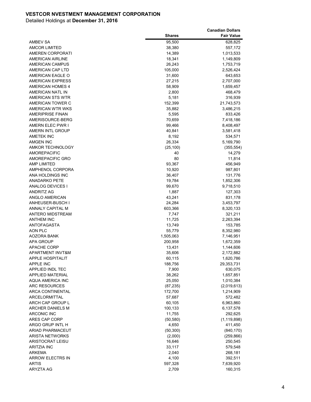|                         |               | <b>Canadian Dollars</b> |
|-------------------------|---------------|-------------------------|
|                         | <b>Shares</b> | <b>Fair Value</b>       |
| AMBEV SA                | 95,500        | 628,825                 |
| <b>AMCOR LIMITED</b>    | 38,380        | 557,172                 |
| <b>AMEREN CORPORATI</b> | 14,389        | 1,013,533               |
| AMERICAN AIRLINE        | 18,341        | 1,149,809               |
| AMERICAN CAMPUS         | 26,243        | 1,753,719               |
| AMERICAN CAP LTD        | 105,000       | 2,526,424               |
| AMERICAN EAGLE O        | 31,600        | 643,653                 |
| AMERICAN EXPRESS        | 27,215        | 2,707,000               |
| <b>AMERICAN HOMES 4</b> | 58,909        | 1,659,457               |
| AMERICAN NATL IN        | 2,800         | 468,479                 |
| AMERICAN STS WTR        | 5,181         | 316,939                 |
| AMERICAN TOWER C        | 152,399       | 21,743,573              |
| AMERICAN WTR WKS        | 35,882        | 3,486,215               |
| <b>AMERIPRISE FINAN</b> | 5,595         | 833,426                 |
| AMERISOURCE-BERG        | 70,659        | 7,418,186               |
| AMERN ELEC PWR I        | 99,466        | 8,408,497               |
| AMERN INTL GROUP        | 40,841        | 3,581,418               |
| AMETEK INC              | 8,192         | 534,571                 |
| <b>AMGEN INC</b>        | 26,334        | 5,169,790               |
| <b>AMKOR TECHNOLOGY</b> | (25, 100)     | (355, 554)              |
| <b>AMOREPACIFIC</b>     | 40            | 14,279                  |
| AMOREPACIFIC GRO        | 80            | 11,814                  |
| <b>AMP LIMITED</b>      | 93,367        | 456,949                 |
| AMPHENOL CORPORA        | 10,920        | 987,801                 |
| ANA HOLDINGS INC        | 36,407        | 131,776                 |
| ANADARKO PETE           | 19,784        | 1,852,306               |
| ANALOG DEVICES I        | 99,670        | 9,718,510               |
| ANDRITZ AG              | 1,887         | 127,303                 |
| ANGLO AMERICAN          | 43,241        | 831,178                 |
| ANHEUSER-BUSCH I        | 24,284        | 3,453,797               |
| ANNALY CAPITAL M        | 603,366       | 8,320,133               |
| ANTERO MIDSTREAM        | 7,747         | 321,211                 |
| ANTHEM INC              | 11,725        | 2,263,394               |
| <b>ANTOFAGASTA</b>      | 13,749        | 153,785                 |
| <b>AON PLC</b>          | 55,779        | 8,352,980               |
| AOZORA BANK             | 1,505,063     | 7,146,951               |
| APA GROUP               | 200,958       | 1,672,359               |
| <b>APACHE CORP</b>      | 13,431        | 1,144,606               |
| APARTMENT INVT&M        | 35,606        | 2,172,882               |
| <b>APPLE HOSPITALIT</b> | 60,115        | 1,620,786               |
| <b>APPLE INC</b>        | 188,756       | 29,353,731              |
| APPLIED INDL TEC        | 7,900         | 630,075                 |
| APPLIED MATERIAL        | 38,262        | 1,657,851               |
| <b>AQUA AMERICA INC</b> | 25,050        | 1,010,384               |
| <b>ARC RESOURCES</b>    | (87, 235)     | (2,019,613)             |
| ARCA CONTINENTAL        | 172,700       | 1,214,909               |
| ARCELORMITTAL           | 57,687        | 572,482                 |
| ARCH CAP GROUP L        | 60,105        | 6,963,860               |
| <b>ARCHER DANIELS M</b> | 100,133       | 6,137,578               |
| <b>ARCONIC INC</b>      | 11,755        | 292,625                 |
| ARES CAP CORP           | (50, 580)     | (1, 119, 898)           |
| ARGO GRUP INTL H        | 4,650         | 411,450                 |
| <b>ARIAD PHARMACEUT</b> | (50, 300)     | (840, 170)              |
| <b>ARISTA NETWORKS</b>  | (2,000)       | (259, 866)              |
| ARISTOCRAT LEISU        | 16,646        | 250,545                 |
| ARITZIA INC             | 33,117        | 579,548                 |
| ARKEMA                  | 2,040         | 268,181                 |
| <b>ARROW ELECTRS IN</b> | 4,100         | 392,511                 |
| <b>ARTIS</b>            | 597,328       | 7,639,920               |
| ARYZTA AG               | 2,709         | 160,315                 |
|                         |               |                         |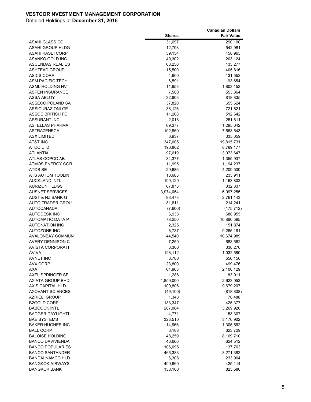|                         |               | <b>Canadian Dollars</b> |
|-------------------------|---------------|-------------------------|
|                         | <b>Shares</b> | <b>Fair Value</b>       |
| ASAHI GLASS CO          | 31,697        | 290,100                 |
| ASAHI GROUP HLDG        | 12,798        | 542,981                 |
| ASAHI KASEI CORP        | 39,154        | 458,965                 |
| ASANKO GOLD INC         | 49,302        | 203,124                 |
| <b>ASCENDAS REAL ES</b> | 63,250        | 133,277                 |
| <b>ASHTEAD GROUP</b>    | 15,500        | 405,816                 |
| <b>ASICS CORP</b>       | 4,900         | 131,552                 |
| ASM PACIFIC TECH        | 6,591         | 93,654                  |
| ASML HOLDING NV         | 11,953        | 1,803,152               |
| <b>ASPEN INSURANCE</b>  | 7,500         | 553,864                 |
| ASSA ABLOY              | 32,803        | 818,835                 |
| ASSECO POLAND SA        | 37,820        | 655,624                 |
| <b>ASSICURAZIONI GE</b> | 36,126        | 721,521                 |
| <b>ASSOC BRITISH FO</b> | 11,268        | 512,542                 |
| <b>ASSURANT INC</b>     | 2,018         | 251,611                 |
| ASTELLAS PHARMA         | 69,377        | 1,295,042               |
| <b>ASTRAZENECA</b>      | 102,860       | 7,563,543               |
| <b>ASX LIMITED</b>      | 6,937         | 335,059                 |
| AT&T INC                | 347,005       | 19,815,731              |
| <b>ATCO LTD</b>         | 196,802       | 8,789,177               |
| ATLANTIA                | 97,619        | 3,073,647               |
| ATLAS COPCO AB          | 34,377        | 1,355,937               |
| <b>ATMOS ENERGY COR</b> | 11,995        | 1,194,237               |
| ATOS SE                 | 29,686        | 4,209,500               |
| ATS AUTOM TOOLIN        | 18,683        | 233,911                 |
| AUCKLAND INTL           | 199,129       | 1,163,802               |
| <b>AURIZON HLDGS</b>    | 67,873        | 332,837                 |
| <b>AUSNET SERVICES</b>  | 3,974,054     | 6,097,255               |
| AUST & NZ BANK G        | 93,473        | 2,761,143               |
| AUTO TRADER GROU        | 31,611        | 214,241                 |
| <b>AUTOCANADA</b>       | (7,600)       | (175, 712)              |
| <b>AUTODESK INC</b>     | 6,933         | 688,955                 |
| AUTOMATIC DATA P        | 78,250        | 10,860,585              |
| <b>AUTONATION INC</b>   | 2,325         | 151,874                 |
| <b>AUTOZONE INC</b>     | 8,737         | 9,265,161               |
| <b>AVALONBAY COMMUN</b> | 44,540        | 10,674,989              |
| <b>AVERY DENNISON C</b> | 7,250         | 683,562                 |
| AVISTA CORPORATI        | 6,300         | 338,276                 |
| AVIVA                   | 128,112       | 1,032,580               |
| AVNET INC               | 8,700         | 556,156                 |
| AVX CORP                | 23,800        | 499,476                 |
| AXA                     | 61,903        | 2,100,129               |
| AXEL SPRINGER SE        | 1,286         | 83,911                  |
| AXIATA GROUP BHD        | 1,859,000     | 2,623,053               |
| AXIS CAPITAL HLD        | 109,806       | 9,679,207               |
| <b>AXOVANT SCIENCES</b> | (49, 100)     | (818, 808)              |
| <b>AZRIELI GROUP</b>    | 1,348         | 78,488                  |
| B2GOLD CORP             | 133,347       | 425,377                 |
| <b>BABCOCK INTL</b>     | 207,064       | 3,269,926               |
| <b>BADGER DAYLIGHTI</b> | 4,771         | 153,307                 |
| <b>BAE SYSTEMS</b>      | 323,510       | 3,170,902               |
| <b>BAKER HUGHES INC</b> | 14,966        | 1,305,562               |
| <b>BALL CORP</b>        | 6,188         | 623,729                 |
| <b>BALOISE HOLDING</b>  | 48,259        | 8,169,710               |
| <b>BANCO DAVIVIENDA</b> | 46,600        | 624,512                 |
| <b>BANCO POPULAR ES</b> | 106,095       | 137,763                 |
| <b>BANCO SANTANDER</b>  | 466,383       | 3,271,382               |
| <b>BANDAI NAMCO HLD</b> | 6,308         | 233,904                 |
| <b>BANGKOK AIRWAYS</b>  | 499,660       | 425,114                 |
| <b>BANGKOK BANK</b>     | 138,100       | 825,580                 |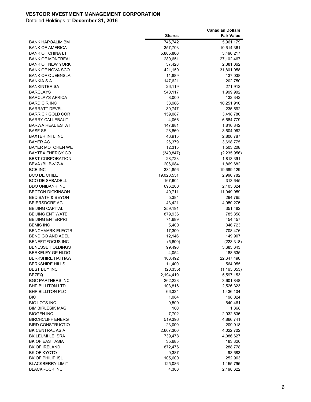|                                                   |                        | <b>Canadian Dollars</b>    |
|---------------------------------------------------|------------------------|----------------------------|
|                                                   | <b>Shares</b>          | <b>Fair Value</b>          |
| <b>BANK HAPOALIM BM</b>                           | 746,742                | 5,961,179                  |
| <b>BANK OF AMERICA</b>                            | 357,703                | 10,614,361                 |
| <b>BANK OF CHINA LT</b>                           | 5,865,800              | 3,490,217                  |
| <b>BANK OF MONTREAL</b>                           | 280,651                | 27,102,467                 |
| <b>BANK OF NEW YORK</b>                           | 37,428                 | 2,381,062                  |
| <b>BANK OF NOVA SCO</b>                           | 421,150                | 31,801,058                 |
| <b>BANK OF QUEENSLA</b>                           | 11,889                 | 137,038                    |
| BANKIA S.A                                        | 147,621                | 202,750                    |
| <b>BANKINTER SA</b>                               | 26,119                 | 271,912                    |
| <b>BARCLAYS</b>                                   | 540,117                | 1,999,902                  |
| <b>BARCLAYS AFRICA</b>                            | 8,000                  | 132,342                    |
| <b>BARD C R INC</b>                               | 33,986                 | 10,251,910                 |
| <b>BARRATT DEVEL</b>                              | 30,747                 | 235,592                    |
| <b>BARRICK GOLD COR</b>                           | 159,087                | 3,418,780                  |
| <b>BARRY CALLEBAUT</b>                            | 4,066                  | 6,684,779                  |
| <b>BARWA REAL ESTAT</b>                           | 147,881                | 1,810,842                  |
| <b>BASF SE</b>                                    | 28,860                 | 3,604,962                  |
| <b>BAXTER INTL INC</b>                            | 46,915                 | 2,800,787                  |
| <b>BAYER AG</b>                                   | 26,379                 | 3,698,775                  |
| <b>BAYER MOTOREN WE</b>                           | 12,315                 | 1,503,208                  |
| <b>BAYTEX ENERGY CO</b>                           | (340, 847)             | (2,235,956)                |
| <b>BB&amp;T CORPORATION</b>                       | 28,723                 | 1,813,391                  |
| BBVA (BILB-VIZ-A                                  | 206,084                | 1,869,682                  |
| <b>BCE INC</b>                                    | 334,856                | 19,689,129                 |
| <b>BCO DE CHILE</b>                               | 19,028,551             | 2,990,782                  |
| <b>BCO DE SABADELL</b>                            | 167,604                | 313,645                    |
| <b>BDO UNIBANK INC</b>                            | 696,200                | 2,105,324                  |
| <b>BECTON DICKINSON</b>                           | 49,711                 | 11,049,959                 |
| <b>BED BATH &amp; BEYON</b>                       | 5,384                  | 294,765                    |
| <b>BEIERSDORF AG</b>                              | 43,421                 | 4,950,275                  |
| <b>BEIJING CAPITAL</b>                            | 259,191                | 351,482                    |
| <b>BEIJING ENT WATE</b>                           | 879,936                | 785,358                    |
| <b>BEIJING ENTERPRI</b>                           | 71,689                 | 454,457                    |
| <b>BEMIS INC</b>                                  | 5,400                  | 346,723                    |
| <b>BENCHMARK ELECTR</b>                           | 17,300                 | 708,476                    |
| <b>BENDIGO AND ADEL</b>                           | 12,146                 | 149,907                    |
| <b>BENEFITFOCUS INC</b>                           | (5,600)                | (223, 318)                 |
| <b>BENESSE HOLDINGS</b>                           | 99,496                 | 3,683,643                  |
| <b>BERKELEY GP HLDG</b>                           | 4,054                  | 188,635                    |
| <b>BERKSHIRE HATHAW</b><br><b>BERKSHIRE HILLS</b> | 103,492<br>11,400      | 22,647,490                 |
| <b>BEST BUY INC</b>                               |                        | 564,055                    |
| <b>BEZEQ</b>                                      | (20, 335)<br>2,194,419 | (1, 165, 053)<br>5,597,153 |
| <b>BGC PARTNERS INC</b>                           | 262,223                |                            |
| <b>BHP BILLITON LTD</b>                           | 103,816                | 3,601,848<br>2,526,323     |
| <b>BHP BILLITON PLC</b>                           | 66,334                 | 1,436,104                  |
| BIC                                               | 1,084                  | 198,024                    |
| <b>BIG LOTS INC</b>                               | 9,500                  | 640,461                    |
| <b>BIM BIRLESIK MAG</b>                           | 100                    | 1,868                      |
| <b>BIOGEN INC</b>                                 | 7,702                  | 2,932,636                  |
| <b>BIRCHCLIFF ENERG</b>                           | 519,396                | 4,866,741                  |
| <b>BIRD CONSTRUCTIO</b>                           | 23,000                 | 209,918                    |
| BK CENTRAL ASIA                                   | 2,607,300              | 4,022,702                  |
| BK LEUMI LE ISRA                                  | 739,478                | 4,086,627                  |
| BK OF EAST ASIA                                   | 35,685                 | 183,320                    |
| <b>BK OF IRELAND</b>                              | 872,476                | 288,778                    |
| BK OF KYOTO                                       | 9,387                  | 93,683                     |
| BK OF PHILIP ISL                                  | 105,600                | 252,963                    |
| <b>BLACKBERRY LIMIT</b>                           | 125,086                | 1,155,795                  |
| <b>BLACKROCK INC</b>                              | 4,303                  | 2,198,622                  |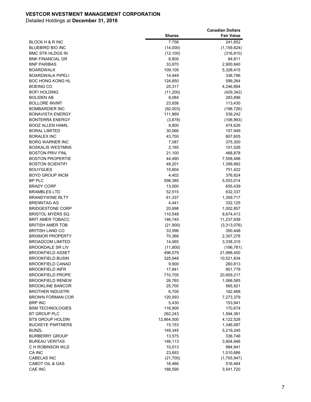|                         |               | <b>Canadian Dollars</b> |
|-------------------------|---------------|-------------------------|
|                         | <b>Shares</b> | <b>Fair Value</b>       |
| BLOCK H & R INC         | 7,756         | 241,852                 |
| <b>BLUEBIRD BIO INC</b> | (14,000)      | (1, 159, 824)           |
| <b>BMC STK HLDGS IN</b> | (12, 100)     | (316, 810)              |
| <b>BNK FINANCIAL GR</b> | 8,800         | 84,811                  |
| <b>BNP PARIBAS</b>      | 33,870        | 2,900,840               |
| <b>BOARDWALK</b>        | 109,105       | 5,328,415               |
| <b>BOARDWALK PIPELI</b> | 14,449        | 336,796                 |
| <b>BOC HONG KONG HL</b> | 124,850       | 599,264                 |
| <b>BOEING CO</b>        | 20,317        | 4,246,894               |
| <b>BOFI HOLDING</b>     | (11, 200)     | (429, 342)              |
| <b>BOLIDEN AB</b>       | 8,084         | 283,896                 |
| <b>BOLLORE INVMT</b>    | 23,938        | 113,430                 |
| <b>BOMBARDIER INC</b>   | (92,003)      | (198, 726)              |
| <b>BONAVISTA ENERGY</b> | 111,869       | 539,242                 |
| <b>BONTERRA ENERGY</b>  | (3,678)       | (106, 993)              |
| <b>BOOZ ALLEN HAMIL</b> | 9,800         | 474,626                 |
| <b>BORAL LIMITED</b>    | 30,066        | 157,949                 |
| <b>BORALEX INC</b>      | 43,700        | 807,605                 |
| <b>BORG WARNER INC</b>  | 7,087         | 375,300                 |
| <b>BOSKALIS WESTMNS</b> | 2,165         | 101,026                 |
| <b>BOSTON PRIV FINL</b> | 21,100        | 468,878                 |
| <b>BOSTON PROPERTIE</b> | 44,490        | 7,558,488               |
| <b>BOSTON SCIENTIFI</b> | 48,201        | 1,399,882               |
| <b>BOUYGUES</b>         | 15,604        | 751,422                 |
| <b>BOYD GROUP INCM</b>  | 4,402         | 376,824                 |
| BP PLC                  | 598,385       | 5,053,014               |
| <b>BRADY CORP</b>       | 13,000        | 655,439                 |
| <b>BRAMBLES LTD</b>     | 52,515        | 632,337                 |
| <b>BRANDYWINE RLTY</b>  | 61,337        | 1,359,717               |
| <b>BRENNTAG AG</b>      | 4,441         | 332,125                 |
| <b>BRIDGESTONE CORP</b> | 20,698        | 1,002,857               |
| <b>BRISTOL MYERS SQ</b> | 110,548       | 8,674,413               |
| <b>BRIT AMER TOBACC</b> | 146,745       | 11,237,939              |
| <b>BRITISH AMER TOB</b> | (21,900)      | (3,313,076)             |
| <b>BRITISH LAND CO</b>  | 33,596        | 350,448                 |
| <b>BRIXMOR PROPERTY</b> | 70,368        | 2,307,278               |
| <b>BROADCOM LIMITED</b> | 14,065        | 3,338,315               |
| <b>BROOKDALE SR LIV</b> | (11,800)      | (196, 781)              |
| <b>BROOKFIELD ASSET</b> | 496,579       | 21,998,450              |
| <b>BROOKFIELD BUSIN</b> | 325,948       | 10,521,834              |
| <b>BROOKFIELD CANAD</b> | 9,900         | 260,813                 |
| <b>BROOKFIELD INFR</b>  | 17,841        | 801,778                 |
| <b>BROOKFIELD PROPE</b> | 710,705       | 20,909,217              |
| <b>BROOKFIELD RENEW</b> | 26,765        | 1,066,585               |
| <b>BROOKLINE BANCOR</b> | 25,700        | 565,921                 |
| <b>BROTHER INDUSTRI</b> | 6,700         | 162,468                 |
| <b>BROWN FORMAN COR</b> | 120,093       | 7,273,379               |
| <b>BRP INC</b>          | 5,430         | 153,941                 |
| <b>BSM TECHNOLOGIES</b> | 116,900       | 170,674                 |
| BT GROUP PLC            | 262,243       | 1,594,381               |
| BTS GROUP HOLDIN        | 12,864,500    | 4,122,528               |
| <b>BUCKEYE PARTNERS</b> | 15,153        | 1,346,087               |
| <b>BUNZL</b>            | 149,345       | 5,219,245               |
| <b>BURBERRY GROUP</b>   | 13,575        | 336,746                 |
| <b>BUREAU VERITAS</b>   | 146,113       | 3,804,846               |
| C H ROBINSON WLD        | 10,013        | 984,941                 |
| CA INC                  | 23,693        | 1,010,686               |
| <b>CABELAS INC</b>      | (21,700)      | (1,705,947)             |
| CABOT OIL & GAS         | 16,466        | 516,464                 |
| CAE INC                 | 188,590       | 3,541,720               |
|                         |               |                         |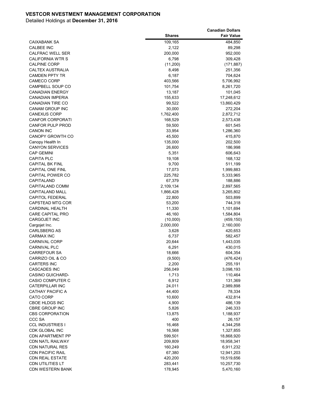|                                      |                   | <b>Canadian Dollars</b> |
|--------------------------------------|-------------------|-------------------------|
|                                      | <b>Shares</b>     | <b>Fair Value</b>       |
| CAIXABANK SA                         | 109,165           | 484,850                 |
| <b>CALBEE INC</b>                    | 2,122             | 89,298                  |
| <b>CALFRAC WELL SER</b>              | 200,000           | 952,000                 |
| <b>CALIFORNIA WTR S</b>              | 6,798             | 309,428                 |
| <b>CALPINE CORP</b>                  | (11,200)          | (171, 887)              |
| <b>CALTEX AUSTRALIA</b>              | 8,498             | 251,356                 |
| <b>CAMDEN PPTY TR</b>                | 6,187             | 704,624                 |
| <b>CAMECO CORP</b>                   | 403,566           | 5,706,992               |
| <b>CAMPBELL SOUP CO</b>              | 101,754           | 8,261,720               |
| <b>CANADIAN ENERGY</b>               | 13,187            | 101,045                 |
| <b>CANADIAN IMPERIA</b>              | 155,633           | 17,248,612              |
| <b>CANADIAN TIRE CO</b>              | 99,522            | 13,860,429              |
| <b>CANAM GROUP INC</b>               | 30,000            | 272,204                 |
| <b>CANEXUS CORP</b>                  | 1,762,400         | 2,872,712               |
| <b>CANFOR CORPORATI</b>              | 168,529           | 2,573,438               |
| CANFOR PULP PROD                     | 59,500            | 601,545                 |
| <b>CANON INC</b>                     | 33,954            | 1,286,360               |
| <b>CANOPY GROWTH CO</b>              | 45,500            | 415,870                 |
| Canopy Health In                     | 135,000           | 202,500                 |
| <b>CANYON SERVICES</b>               | 26,600            | 186,998                 |
| <b>CAP GEMINI</b>                    | 5,351             | 606,643                 |
| <b>CAPITA PLC</b>                    | 19,108            | 168,132                 |
| <b>CAPITAL BK FINL</b>               | 9,700             | 511,199                 |
| <b>CAPITAL ONE FINL</b>              | 17,073            | 1,999,883               |
| <b>CAPITAL POWER CO</b>              | 225,782           | 5,333,965               |
| CAPITALAND                           | 67,379            | 188,886                 |
| CAPITALAND COMM                      | 2,109,134         | 2,897,565               |
| <b>CAPITALAND MALL</b>               | 1,866,428         | 3,265,802               |
| <b>CAPITOL FEDERAL</b>               | 22,800            | 503,899                 |
| <b>CAPSTEAD MTG COR</b>              | 53,200            | 744,318                 |
| <b>CARDINAL HEALTH</b>               | 11,330            | 1,101,694               |
| <b>CARE CAPITAL PRO</b>              | 46,160            | 1,584,804               |
| <b>CARGOJET INC</b>                  | (10,000)          | (459, 150)              |
| Cargojet Inc.                        | 2,000,000         | 2,160,000               |
| <b>CARLSBERG AS</b>                  | 3,628             | 420,653                 |
| <b>CARMAX INC</b>                    | 6,737             | 582,457                 |
| <b>CARNIVAL CORP</b>                 | 20,644            | 1,443,035               |
| <b>CARNIVAL PLC</b>                  | 6,291             | 430,015                 |
| <b>CARREFOUR SA</b>                  | 18,666            | 604,354                 |
| CARRIZO OIL & CO                     | (9,500)           | (476, 424)              |
| <b>CARTERS INC</b>                   | 2,200             | 255,191                 |
| <b>CASCADES INC</b>                  | 256,049           | 3,098,193               |
| <b>CASINO GUICHARD-</b>              | 1,713             | 110,464                 |
| <b>CASIO COMPUTER C</b>              | 6,912             | 131,369                 |
| <b>CATERPILLAR INC</b>               | 24,011            | 2,989,898               |
| <b>CATHAY PACIFIC A</b><br>CATO CORP | 44,400            | 78,334                  |
| CBOE HLDGS INC                       | 10,600            | 432,814                 |
| <b>CBRE GROUP INC</b>                | 4,900             | 486,139                 |
| <b>CBS CORPORATION</b>               | 5,826<br>13,875   | 246,333<br>1,188,937    |
| CCC SA                               | 400               | 26,157                  |
| <b>CCL INDUSTRIES I</b>              | 16,468            | 4,344,258               |
| CDK GLOBAL INC                       | 16,568            |                         |
| <b>CDN APARTMENT PP</b>              |                   | 1,327,855               |
| <b>CDN NATL RAILWAY</b>              | 599,501           | 18,868,920              |
| <b>CDN NATURAL RES</b>               | 209,809           | 18,958,341              |
| <b>CDN PACIFIC RAIL</b>              | 160,249<br>67,380 | 6,911,232<br>12,941,203 |
| <b>CDN REAL ESTATE</b>               | 420,200           | 19,519,656              |
| <b>CDN UTILITIES LT</b>              | 283,441           | 10,257,730              |
| <b>CDN WESTERN BANK</b>              |                   |                         |
|                                      | 178,945           | 5,470,160               |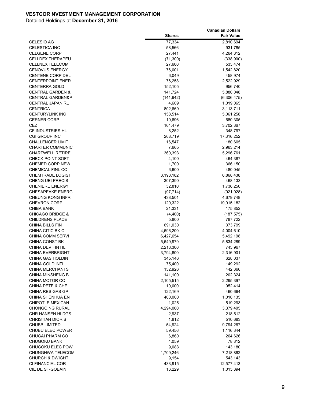|                                                |               | <b>Canadian Dollars</b> |
|------------------------------------------------|---------------|-------------------------|
|                                                | <b>Shares</b> | <b>Fair Value</b>       |
| <b>CELESIO AG</b>                              | 77,334        | 2,810,694               |
| <b>CELESTICA INC</b>                           | 58,566        | 931,785                 |
| <b>CELGENE CORP</b>                            | 27,441        | 4,264,812               |
| <b>CELLDEX THERAPEU</b>                        | (71, 300)     | (338,900)               |
| <b>CELLNEX TELECOM</b>                         | 27,600        | 533,474                 |
| <b>CENOVUS ENERGY</b>                          | 76,001        | 1,542,820               |
| <b>CENTENE CORP DEL</b>                        | 6,049         | 458,974                 |
| <b>CENTERPOINT ENER</b>                        | 76,258        | 2,522,929               |
| <b>CENTERRA GOLD</b>                           | 152,105       | 956,740                 |
| <b>CENTRAL GARDEN &amp;</b>                    | 141,724       | 5,880,048               |
| <b>CENTRAL GARDEN&amp;P</b>                    | (141, 942)    | (6,306,475)             |
| <b>CENTRAL JAPAN RL</b>                        | 4,609         | 1,019,065               |
| <b>CENTRICA</b>                                | 802,669       | 3,113,711               |
| <b>CENTURYLINK INC</b>                         | 158,514       | 5,061,258               |
| <b>CERNER CORP</b>                             | 10,696        | 680,305                 |
| CEZ                                            | 164,479       | 3,702,367               |
| <b>CF INDUSTRIES HL</b>                        | 8,252         | 348,797                 |
| CGI GROUP INC                                  | 268,719       | 17,316,252              |
| <b>CHALLENGER LIMIT</b>                        | 16,547        | 180,605                 |
| <b>CHARTER COMMUNIC</b>                        | 7,665         | 2,963,214               |
| <b>CHARTWELL RETIRE</b>                        | 360,393       | 5,296,761               |
| <b>CHECK POINT SOFT</b>                        | 4,100         | 464,387                 |
| <b>CHEMED CORP NEW</b>                         | 1,700         | 366,150                 |
| CHEMICAL FINL CO                               | 6,600         | 480,045                 |
| <b>CHEMTRADE LOGIST</b>                        | 3,198,182     | 6,868,438               |
| <b>CHENG UEI PRECIS</b>                        | 307,390       | 468,133                 |
| <b>CHENIERE ENERGY</b>                         | 32,810        | 1,736,250               |
| <b>CHESAPEAKE ENERG</b>                        | (97, 714)     | (921, 028)              |
| <b>CHEUNG KONG INFR</b>                        | 438,501       | 4,679,748               |
| <b>CHEVRON CORP</b>                            | 120,322       | 19,015,182              |
| <b>CHIBA BANK</b>                              | 21,331        | 175,852                 |
| <b>CHICAGO BRIDGE &amp;</b>                    | (4,400)       | (187, 575)              |
| <b>CHILDRENS PLACE</b>                         | 5,800         | 787,722                 |
| <b>CHINA BILLS FIN</b>                         | 691,030       | 373,799                 |
| CHINA CITIC BK C                               | 4,696,200     | 4,004,610               |
| <b>CHINA COMM SERVI</b>                        | 6,427,654     | 5,492,198               |
| <b>CHINA CONST BK</b>                          | 5,649,979     | 5,834,289               |
| CHINA DEV FIN HL                               | 2,218,300     | 743,967                 |
| <b>CHINA EVERBRIGHT</b>                        | 3,794,600     | 2,316,901               |
| CHINA GAS HOLDIN                               | 345,146       | 628,037                 |
| <b>CHINA GOLD INTL</b>                         | 75,400        | 149,292                 |
| <b>CHINA MERCHANTS</b>                         | 132,926       | 442,366                 |
| <b>CHINA MINSHENG B</b>                        | 141,100       | 202,324                 |
| CHINA MOTOR CO                                 | 2,105,515     | 2,295,397               |
| CHINA PETE & CHE                               | 10,000        | 952,414                 |
| CHINA RES GAS GP                               | 122,169       | 460,664                 |
| CHINA SHENHUA EN                               | 400,000       | 1,010,135               |
| CHIPOTLE MEXICAN                               | 1,025         | 519,293                 |
| <b>CHONGQING RURAL</b>                         | 4,294,000     | 3,379,405               |
| <b>CHR.HANSEN HLDGS</b>                        | 2,937         | 218,512                 |
| <b>CHRISTIAN DIOR S</b>                        | 1,812         | 510,683                 |
| <b>CHUBB LIMITED</b>                           | 54,924        | 9,794,267               |
| CHUBU ELEC POWER                               | 59,456        | 1,116,344               |
| <b>CHUGAI PHARM CO</b>                         | 6,860         | 264,626                 |
| <b>CHUGOKU BANK</b>                            | 4,059         | 78,312                  |
| CHUGOKU ELEC POW                               | 9,083         | 143,180                 |
| CHUNGHWA TELECOM                               | 1,709,246     | 7,218,862               |
| <b>CHURCH &amp; DWIGHT</b><br>CI FINANCIAL COR | 9,154         | 543,143                 |
| CIE DE ST-GOBAIN                               | 433,915       | 12,577,413              |
|                                                | 16,229        | 1,015,894               |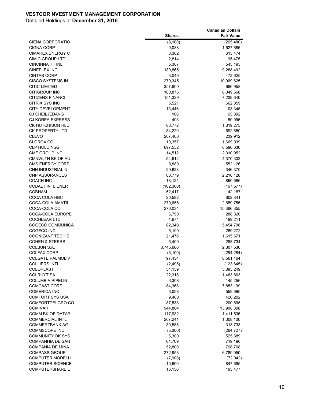|                             |               | <b>Canadian Dollars</b> |
|-----------------------------|---------------|-------------------------|
|                             | <b>Shares</b> | <b>Fair Value</b>       |
| CIENA CORPORATIO            | (8, 100)      | (265, 480)              |
| <b>CIGNA CORP</b>           | 9,088         | 1,627,686               |
| <b>CIMAREX ENERGY C</b>     | 3,362         | 613,474                 |
| CIMIC GROUP LTD             | 2,814         | 95,475                  |
| <b>CINCINNATI FINL</b>      | 5,307         | 543,193                 |
| <b>CINEPLEX INC</b>         | 180,865       | 9,288,492               |
| <b>CINTAS CORP</b>          | 3,046         | 472,625                 |
| <b>CISCO SYSTEMS IN</b>     | 270,345       | 10,969,625              |
| <b>CITIC LIMITED</b>        | 357,800       | 686,958                 |
| CITIGROUP INC               | 100,876       | 8,049,568               |
| <b>CITIZENS FINANCI</b>     | 151,329       | 7,239,640               |
| CITRIX SYS INC              | 5,521         | 662,059                 |
| <b>CITY DEVELOPMENT</b>     | 13,446        | 103,345                 |
| <b>CJ CHEILJEDANG</b>       | 166           | 65,892                  |
| <b>CJ KOREA EXPRESS</b>     | 403           | 80,096                  |
| CK HUTCHISON HLD            | 86,772        | 1,319,275               |
| <b>CK PROPERTY LTD</b>      | 84,220        | 692,680                 |
| <b>CLEVO</b>                | 207,400       | 239,912                 |
| <b>CLOROX CO</b>            | 10,357        | 1,669,039               |
| <b>CLP HOLDINGS</b>         | 697,552       | 8,596,630               |
| CME GROUP INC               | 14,512        | 2,310,952               |
| CMNWLTH BK OF AU            | 54,612        | 4,370,302               |
| <b>CMS ENERGY CORP</b>      | 9,880         | 552,126                 |
| CNH INDUSTRIAL N            | 29,628        | 346,370                 |
| <b>CNP ASSURANCES</b>       | 88,779        | 2,210,128               |
| <b>COACH INC</b>            | 18,124        | 860,686                 |
| <b>COBALT INTL ENER</b>     | (102, 300)    | (167, 577)              |
| <b>COBHAM</b>               | 52,417        | 142,187                 |
| COCA COLA HBC               | 20,582        | 602,341                 |
| COCA-COLA AMATIL            | 270,656       | 2,659,755               |
| COCA-COLA CO                | 276,034       | 15,366,355              |
| COCA-COLA EUROPE            | 6,790         | 288,320                 |
| <b>COCHLEAR LTD</b>         | 1,674         | 199,211                 |
| COGECO COMMUNICA            | 82,349        | 5,454,798               |
| COGECO INC                  | 5,100         | 289,272                 |
| <b>COGNIZANT TECH S</b>     | 21,476        | 1,615,671               |
| <b>COHEN &amp; STEERS I</b> | 6,400         | 288,734                 |
| COLBUN S.A.                 | 8,745,600     | 2,307,536               |
| <b>COLFAX CORP</b>          | (6, 100)      | (294, 284)              |
| <b>COLGATE PALMOLIV</b>     | 97,434        | 8,561,164               |
| <b>COLLIERS INTL</b>        | (2, 495)      | (123, 645)              |
| <b>COLOPLAST</b>            | 34,139        | 3,093,249               |
| <b>COLRUYT SA</b>           | 22,318        | 1,483,863               |
| <b>COLUMBIA PIPELIN</b>     | 6,308         | 145,256                 |
| <b>COMCAST CORP</b>         | 84,368        | 7,853,199               |
| <b>COMERICA INC</b>         | 6,098         | 559,690                 |
| <b>COMFORT SYS USA</b>      | 9,400         | 420,292                 |
| COMFORTDELGRO CO            | 87,533        | 200,695                 |
| <b>COMINAR</b>              | 944,864       | 13,908,398              |
| COMM BK OF QATAR            | 117,932       | 1,411,535               |
| <b>COMMERCIAL INTL</b>      | 267,241       | 1,308,100               |
| <b>COMMERZBANK AG</b>       | 30,585        | 313,733                 |
| <b>COMMSCOPE INC</b>        | (5,300)       | (264, 727)              |
| <b>COMMUNITY BK SYS</b>     | 6,300         | 525,389                 |
| <b>COMPANHIA DE SAN</b>     | 61,709        | 719,196                 |
| <b>COMPANIA DE MINA</b>     | 52,800        | 798,708                 |
| <b>COMPASS GROUP</b>        | 272,953       | 6,789,050               |
| <b>COMPUTER MODELLI</b>     | (7,908)       | (72, 042)               |
| <b>COMPUTER SCIENCE</b>     | 10,600        | 847,695                 |
| <b>COMPUTERSHARE LT</b>     | 16,156        | 195,477                 |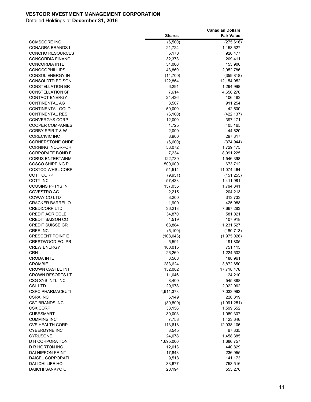|                                                        |                    | <b>Canadian Dollars</b> |
|--------------------------------------------------------|--------------------|-------------------------|
|                                                        | <b>Shares</b>      | <b>Fair Value</b>       |
| <b>COMSCORE INC</b>                                    | (6,500)            | (275, 616)              |
| <b>CONAGRA BRANDS I</b>                                | 21,724             | 1,153,627               |
| <b>CONCHO RESOURCES</b>                                | 5,170              | 920,477                 |
| <b>CONCORDIA FINANC</b>                                | 32,373             | 209,411                 |
| <b>CONCORDIA INTL</b>                                  | 54,000             | 153,900                 |
| <b>CONOCOPHILLIPS</b>                                  | 43,860             | 2,952,786               |
| CONSOL ENERGY IN                                       | (14, 700)          | (359, 818)              |
| <b>CONSOLDTD EDISON</b>                                | 122,864            | 12,154,952              |
| <b>CONSTELLATION BR</b>                                | 6,291              | 1,294,998               |
| <b>CONSTELLATION SF</b>                                | 7,614              | 4,656,270               |
| <b>CONTACT ENERGY</b>                                  | 24,436             | 106,483                 |
| <b>CONTINENTAL AG</b>                                  | 3,507              | 911,254                 |
| <b>CONTINENTAL GOLD</b>                                | 50,000             | 42,500                  |
| <b>CONTINENTAL RES</b>                                 | (6, 100)           | (422, 137)              |
| <b>CONVERGYS CORP</b>                                  | 12,000             | 397,171                 |
| <b>COOPER COMPANIES</b><br><b>CORBY SPIRIT &amp; W</b> | 1,725              | 405,165                 |
| <b>CORECIVIC INC</b>                                   | 2,000              | 44,620<br>297,317       |
| <b>CORNERSTONE ONDE</b>                                | 8,900              |                         |
| <b>CORNING INCORPOR</b>                                | (6,600)<br>53,072  | (374, 944)<br>1,729,475 |
| <b>CORPORATE BOND F</b>                                | 7,234              | 8,991,225               |
| <b>CORUS ENTERTAINM</b>                                | 122,730            | 1,546,398               |
| <b>COSCO SHIPPING P</b>                                | 500,000            | 673,712                 |
| <b>COSTCO WHSL CORP</b>                                | 51,514             | 11,074,464              |
| COTT CORP                                              | (9,951)            | (151, 255)              |
| <b>COTY INC</b>                                        | 57,433             | 1,411,981               |
| <b>COUSINS PPTYS IN</b>                                | 157,035            | 1,794,341               |
| <b>COVESTRO AG</b>                                     | 2,215              | 204,213                 |
| COWAY CO LTD                                           | 3,200              | 313,733                 |
| <b>CRACKER BARREL O</b>                                | 1,900              | 425,988                 |
| <b>CREDICORP LTD</b>                                   | 36,218             | 7,667,283               |
| <b>CREDIT AGRICOLE</b>                                 | 34,870             | 581,021                 |
| <b>CREDIT SAISON CO</b>                                | 4,519              | 107,918                 |
| <b>CREDIT SUISSE GR</b>                                | 63,884             | 1,231,527               |
| <b>CREE INC</b>                                        | (5, 100)           | (180, 713)              |
| <b>CRESCENT POINT E</b>                                | (108, 043)         | (1,975,026)             |
| CRESTWOOD EQ. PR                                       | 5,591              | 191,805                 |
| <b>CREW ENERGY</b>                                     | 100,015            | 751,113                 |
| CRH                                                    | 26,269             | 1,224,502               |
| <b>CRODA INTL</b>                                      | 3,568              | 188,961                 |
| <b>CROMBIE</b>                                         | 283,624            | 3,872,650               |
| <b>CROWN CASTLE INT</b>                                | 152,082            | 17,718,478              |
| <b>CROWN RESORTS LT</b>                                | 11,046             | 124,210                 |
| <b>CSG SYS INTL INC</b>                                | 8,400              | 545,888                 |
| <b>CSL LTD</b>                                         | 29,978             | 2,922,962               |
| <b>CSPC PHARMACEUTI</b>                                | 4,911,373          | 7,033,962               |
| <b>CSRA INC</b><br>CST BRANDS INC                      | 5,149<br>(30, 800) | 220,819<br>(1,991,251)  |
| <b>CSX CORP</b>                                        | 33,156             | 1,599,552               |
| <b>CUBESMART</b>                                       | 30,003             | 1,089,307               |
| <b>CUMMINS INC</b>                                     | 7,758              | 1,423,646               |
| <b>CVS HEALTH CORP</b>                                 | 113,618            | 12,038,106              |
| <b>CYBERDYNE INC</b>                                   | 3,545              | 67,335                  |
| <b>CYRUSONE</b>                                        | 24,078             | 1,458,385               |
| <b>D H CORPORATION</b>                                 | 1,695,000          | 1,686,757               |
| D R HORTON INC                                         | 12,013             | 440,829                 |
| DAI NIPPON PRINT                                       | 17,843             | 236,955                 |
| DAICEL CORPORATI                                       | 9,518              | 141,173                 |
| DAI-ICHI LIFE HO                                       | 33,677             | 753,516                 |
| <b>DAIICHI SANKYO C</b>                                | 20,194             | 555,276                 |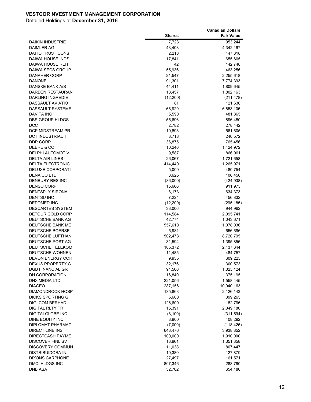|                                           |                  | <b>Canadian Dollars</b> |
|-------------------------------------------|------------------|-------------------------|
|                                           | <b>Shares</b>    | <b>Fair Value</b>       |
| DAIKIN INDUSTRIE                          | 7,723            | 953,244                 |
| <b>DAIMLER AG</b>                         | 43,408           | 4,342,167               |
| DAITO TRUST CONS                          | 2,213            | 447,318                 |
| DAIWA HOUSE INDS                          | 17,841           | 655,605                 |
| <b>DAIWA HOUSE REIT</b>                   | 42               | 142,748                 |
| DAIWA SECS GROUP                          | 55,936           | 463,256                 |
| DANAHER CORP                              | 21,547           | 2,255,618               |
| <b>DANONE</b>                             | 91,301           | 7,774,393               |
| DANSKE BANK A/S                           | 44,411           | 1,809,645               |
| DARDEN RESTAURAN                          | 18,457           | 1,802,163               |
| DARLING INGREDIE                          | (12,200)         | (211, 478)              |
| <b>DASSAULT AVIATIO</b>                   | 81               | 121,630                 |
| DASSAULT SYSTEME                          | 66,929           | 6,853,105               |
| <b>DAVITA INC</b>                         | 5,590            | 481,865                 |
| DBS GROUP HLDGS                           | 55,696           | 896,480                 |
| DCC                                       | 2,782            | 278,442                 |
| <b>DCP MIDSTREAM PR</b>                   | 10,898           | 561,605                 |
| DCT INDUSTRIAL T                          | 3,718            | 240,572                 |
| <b>DDR CORP</b>                           | 36,875           | 765,456                 |
| DEERE & CO                                | 10,240           | 1,424,972               |
| <b>DELPHI AUTOMOTIV</b>                   | 9,587            | 866,961                 |
| <b>DELTA AIR LINES</b>                    | 26,067           | 1,721,658               |
| <b>DELTA ELECTRONIC</b>                   | 414,440          | 1,265,971               |
| <b>DELUXE CORPORATI</b>                   | 5,000            | 480,754                 |
| DENA CO LTD                               | 3,625            | 106,450                 |
| DENBURY RES INC                           | (86,000)         | (424, 938)              |
| <b>DENSO CORP</b>                         | 15,666           | 911,973                 |
| DENTSPLY SIRONA                           | 8,173            | 634,373                 |
| <b>DENTSU INC</b>                         | 7,224            | 456,832                 |
| DEPOMED INC                               | (12, 200)        | (295, 185)              |
| <b>DESCARTES SYSTEM</b>                   | 33,006           | 944,962                 |
| DETOUR GOLD CORP                          | 114,584          | 2,095,741               |
| DEUTSCHE BANK AG                          | 42,774           | 1,043,671               |
| DEUTSCHE BANK ME                          | 557,610          | 1,078,036               |
| DEUTSCHE BOERSE                           | 5,981            | 656,696                 |
| DEUTSCHE LUFTHAN                          | 502,478          | 8,720,795               |
| DEUTSCHE POST AG                          | 31,594           | 1,395,856               |
| DEUTSCHE TELEKOM                          | 105,372          | 2,437,644               |
| DEUTSCHE WOHNEN                           | 11,485           | 484,757                 |
| DEVON ENERGY COR                          | 9,935            | 609,225                 |
| <b>DEXUS PROPERTY G</b>                   | 32,176           | 300,573                 |
| <b>DGB FINANCIAL GR</b>                   | 94,500           | 1,025,124               |
| DH CORPORATION                            | 16,840           | 375,195                 |
| DHX MEDIA LTD                             | 221,056          | 1,558,445               |
| <b>DIAGEO</b>                             | 287,156          | 10,040,163              |
| DIAMONDROCK HOSP                          | 135,863          | 2,126,143               |
| DICKS SPORTING G                          | 5,600            | 399,265                 |
| DIGI.COM.BERHAD<br><b>DIGITAL RLTY TR</b> | 126,600          | 182,796                 |
|                                           | 15,391           | 2,049,180               |
| DIGITALGLOBE INC                          | (8, 100)         | (311,594)               |
| DINE EQUITY INC                           | 3,900            | 408,292                 |
| DIPLOMAT PHARMAC                          | (7,000)          | (118, 426)              |
| DIRECT LINE INS                           | 643,476          | 3,938,852               |
| <b>DIRECTCASH PAYME</b>                   | 100,000          | 1,910,000               |
| DISCOVER FINL SV                          | 13,961           | 1,351,358               |
| DISCOVERY COMMUN                          | 11,038           | 807,447                 |
| DISTRIBUIDORA IN<br>DIXONS CARPHONE       | 19,380<br>27,497 | 127,879<br>161,571      |
| DMCI HLDGS INC                            | 807,346          | 288,790                 |
| <b>DNB ASA</b>                            | 32,702           | 654,180                 |
|                                           |                  |                         |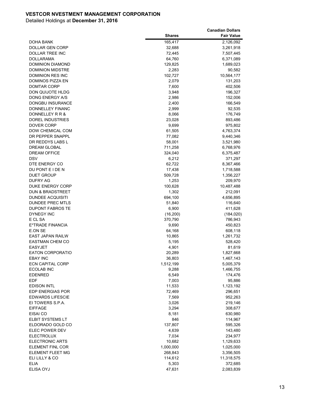|                         |               | <b>Canadian Dollars</b> |
|-------------------------|---------------|-------------------------|
|                         | <b>Shares</b> | <b>Fair Value</b>       |
| DOHA BANK               | 165,417       | 2,126,092               |
| DOLLAR GEN CORP         | 32,688        | 3,261,918               |
| DOLLAR TREE INC         | 72,445        | 7,507,445               |
| DOLLARAMA               | 64,760        | 6,371,089               |
| <b>DOMINION DIAMOND</b> | 129,825       | 1,689,023               |
| <b>DOMINION MIDSTRE</b> | 2,283         | 90,582                  |
| DOMINION RES INC        | 102,727       | 10,564,177              |
| DOMINOS PIZZA EN        | 2,079         | 131,203                 |
| DOMTAR CORP             | 7,600         | 402,506                 |
| DON QUIJOTE HLDG        | 3,948         | 196,327                 |
| DONG ENERGY A/S         | 2,986         | 152,006                 |
| DONGBU INSURANCE        | 2,400         | 166,549                 |
| DONNELLEY FINANC        | 2,999         | 92,535                  |
| DONNELLEY R R &         | 8,066         | 176,749                 |
| DOREL INDUSTRIES        | 23,028        | 893,486                 |
| DOVER CORP              | 9,699         | 975,802                 |
| DOW CHEMICAL COM        | 61,505        | 4,763,374               |
| DR PEPPER SNAPPL        | 77,082        | 9,440,346               |
| DR REDDYS LABS L        | 58,001        | 3,521,980               |
| <b>DREAM GLOBAL</b>     | 711,258       | 6,768,976               |
| <b>DREAM OFFICE</b>     | 324,040       | 6,375,487               |
| DSV                     | 6,212         | 371,297                 |
| DTE ENERGY CO           | 62,722        | 8,367,466               |
| DU PONT E I DE N        | 17,438        | 1,718,588               |
| DUET GROUP              | 509,728       | 1,356,227               |
| DUFRY AG                | 1,253         | 209,970                 |
| <b>DUKE ENERGY CORP</b> | 100,628       | 10,487,488              |
| DUN & BRADSTREET        | 1,302         | 212,091                 |
| <b>DUNDEE ACQUISITI</b> | 694,100       | 4,656,895               |
| <b>DUNDEE PREC MTLS</b> | 51,840        | 116,640                 |
| DUPONT FABROS TE        | 6,900         | 411,628                 |
| DYNEGY INC              | (16, 200)     | (184, 020)              |
| E CL SA                 | 370,790       | 786,943                 |
| E*TRADE FINANCIA        | 9,690         | 450,823                 |
| E.ON SE                 | 64,168        | 608,118                 |
| <b>EAST JAPAN RAILW</b> | 10,865        | 1,261,732               |
| <b>EASTMAN CHEM CO</b>  | 5,195         | 528,420                 |
| <b>EASYJET</b>          | 4,901         | 81,619                  |
| <b>EATON CORPORATIO</b> | 20,289        | 1,827,668               |
| <b>EBAY INC</b>         | 36,803        | 1,467,143               |
| <b>ECN CAPITAL CORP</b> | 1,512,199     | 5,005,379               |
| <b>ECOLAB INC</b>       | 9,288         | 1,466,755               |
| <b>EDENRED</b>          | 6,549         | 174,476                 |
| EDF                     | 7,003         | 95,886                  |
| <b>EDISON INTL</b>      | 11,533        | 1,123,192               |
| EDP ENERGIAS POR        | 72,469        | 296,651                 |
| <b>EDWARDS LIFESCIE</b> | 7,569         | 952,263                 |
| EI TOWERS S.P.A.        | 3,026         | 219,146                 |
| <b>EIFFAGE</b>          | 3,294         | 308,677                 |
| EISAI CO                | 8,181         | 630,980                 |
| ELBIT SYSTEMS LT        | 846           | 114,967                 |
| ELDORADO GOLD CO        | 137,807       | 595,326                 |
| ELEC POWER DEV          | 4,639         | 143,480                 |
| <b>ELECTROLUX</b>       | 7,034         | 234,977                 |
| <b>ELECTRONIC ARTS</b>  | 10,682        | 1,129,633               |
| ELEMENT FINL COR        | 1,000,000     | 1,025,000               |
| ELEMENT FLEET MG        | 268,843       | 3,356,505               |
| ELI LILLY & CO          | 114,612       | 11,318,575              |
| <b>ELIA</b>             | 5,303         | 372,685                 |
| ELISA OYJ               | 47,631        | 2,083,839               |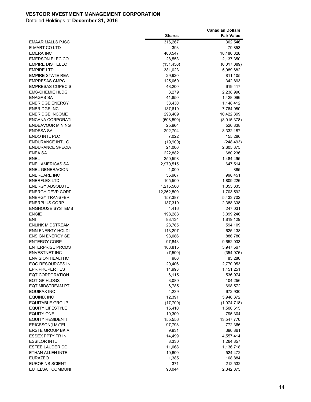| <b>Shares</b><br><b>Fair Value</b><br>316,267<br>302,546<br><b>EMAAR MALLS PJSC</b><br><b>E-MART CO LTD</b><br>393<br>79,853<br><b>EMERA INC</b><br>400,547<br>18,180,828<br><b>EMERSON ELEC CO</b><br>28,553<br>2,137,350<br><b>EMPIRE DIST ELEC</b><br>(131, 456)<br>(6,017,089)<br><b>EMPIRE LTD</b><br>381,023<br>5,989,682<br><b>EMPIRE STATE REA</b><br>811,105<br>29,920<br><b>EMPRESAS CMPC</b><br>125,060<br>342,893<br><b>EMPRESAS COPEC S</b><br>619,417<br>48,200<br><b>EMS-CHEMIE HLDG</b><br>3,279<br>2,238,996<br><b>ENAGAS SA</b><br>41,850<br>1,428,096<br><b>ENBRIDGE ENERGY</b><br>33,430<br>1,148,412<br><b>ENBRIDGE INC</b><br>137,619<br>7,764,080<br><b>ENBRIDGE INCOME</b><br>298,409<br>10,422,399<br>ENCANA CORPORATI<br>(8,015,378)<br>(508, 590)<br><b>ENDEAVOUR MINING</b><br>25,964<br>520,838<br><b>ENDESA SA</b><br>292,704<br>8,332,187<br>ENDO INTL PLC<br>7,022<br>155,286<br><b>ENDURANCE INTL G</b><br>(19,900)<br>(248, 493)<br><b>ENDURANCE SPECIA</b><br>21,000<br>2,605,375<br><b>ENEA SA</b><br>222,882<br>680,236<br>ENEL<br>250,598<br>1,484,495<br><b>ENEL AMERICAS SA</b><br>2,970,515<br>647,514<br><b>ENEL GENERACION</b><br>1,000<br>885<br>55,967<br>998,451<br><b>ENERCARE INC</b><br><b>ENERFLEX LTD</b><br>1,809,226<br>105,500<br><b>ENERGY ABSOLUTE</b><br>1,215,500<br>1,355,335<br><b>ENERGY DEVP CORP</b><br>12,262,500<br>1,703,592<br><b>ENERGY TRANSFER</b><br>157,387<br>5,433,702<br><b>ENERPLUS CORP</b><br>187,319<br>2,388,338<br><b>ENGHOUSE SYSTEMS</b><br>4,416<br>247,031<br><b>ENGIE</b><br>198,283<br>3,399,246<br>ENI<br>83,134<br>1,819,129<br><b>ENLINK MIDSTREAM</b><br>23,785<br>594,109<br><b>ENN ENERGY HOLDI</b><br>113,297<br>625,138<br>886,780<br><b>ENSIGN ENERGY SE</b><br>93,086<br><b>ENTERGY CORP</b><br>97,843<br>9,652,033<br><b>ENTERPRISE PRODS</b><br>163,815<br>5,947,567<br><b>ENVESTNET INC</b><br>(7,500)<br>(354, 976)<br><b>ENVISION HEALTHC</b><br>980<br>83,280<br>EOG RESOURCES IN<br>20,406<br>2,770,053<br><b>EPR PROPERTIES</b><br>14,993<br>1,451,251<br><b>EQT CORPORATION</b><br>6,115<br>536,974<br><b>EQT GP HLDGS</b><br>104,256<br>3,080<br><b>EQT MIDSTREAM PT</b><br>6,785<br>698,572<br><b>EQUIFAX INC</b><br>4,239<br>672,930<br><b>EQUINIX INC</b><br>12,391<br>5,946,372<br><b>EQUITABLE GROUP</b><br>(1,074,718)<br>(17,700)<br><b>EQUITY LIFESTYLE</b><br>15,410<br>1,500,615<br><b>EQUITY ONE</b><br>19,300<br>795,304<br><b>EQUITY RESIDENTI</b><br>155,556<br>13,547,770<br>ERICSSON(LM)TEL<br>97,798<br>772,366<br>ERSTE GROUP BK A<br>9,931<br>390,861<br><b>ESSEX PPTY TR IN</b><br>14,499<br>4,557,414<br><b>ESSILOR INTL</b><br>8,330<br>1,264,857<br><b>ESTEE LAUDER CO</b><br>11,068<br>1,136,718<br>ETHAN ALLEN INTE<br>10,600<br>524,472<br><b>EURAZEO</b><br>1,385<br>108,884<br><b>EUROFINS SCIENTI</b><br>371<br>212,532 |                  |        | <b>Canadian Dollars</b> |
|-----------------------------------------------------------------------------------------------------------------------------------------------------------------------------------------------------------------------------------------------------------------------------------------------------------------------------------------------------------------------------------------------------------------------------------------------------------------------------------------------------------------------------------------------------------------------------------------------------------------------------------------------------------------------------------------------------------------------------------------------------------------------------------------------------------------------------------------------------------------------------------------------------------------------------------------------------------------------------------------------------------------------------------------------------------------------------------------------------------------------------------------------------------------------------------------------------------------------------------------------------------------------------------------------------------------------------------------------------------------------------------------------------------------------------------------------------------------------------------------------------------------------------------------------------------------------------------------------------------------------------------------------------------------------------------------------------------------------------------------------------------------------------------------------------------------------------------------------------------------------------------------------------------------------------------------------------------------------------------------------------------------------------------------------------------------------------------------------------------------------------------------------------------------------------------------------------------------------------------------------------------------------------------------------------------------------------------------------------------------------------------------------------------------------------------------------------------------------------------------------------------------------------------------------------------------------------------------------------------------------------------------------------------------------------------------------------------------------------------------------------------------------------------------------------------------------------------------------------------------|------------------|--------|-------------------------|
|                                                                                                                                                                                                                                                                                                                                                                                                                                                                                                                                                                                                                                                                                                                                                                                                                                                                                                                                                                                                                                                                                                                                                                                                                                                                                                                                                                                                                                                                                                                                                                                                                                                                                                                                                                                                                                                                                                                                                                                                                                                                                                                                                                                                                                                                                                                                                                                                                                                                                                                                                                                                                                                                                                                                                                                                                                                                 |                  |        |                         |
|                                                                                                                                                                                                                                                                                                                                                                                                                                                                                                                                                                                                                                                                                                                                                                                                                                                                                                                                                                                                                                                                                                                                                                                                                                                                                                                                                                                                                                                                                                                                                                                                                                                                                                                                                                                                                                                                                                                                                                                                                                                                                                                                                                                                                                                                                                                                                                                                                                                                                                                                                                                                                                                                                                                                                                                                                                                                 |                  |        |                         |
|                                                                                                                                                                                                                                                                                                                                                                                                                                                                                                                                                                                                                                                                                                                                                                                                                                                                                                                                                                                                                                                                                                                                                                                                                                                                                                                                                                                                                                                                                                                                                                                                                                                                                                                                                                                                                                                                                                                                                                                                                                                                                                                                                                                                                                                                                                                                                                                                                                                                                                                                                                                                                                                                                                                                                                                                                                                                 |                  |        |                         |
|                                                                                                                                                                                                                                                                                                                                                                                                                                                                                                                                                                                                                                                                                                                                                                                                                                                                                                                                                                                                                                                                                                                                                                                                                                                                                                                                                                                                                                                                                                                                                                                                                                                                                                                                                                                                                                                                                                                                                                                                                                                                                                                                                                                                                                                                                                                                                                                                                                                                                                                                                                                                                                                                                                                                                                                                                                                                 |                  |        |                         |
|                                                                                                                                                                                                                                                                                                                                                                                                                                                                                                                                                                                                                                                                                                                                                                                                                                                                                                                                                                                                                                                                                                                                                                                                                                                                                                                                                                                                                                                                                                                                                                                                                                                                                                                                                                                                                                                                                                                                                                                                                                                                                                                                                                                                                                                                                                                                                                                                                                                                                                                                                                                                                                                                                                                                                                                                                                                                 |                  |        |                         |
|                                                                                                                                                                                                                                                                                                                                                                                                                                                                                                                                                                                                                                                                                                                                                                                                                                                                                                                                                                                                                                                                                                                                                                                                                                                                                                                                                                                                                                                                                                                                                                                                                                                                                                                                                                                                                                                                                                                                                                                                                                                                                                                                                                                                                                                                                                                                                                                                                                                                                                                                                                                                                                                                                                                                                                                                                                                                 |                  |        |                         |
|                                                                                                                                                                                                                                                                                                                                                                                                                                                                                                                                                                                                                                                                                                                                                                                                                                                                                                                                                                                                                                                                                                                                                                                                                                                                                                                                                                                                                                                                                                                                                                                                                                                                                                                                                                                                                                                                                                                                                                                                                                                                                                                                                                                                                                                                                                                                                                                                                                                                                                                                                                                                                                                                                                                                                                                                                                                                 |                  |        |                         |
|                                                                                                                                                                                                                                                                                                                                                                                                                                                                                                                                                                                                                                                                                                                                                                                                                                                                                                                                                                                                                                                                                                                                                                                                                                                                                                                                                                                                                                                                                                                                                                                                                                                                                                                                                                                                                                                                                                                                                                                                                                                                                                                                                                                                                                                                                                                                                                                                                                                                                                                                                                                                                                                                                                                                                                                                                                                                 |                  |        |                         |
|                                                                                                                                                                                                                                                                                                                                                                                                                                                                                                                                                                                                                                                                                                                                                                                                                                                                                                                                                                                                                                                                                                                                                                                                                                                                                                                                                                                                                                                                                                                                                                                                                                                                                                                                                                                                                                                                                                                                                                                                                                                                                                                                                                                                                                                                                                                                                                                                                                                                                                                                                                                                                                                                                                                                                                                                                                                                 |                  |        |                         |
|                                                                                                                                                                                                                                                                                                                                                                                                                                                                                                                                                                                                                                                                                                                                                                                                                                                                                                                                                                                                                                                                                                                                                                                                                                                                                                                                                                                                                                                                                                                                                                                                                                                                                                                                                                                                                                                                                                                                                                                                                                                                                                                                                                                                                                                                                                                                                                                                                                                                                                                                                                                                                                                                                                                                                                                                                                                                 |                  |        |                         |
|                                                                                                                                                                                                                                                                                                                                                                                                                                                                                                                                                                                                                                                                                                                                                                                                                                                                                                                                                                                                                                                                                                                                                                                                                                                                                                                                                                                                                                                                                                                                                                                                                                                                                                                                                                                                                                                                                                                                                                                                                                                                                                                                                                                                                                                                                                                                                                                                                                                                                                                                                                                                                                                                                                                                                                                                                                                                 |                  |        |                         |
|                                                                                                                                                                                                                                                                                                                                                                                                                                                                                                                                                                                                                                                                                                                                                                                                                                                                                                                                                                                                                                                                                                                                                                                                                                                                                                                                                                                                                                                                                                                                                                                                                                                                                                                                                                                                                                                                                                                                                                                                                                                                                                                                                                                                                                                                                                                                                                                                                                                                                                                                                                                                                                                                                                                                                                                                                                                                 |                  |        |                         |
|                                                                                                                                                                                                                                                                                                                                                                                                                                                                                                                                                                                                                                                                                                                                                                                                                                                                                                                                                                                                                                                                                                                                                                                                                                                                                                                                                                                                                                                                                                                                                                                                                                                                                                                                                                                                                                                                                                                                                                                                                                                                                                                                                                                                                                                                                                                                                                                                                                                                                                                                                                                                                                                                                                                                                                                                                                                                 |                  |        |                         |
|                                                                                                                                                                                                                                                                                                                                                                                                                                                                                                                                                                                                                                                                                                                                                                                                                                                                                                                                                                                                                                                                                                                                                                                                                                                                                                                                                                                                                                                                                                                                                                                                                                                                                                                                                                                                                                                                                                                                                                                                                                                                                                                                                                                                                                                                                                                                                                                                                                                                                                                                                                                                                                                                                                                                                                                                                                                                 |                  |        |                         |
|                                                                                                                                                                                                                                                                                                                                                                                                                                                                                                                                                                                                                                                                                                                                                                                                                                                                                                                                                                                                                                                                                                                                                                                                                                                                                                                                                                                                                                                                                                                                                                                                                                                                                                                                                                                                                                                                                                                                                                                                                                                                                                                                                                                                                                                                                                                                                                                                                                                                                                                                                                                                                                                                                                                                                                                                                                                                 |                  |        |                         |
|                                                                                                                                                                                                                                                                                                                                                                                                                                                                                                                                                                                                                                                                                                                                                                                                                                                                                                                                                                                                                                                                                                                                                                                                                                                                                                                                                                                                                                                                                                                                                                                                                                                                                                                                                                                                                                                                                                                                                                                                                                                                                                                                                                                                                                                                                                                                                                                                                                                                                                                                                                                                                                                                                                                                                                                                                                                                 |                  |        |                         |
|                                                                                                                                                                                                                                                                                                                                                                                                                                                                                                                                                                                                                                                                                                                                                                                                                                                                                                                                                                                                                                                                                                                                                                                                                                                                                                                                                                                                                                                                                                                                                                                                                                                                                                                                                                                                                                                                                                                                                                                                                                                                                                                                                                                                                                                                                                                                                                                                                                                                                                                                                                                                                                                                                                                                                                                                                                                                 |                  |        |                         |
|                                                                                                                                                                                                                                                                                                                                                                                                                                                                                                                                                                                                                                                                                                                                                                                                                                                                                                                                                                                                                                                                                                                                                                                                                                                                                                                                                                                                                                                                                                                                                                                                                                                                                                                                                                                                                                                                                                                                                                                                                                                                                                                                                                                                                                                                                                                                                                                                                                                                                                                                                                                                                                                                                                                                                                                                                                                                 |                  |        |                         |
|                                                                                                                                                                                                                                                                                                                                                                                                                                                                                                                                                                                                                                                                                                                                                                                                                                                                                                                                                                                                                                                                                                                                                                                                                                                                                                                                                                                                                                                                                                                                                                                                                                                                                                                                                                                                                                                                                                                                                                                                                                                                                                                                                                                                                                                                                                                                                                                                                                                                                                                                                                                                                                                                                                                                                                                                                                                                 |                  |        |                         |
|                                                                                                                                                                                                                                                                                                                                                                                                                                                                                                                                                                                                                                                                                                                                                                                                                                                                                                                                                                                                                                                                                                                                                                                                                                                                                                                                                                                                                                                                                                                                                                                                                                                                                                                                                                                                                                                                                                                                                                                                                                                                                                                                                                                                                                                                                                                                                                                                                                                                                                                                                                                                                                                                                                                                                                                                                                                                 |                  |        |                         |
|                                                                                                                                                                                                                                                                                                                                                                                                                                                                                                                                                                                                                                                                                                                                                                                                                                                                                                                                                                                                                                                                                                                                                                                                                                                                                                                                                                                                                                                                                                                                                                                                                                                                                                                                                                                                                                                                                                                                                                                                                                                                                                                                                                                                                                                                                                                                                                                                                                                                                                                                                                                                                                                                                                                                                                                                                                                                 |                  |        |                         |
|                                                                                                                                                                                                                                                                                                                                                                                                                                                                                                                                                                                                                                                                                                                                                                                                                                                                                                                                                                                                                                                                                                                                                                                                                                                                                                                                                                                                                                                                                                                                                                                                                                                                                                                                                                                                                                                                                                                                                                                                                                                                                                                                                                                                                                                                                                                                                                                                                                                                                                                                                                                                                                                                                                                                                                                                                                                                 |                  |        |                         |
|                                                                                                                                                                                                                                                                                                                                                                                                                                                                                                                                                                                                                                                                                                                                                                                                                                                                                                                                                                                                                                                                                                                                                                                                                                                                                                                                                                                                                                                                                                                                                                                                                                                                                                                                                                                                                                                                                                                                                                                                                                                                                                                                                                                                                                                                                                                                                                                                                                                                                                                                                                                                                                                                                                                                                                                                                                                                 |                  |        |                         |
|                                                                                                                                                                                                                                                                                                                                                                                                                                                                                                                                                                                                                                                                                                                                                                                                                                                                                                                                                                                                                                                                                                                                                                                                                                                                                                                                                                                                                                                                                                                                                                                                                                                                                                                                                                                                                                                                                                                                                                                                                                                                                                                                                                                                                                                                                                                                                                                                                                                                                                                                                                                                                                                                                                                                                                                                                                                                 |                  |        |                         |
|                                                                                                                                                                                                                                                                                                                                                                                                                                                                                                                                                                                                                                                                                                                                                                                                                                                                                                                                                                                                                                                                                                                                                                                                                                                                                                                                                                                                                                                                                                                                                                                                                                                                                                                                                                                                                                                                                                                                                                                                                                                                                                                                                                                                                                                                                                                                                                                                                                                                                                                                                                                                                                                                                                                                                                                                                                                                 |                  |        |                         |
|                                                                                                                                                                                                                                                                                                                                                                                                                                                                                                                                                                                                                                                                                                                                                                                                                                                                                                                                                                                                                                                                                                                                                                                                                                                                                                                                                                                                                                                                                                                                                                                                                                                                                                                                                                                                                                                                                                                                                                                                                                                                                                                                                                                                                                                                                                                                                                                                                                                                                                                                                                                                                                                                                                                                                                                                                                                                 |                  |        |                         |
|                                                                                                                                                                                                                                                                                                                                                                                                                                                                                                                                                                                                                                                                                                                                                                                                                                                                                                                                                                                                                                                                                                                                                                                                                                                                                                                                                                                                                                                                                                                                                                                                                                                                                                                                                                                                                                                                                                                                                                                                                                                                                                                                                                                                                                                                                                                                                                                                                                                                                                                                                                                                                                                                                                                                                                                                                                                                 |                  |        |                         |
|                                                                                                                                                                                                                                                                                                                                                                                                                                                                                                                                                                                                                                                                                                                                                                                                                                                                                                                                                                                                                                                                                                                                                                                                                                                                                                                                                                                                                                                                                                                                                                                                                                                                                                                                                                                                                                                                                                                                                                                                                                                                                                                                                                                                                                                                                                                                                                                                                                                                                                                                                                                                                                                                                                                                                                                                                                                                 |                  |        |                         |
|                                                                                                                                                                                                                                                                                                                                                                                                                                                                                                                                                                                                                                                                                                                                                                                                                                                                                                                                                                                                                                                                                                                                                                                                                                                                                                                                                                                                                                                                                                                                                                                                                                                                                                                                                                                                                                                                                                                                                                                                                                                                                                                                                                                                                                                                                                                                                                                                                                                                                                                                                                                                                                                                                                                                                                                                                                                                 |                  |        |                         |
|                                                                                                                                                                                                                                                                                                                                                                                                                                                                                                                                                                                                                                                                                                                                                                                                                                                                                                                                                                                                                                                                                                                                                                                                                                                                                                                                                                                                                                                                                                                                                                                                                                                                                                                                                                                                                                                                                                                                                                                                                                                                                                                                                                                                                                                                                                                                                                                                                                                                                                                                                                                                                                                                                                                                                                                                                                                                 |                  |        |                         |
|                                                                                                                                                                                                                                                                                                                                                                                                                                                                                                                                                                                                                                                                                                                                                                                                                                                                                                                                                                                                                                                                                                                                                                                                                                                                                                                                                                                                                                                                                                                                                                                                                                                                                                                                                                                                                                                                                                                                                                                                                                                                                                                                                                                                                                                                                                                                                                                                                                                                                                                                                                                                                                                                                                                                                                                                                                                                 |                  |        |                         |
|                                                                                                                                                                                                                                                                                                                                                                                                                                                                                                                                                                                                                                                                                                                                                                                                                                                                                                                                                                                                                                                                                                                                                                                                                                                                                                                                                                                                                                                                                                                                                                                                                                                                                                                                                                                                                                                                                                                                                                                                                                                                                                                                                                                                                                                                                                                                                                                                                                                                                                                                                                                                                                                                                                                                                                                                                                                                 |                  |        |                         |
|                                                                                                                                                                                                                                                                                                                                                                                                                                                                                                                                                                                                                                                                                                                                                                                                                                                                                                                                                                                                                                                                                                                                                                                                                                                                                                                                                                                                                                                                                                                                                                                                                                                                                                                                                                                                                                                                                                                                                                                                                                                                                                                                                                                                                                                                                                                                                                                                                                                                                                                                                                                                                                                                                                                                                                                                                                                                 |                  |        |                         |
|                                                                                                                                                                                                                                                                                                                                                                                                                                                                                                                                                                                                                                                                                                                                                                                                                                                                                                                                                                                                                                                                                                                                                                                                                                                                                                                                                                                                                                                                                                                                                                                                                                                                                                                                                                                                                                                                                                                                                                                                                                                                                                                                                                                                                                                                                                                                                                                                                                                                                                                                                                                                                                                                                                                                                                                                                                                                 |                  |        |                         |
|                                                                                                                                                                                                                                                                                                                                                                                                                                                                                                                                                                                                                                                                                                                                                                                                                                                                                                                                                                                                                                                                                                                                                                                                                                                                                                                                                                                                                                                                                                                                                                                                                                                                                                                                                                                                                                                                                                                                                                                                                                                                                                                                                                                                                                                                                                                                                                                                                                                                                                                                                                                                                                                                                                                                                                                                                                                                 |                  |        |                         |
|                                                                                                                                                                                                                                                                                                                                                                                                                                                                                                                                                                                                                                                                                                                                                                                                                                                                                                                                                                                                                                                                                                                                                                                                                                                                                                                                                                                                                                                                                                                                                                                                                                                                                                                                                                                                                                                                                                                                                                                                                                                                                                                                                                                                                                                                                                                                                                                                                                                                                                                                                                                                                                                                                                                                                                                                                                                                 |                  |        |                         |
|                                                                                                                                                                                                                                                                                                                                                                                                                                                                                                                                                                                                                                                                                                                                                                                                                                                                                                                                                                                                                                                                                                                                                                                                                                                                                                                                                                                                                                                                                                                                                                                                                                                                                                                                                                                                                                                                                                                                                                                                                                                                                                                                                                                                                                                                                                                                                                                                                                                                                                                                                                                                                                                                                                                                                                                                                                                                 |                  |        |                         |
|                                                                                                                                                                                                                                                                                                                                                                                                                                                                                                                                                                                                                                                                                                                                                                                                                                                                                                                                                                                                                                                                                                                                                                                                                                                                                                                                                                                                                                                                                                                                                                                                                                                                                                                                                                                                                                                                                                                                                                                                                                                                                                                                                                                                                                                                                                                                                                                                                                                                                                                                                                                                                                                                                                                                                                                                                                                                 |                  |        |                         |
|                                                                                                                                                                                                                                                                                                                                                                                                                                                                                                                                                                                                                                                                                                                                                                                                                                                                                                                                                                                                                                                                                                                                                                                                                                                                                                                                                                                                                                                                                                                                                                                                                                                                                                                                                                                                                                                                                                                                                                                                                                                                                                                                                                                                                                                                                                                                                                                                                                                                                                                                                                                                                                                                                                                                                                                                                                                                 |                  |        |                         |
|                                                                                                                                                                                                                                                                                                                                                                                                                                                                                                                                                                                                                                                                                                                                                                                                                                                                                                                                                                                                                                                                                                                                                                                                                                                                                                                                                                                                                                                                                                                                                                                                                                                                                                                                                                                                                                                                                                                                                                                                                                                                                                                                                                                                                                                                                                                                                                                                                                                                                                                                                                                                                                                                                                                                                                                                                                                                 |                  |        |                         |
|                                                                                                                                                                                                                                                                                                                                                                                                                                                                                                                                                                                                                                                                                                                                                                                                                                                                                                                                                                                                                                                                                                                                                                                                                                                                                                                                                                                                                                                                                                                                                                                                                                                                                                                                                                                                                                                                                                                                                                                                                                                                                                                                                                                                                                                                                                                                                                                                                                                                                                                                                                                                                                                                                                                                                                                                                                                                 |                  |        |                         |
|                                                                                                                                                                                                                                                                                                                                                                                                                                                                                                                                                                                                                                                                                                                                                                                                                                                                                                                                                                                                                                                                                                                                                                                                                                                                                                                                                                                                                                                                                                                                                                                                                                                                                                                                                                                                                                                                                                                                                                                                                                                                                                                                                                                                                                                                                                                                                                                                                                                                                                                                                                                                                                                                                                                                                                                                                                                                 |                  |        |                         |
|                                                                                                                                                                                                                                                                                                                                                                                                                                                                                                                                                                                                                                                                                                                                                                                                                                                                                                                                                                                                                                                                                                                                                                                                                                                                                                                                                                                                                                                                                                                                                                                                                                                                                                                                                                                                                                                                                                                                                                                                                                                                                                                                                                                                                                                                                                                                                                                                                                                                                                                                                                                                                                                                                                                                                                                                                                                                 |                  |        |                         |
|                                                                                                                                                                                                                                                                                                                                                                                                                                                                                                                                                                                                                                                                                                                                                                                                                                                                                                                                                                                                                                                                                                                                                                                                                                                                                                                                                                                                                                                                                                                                                                                                                                                                                                                                                                                                                                                                                                                                                                                                                                                                                                                                                                                                                                                                                                                                                                                                                                                                                                                                                                                                                                                                                                                                                                                                                                                                 |                  |        |                         |
|                                                                                                                                                                                                                                                                                                                                                                                                                                                                                                                                                                                                                                                                                                                                                                                                                                                                                                                                                                                                                                                                                                                                                                                                                                                                                                                                                                                                                                                                                                                                                                                                                                                                                                                                                                                                                                                                                                                                                                                                                                                                                                                                                                                                                                                                                                                                                                                                                                                                                                                                                                                                                                                                                                                                                                                                                                                                 |                  |        |                         |
|                                                                                                                                                                                                                                                                                                                                                                                                                                                                                                                                                                                                                                                                                                                                                                                                                                                                                                                                                                                                                                                                                                                                                                                                                                                                                                                                                                                                                                                                                                                                                                                                                                                                                                                                                                                                                                                                                                                                                                                                                                                                                                                                                                                                                                                                                                                                                                                                                                                                                                                                                                                                                                                                                                                                                                                                                                                                 |                  |        |                         |
|                                                                                                                                                                                                                                                                                                                                                                                                                                                                                                                                                                                                                                                                                                                                                                                                                                                                                                                                                                                                                                                                                                                                                                                                                                                                                                                                                                                                                                                                                                                                                                                                                                                                                                                                                                                                                                                                                                                                                                                                                                                                                                                                                                                                                                                                                                                                                                                                                                                                                                                                                                                                                                                                                                                                                                                                                                                                 |                  |        |                         |
|                                                                                                                                                                                                                                                                                                                                                                                                                                                                                                                                                                                                                                                                                                                                                                                                                                                                                                                                                                                                                                                                                                                                                                                                                                                                                                                                                                                                                                                                                                                                                                                                                                                                                                                                                                                                                                                                                                                                                                                                                                                                                                                                                                                                                                                                                                                                                                                                                                                                                                                                                                                                                                                                                                                                                                                                                                                                 |                  |        |                         |
|                                                                                                                                                                                                                                                                                                                                                                                                                                                                                                                                                                                                                                                                                                                                                                                                                                                                                                                                                                                                                                                                                                                                                                                                                                                                                                                                                                                                                                                                                                                                                                                                                                                                                                                                                                                                                                                                                                                                                                                                                                                                                                                                                                                                                                                                                                                                                                                                                                                                                                                                                                                                                                                                                                                                                                                                                                                                 |                  |        |                         |
|                                                                                                                                                                                                                                                                                                                                                                                                                                                                                                                                                                                                                                                                                                                                                                                                                                                                                                                                                                                                                                                                                                                                                                                                                                                                                                                                                                                                                                                                                                                                                                                                                                                                                                                                                                                                                                                                                                                                                                                                                                                                                                                                                                                                                                                                                                                                                                                                                                                                                                                                                                                                                                                                                                                                                                                                                                                                 |                  |        |                         |
|                                                                                                                                                                                                                                                                                                                                                                                                                                                                                                                                                                                                                                                                                                                                                                                                                                                                                                                                                                                                                                                                                                                                                                                                                                                                                                                                                                                                                                                                                                                                                                                                                                                                                                                                                                                                                                                                                                                                                                                                                                                                                                                                                                                                                                                                                                                                                                                                                                                                                                                                                                                                                                                                                                                                                                                                                                                                 |                  |        |                         |
|                                                                                                                                                                                                                                                                                                                                                                                                                                                                                                                                                                                                                                                                                                                                                                                                                                                                                                                                                                                                                                                                                                                                                                                                                                                                                                                                                                                                                                                                                                                                                                                                                                                                                                                                                                                                                                                                                                                                                                                                                                                                                                                                                                                                                                                                                                                                                                                                                                                                                                                                                                                                                                                                                                                                                                                                                                                                 |                  |        |                         |
|                                                                                                                                                                                                                                                                                                                                                                                                                                                                                                                                                                                                                                                                                                                                                                                                                                                                                                                                                                                                                                                                                                                                                                                                                                                                                                                                                                                                                                                                                                                                                                                                                                                                                                                                                                                                                                                                                                                                                                                                                                                                                                                                                                                                                                                                                                                                                                                                                                                                                                                                                                                                                                                                                                                                                                                                                                                                 |                  |        |                         |
|                                                                                                                                                                                                                                                                                                                                                                                                                                                                                                                                                                                                                                                                                                                                                                                                                                                                                                                                                                                                                                                                                                                                                                                                                                                                                                                                                                                                                                                                                                                                                                                                                                                                                                                                                                                                                                                                                                                                                                                                                                                                                                                                                                                                                                                                                                                                                                                                                                                                                                                                                                                                                                                                                                                                                                                                                                                                 |                  |        |                         |
|                                                                                                                                                                                                                                                                                                                                                                                                                                                                                                                                                                                                                                                                                                                                                                                                                                                                                                                                                                                                                                                                                                                                                                                                                                                                                                                                                                                                                                                                                                                                                                                                                                                                                                                                                                                                                                                                                                                                                                                                                                                                                                                                                                                                                                                                                                                                                                                                                                                                                                                                                                                                                                                                                                                                                                                                                                                                 |                  |        |                         |
|                                                                                                                                                                                                                                                                                                                                                                                                                                                                                                                                                                                                                                                                                                                                                                                                                                                                                                                                                                                                                                                                                                                                                                                                                                                                                                                                                                                                                                                                                                                                                                                                                                                                                                                                                                                                                                                                                                                                                                                                                                                                                                                                                                                                                                                                                                                                                                                                                                                                                                                                                                                                                                                                                                                                                                                                                                                                 |                  |        |                         |
|                                                                                                                                                                                                                                                                                                                                                                                                                                                                                                                                                                                                                                                                                                                                                                                                                                                                                                                                                                                                                                                                                                                                                                                                                                                                                                                                                                                                                                                                                                                                                                                                                                                                                                                                                                                                                                                                                                                                                                                                                                                                                                                                                                                                                                                                                                                                                                                                                                                                                                                                                                                                                                                                                                                                                                                                                                                                 |                  |        |                         |
|                                                                                                                                                                                                                                                                                                                                                                                                                                                                                                                                                                                                                                                                                                                                                                                                                                                                                                                                                                                                                                                                                                                                                                                                                                                                                                                                                                                                                                                                                                                                                                                                                                                                                                                                                                                                                                                                                                                                                                                                                                                                                                                                                                                                                                                                                                                                                                                                                                                                                                                                                                                                                                                                                                                                                                                                                                                                 | EUTELSAT COMMUNI | 90,044 | 2,342,875               |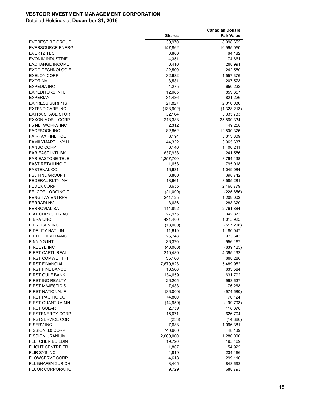|                                                   |                     | <b>Canadian Dollars</b> |
|---------------------------------------------------|---------------------|-------------------------|
|                                                   | <b>Shares</b>       | <b>Fair Value</b>       |
| EVEREST RE GROUP                                  | 30,970              | 8,998,652               |
| <b>EVERSOURCE ENERG</b>                           | 147,862             | 10,965,050              |
| <b>EVERTZ TECH</b>                                | 3,800               | 64,182                  |
| <b>EVONIK INDUSTRIE</b>                           | 4,351               | 174,661                 |
| <b>EXCHANGE INCOME</b>                            | 6,416               | 268,991                 |
| <b>EXCO TECHNOLOGIE</b>                           | 22,500              | 242,550                 |
| <b>EXELON CORP</b>                                | 32,682              | 1,557,376               |
| EXOR NV                                           | 3,581               | 207,573                 |
| <b>EXPEDIA INC</b>                                | 4,275               | 650,232                 |
| <b>EXPEDITORS INTL</b>                            | 12,085              | 859,357                 |
| <b>EXPERIAN</b>                                   | 31,486              | 821,226                 |
| <b>EXPRESS SCRIPTS</b>                            | 21,827              | 2,016,036               |
| <b>EXTENDICARE INC</b>                            | (133,902)           | (1,328,213)             |
| <b>EXTRA SPACE STOR</b>                           | 32,164              | 3,335,733               |
| <b>EXXON MOBIL CORP</b>                           | 213,383             | 25,860,334              |
| <b>F5 NETWORKS INC</b>                            | 2,312               | 449,258                 |
| <b>FACEBOOK INC</b>                               | 82,862              | 12,800,326              |
| <b>FAIRFAX FINL HOL</b>                           | 8,194               | 5,313,809               |
| <b>FAMILYMART UNY H</b>                           | 44,332              | 3,965,637               |
| <b>FANUC CORP</b>                                 | 6,146               | 1,400,241               |
| <b>FAR EAST INTL BK</b>                           | 637,938             | 241,556                 |
| <b>FAR EASTONE TELE</b>                           | 1,257,700           | 3,794,138               |
| <b>FAST RETAILING C</b>                           | 1,653               | 795,018                 |
| <b>FASTENAL CO</b>                                | 16,631              | 1,049,084               |
| FBL FINL GROUP I                                  | 3,800               | 398,742                 |
| FEDERAL RLTY INV                                  | 18,661              | 3,585,281               |
| <b>FEDEX CORP</b>                                 | 8,655               | 2,168,779               |
| <b>FELCOR LODGING T</b>                           | (21,000)            | (225, 856)              |
| <b>FENG TAY ENTRPRI</b>                           | 241,125             | 1,209,003               |
| <b>FERRARI NV</b>                                 | 3,686               | 288,320                 |
| <b>FERROVIAL SA</b>                               | 114,892             | 2,761,884               |
| <b>FIAT CHRYSLER AU</b>                           | 27,975              | 342,873                 |
| FIBRA UNO                                         | 491,400             | 1,015,925               |
| <b>FIBROGEN INC</b>                               | (18,000)            | (517, 208)              |
| FIDELITY NATL IN                                  | 11,619              | 1,180,047               |
| FIFTH THIRD BANC                                  | 26,748              | 973,643                 |
| <b>FINNING INTL</b>                               | 36,370              | 956,167                 |
| <b>FIREEYE INC</b>                                | (40,000)            | (639, 125)              |
| <b>FIRST CAPTL REAL</b>                           | 210,430             | 4,395,192               |
| <b>FIRST COMWLTH FI</b><br><b>FIRST FINANCIAL</b> | 35,100              | 668,286                 |
| <b>FIRST FINL BANCO</b>                           | 7,670,823<br>16,500 | 5,489,952               |
|                                                   |                     | 633,584                 |
| <b>FIRST GULF BANK</b>                            | 134,659             | 631,792                 |
| FIRST IND REALTY                                  | 26,205              | 993,637                 |
| <b>FIRST MAJESTIC S</b>                           | 7,433               | 76,263                  |
| <b>FIRST NATIONAL F</b><br>FIRST PACIFIC CO       | (36,000)            | (974, 580)              |
| FIRST QUANTUM MN                                  | 74,800              | 70,124                  |
| <b>FIRST SOLAR</b>                                | (14, 959)<br>2,759  | (199, 703)              |
| <b>FIRSTENERGY CORP</b>                           | 15,071              | 118,878                 |
| <b>FIRSTSERVICE COR</b>                           |                     | 626,704                 |
|                                                   | (233)               | (14, 886)               |
| <b>FISERV INC</b><br>FISSION 3.0 CORP             | 7,683<br>740,600    | 1,096,381               |
|                                                   | 2,000,000           | 48,139                  |
| <b>FISSION URANIUM</b><br><b>FLETCHER BUILDIN</b> |                     | 1,280,000               |
| <b>FLIGHT CENTRE TR</b>                           | 19,720              | 195,469                 |
| <b>FLIR SYS INC</b>                               | 1,807<br>4,819      | 54,922<br>234,166       |
| <b>FLOWSERVE CORP</b>                             | 4,618               | 299,116                 |
| <b>FLUGHAFEN ZURICH</b>                           | 3,405               | 848,693                 |
| FLUOR CORPORATIO                                  |                     |                         |
|                                                   | 9,729               | 688,793                 |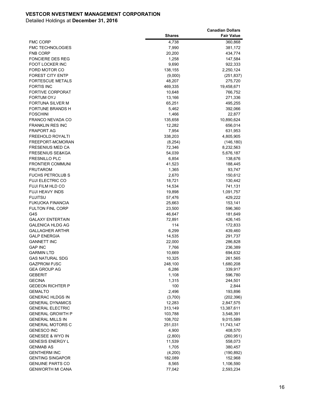|                                               |                  | <b>Canadian Dollars</b> |
|-----------------------------------------------|------------------|-------------------------|
|                                               | <b>Shares</b>    | <b>Fair Value</b>       |
| <b>FMC CORP</b>                               | 4,738            | 360,868                 |
| <b>FMC TECHNOLOGIES</b>                       | 7,990            | 381,172                 |
| <b>FNB CORP</b>                               | 20,200           | 434,774                 |
| <b>FONCIERE DES REG</b>                       | 1,258            | 147,584                 |
| <b>FOOT LOCKER INC</b>                        | 9,690            | 922,333                 |
| FORD MOTOR CO                                 | 138,155          | 2,250,124               |
| <b>FOREST CITY ENTP</b>                       | (9,000)          | (251, 837)              |
| <b>FORTESCUE METALS</b>                       | 48,207           | 275,720                 |
| <b>FORTIS INC</b>                             | 469,335          | 19,458,671              |
| <b>FORTIVE CORPORAT</b>                       | 10,648           | 766,752                 |
| FORTUM OYJ                                    | 13,166           | 271,336                 |
| <b>FORTUNA SILVER M</b>                       | 65,251           | 495,255                 |
| <b>FORTUNE BRANDS H</b>                       | 5,462            | 392,066                 |
| <b>FOSCHINI</b>                               | 1,466            | 22,877                  |
| <b>FRANCO NEVADA CO</b>                       | 135,658          | 10,890,624              |
| <b>FRANKLIN RES INC</b>                       | 12,282           | 656,014                 |
| <b>FRAPORT AG</b>                             | 7,954            | 631,953                 |
| FREEHOLD ROYALTI                              | 338,203          | 4,805,905               |
| FREEPORT-MCMORAN                              | (8, 254)         | (146, 180)              |
| <b>FRESENIUS MED CA</b>                       | 72,346           | 8,232,563               |
| <b>FRESENIUS SE&amp;KGA</b>                   | 54,039           | 5,676,187               |
| <b>FRESNILLO PLC</b>                          | 6,854            | 138,676                 |
| <b>FRONTIER COMMUNI</b>                       | 41,523           | 188,445                 |
| <b>FRUTAROM</b>                               | 1,365            | 93,747                  |
| <b>FUCHS PETROLUB S</b>                       | 2,670            | 150,612                 |
| <b>FUJI ELECTRIC CO</b>                       | 18,721           | 130,442                 |
| FUJI FILM HLD CO                              | 14,534           | 741,131                 |
| FUJI HEAVY INDS                               | 19,898           | 1,091,757               |
| <b>FUJITSU</b>                                | 57,476           | 429,222                 |
| <b>FUKUOKA FINANCIA</b>                       | 25,663           | 153,141                 |
| <b>FULTON FINL CORP</b>                       | 23,500           | 596,360                 |
| G4S                                           | 46,647           | 181,649                 |
| <b>GALAXY ENTERTAIN</b>                       | 72,891           | 426,145                 |
| <b>GALENICA HLDG AG</b>                       | 114              | 172,833                 |
| <b>GALLAGHER ARTHR</b>                        | 6,299            | 439,460                 |
| <b>GALP ENERGIA</b>                           | 14,535           | 291,737                 |
| <b>GANNETT INC</b>                            | 22,000           | 286,828                 |
| <b>GAP INC</b>                                | 7,766            | 236,389                 |
| <b>GARMIN LTD</b>                             | 10,669           | 694,632                 |
| <b>GAS NATURAL SDG</b><br><b>GAZPROM PJSC</b> | 10,325           | 261,565                 |
| <b>GEA GROUP AG</b>                           | 248,100<br>6,286 | 1,680,208<br>339,917    |
| <b>GEBERIT</b>                                | 1,108            | 596,780                 |
| <b>GECINA</b>                                 |                  | 244,501                 |
| <b>GEDEON RICHTER P</b>                       | 1,315<br>100     | 2,844                   |
| <b>GEMALTO</b>                                | 2,496            | 193,896                 |
| <b>GENERAC HLDGS IN</b>                       | (3,700)          | (202, 396)              |
| <b>GENERAL DYNAMICS</b>                       | 12,283           | 2,847,575               |
| <b>GENERAL ELECTRIC</b>                       | 313,149          | 13,387,611              |
| <b>GENERAL GROWTH P</b>                       | 103,788          | 3,548,391               |
| <b>GENERAL MILLS IN</b>                       | 108,702          | 9,015,589               |
| <b>GENERAL MOTORS C</b>                       | 251,031          | 11,743,147              |
| <b>GENESCO INC</b>                            | 4,900            | 408,570                 |
| <b>GENESEE &amp; WYO IN</b>                   | (2,800)          | (260, 951)              |
| <b>GENESIS ENERGY L</b>                       | 11,539           | 558,073                 |
| <b>GENMAB AS</b>                              | 1,705            | 380,457                 |
| <b>GENTHERM INC</b>                           | (4,200)          | (190, 892)              |
| <b>GENTING SINGAPOR</b>                       | 182,089          | 152,968                 |
| <b>GENUINE PARTS CO</b>                       | 8,565            | 1,106,590               |
| <b>GENWORTH MI CANA</b>                       | 77,042           | 2,593,234               |
|                                               |                  |                         |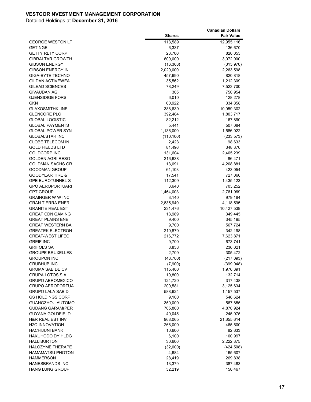|                             |               | <b>Canadian Dollars</b> |
|-----------------------------|---------------|-------------------------|
|                             | <b>Shares</b> | <b>Fair Value</b>       |
| <b>GEORGE WESTON LT</b>     | 113,589       | 12,955,116              |
| <b>GETINGE</b>              | 6,337         | 136,670                 |
| <b>GETTY RLTY CORP</b>      | 23,700        | 820,053                 |
| <b>GIBRALTAR GROWTH</b>     | 600,000       | 3,072,000               |
| <b>GIBSON ENERGY</b>        | (16, 363)     | (315, 970)              |
| <b>GIBSON ENERGY IN</b>     | 2,020,000     | 2,263,598               |
| <b>GIGA-BYTE TECHNO</b>     | 457,690       | 820,818                 |
| <b>GILDAN ACTIVEWEA</b>     | 35,562        | 1,212,309               |
| <b>GILEAD SCIENCES</b>      | 78,249        | 7,523,700               |
| <b>GIVAUDAN AG</b>          | 305           | 750,954                 |
| <b>GJENSIDIGE FORSI</b>     | 6,010         | 128,278                 |
| <b>GKN</b>                  | 60,922        | 334,858                 |
| <b>GLAXOSMITHKLINE</b>      | 388,639       | 10,059,302              |
| <b>GLENCORE PLC</b>         | 392,464       | 1,803,717               |
| <b>GLOBAL LOGISTIC</b>      | 82,212        | 167,890                 |
| <b>GLOBAL PAYMENTS</b>      | 5,441         | 507,084                 |
| <b>GLOBAL POWER SYN</b>     | 1,136,000     | 1,586,022               |
| <b>GLOBALSTAR INC</b>       | (110, 100)    | (233, 573)              |
| <b>GLOBE TELECOM IN</b>     | 2,423         | 98,633                  |
| <b>GOLD FIELDS LTD</b>      | 81,496        | 348,370                 |
| <b>GOLDCORP INC</b>         | 131,604       | 2,405,239               |
| <b>GOLDEN AGRI RESO</b>     | 216,638       | 86,471                  |
| <b>GOLDMAN SACHS GR</b>     | 13,091        | 4,208,881               |
| <b>GOODMAN GROUP</b>        | 61,103        | 423,054                 |
| <b>GOODYEAR TIRE &amp;</b>  | 17,541        | 727,060                 |
| <b>GPE EUROTUNNEL S</b>     | 112,309       | 1,435,123               |
| <b>GPO AEROPORTUARI</b>     | 3,640         | 703,252                 |
| <b>GPT GROUP</b>            | 1,464,003     | 2,761,969               |
| <b>GRAINGER W W INC</b>     | 3,140         | 979,184                 |
| <b>GRAN TIERRA ENER</b>     | 2,835,940     | 4,118,595               |
| <b>GRANITE REAL EST</b>     | 231,476       | 10,427,538              |
| <b>GREAT CDN GAMING</b>     | 13,989        | 349,445                 |
| <b>GREAT PLAINS ENE</b>     | 9,400         | 345,195                 |
| <b>GREAT WESTERN BA</b>     | 9,700         | 567,724                 |
| <b>GREATEK ELECTRON</b>     | 210,870       | 342,198                 |
| <b>GREAT-WEST LIFEC</b>     | 216,772       | 7,623,871               |
| <b>GREIF INC</b>            | 9,700         | 673,741                 |
| <b>GRIFOLS SA</b>           | 8,838         | 236,021                 |
| <b>GROUPE BRUXELLES</b>     | 2,709         | 305,472                 |
| <b>GROUPON INC</b>          | (48, 700)     | (217,093)               |
| <b>GRUBHUB INC</b>          | (7,900)       | (399, 048)              |
| <b>GRUMA SAB DE CV</b>      | 115,400       | 1,976,391               |
| GRUPA LOTOS S.A.            | 10,800        | 132,714                 |
| <b>GRUPO AEROMEXICO</b>     | 124,720       | 317,438                 |
| <b>GRUPO AEROPORTUA</b>     | 200,581       | 3,125,634               |
| <b>GRUPO LALA SAB D</b>     | 588,624       | 1,157,537               |
| <b>GS HOLDINGS CORP</b>     | 9,100         | 546,624                 |
| <b>GUANGZHOU AUTOMO</b>     | 350,000       | 567,855                 |
| <b>GUDANG GARAM(PER</b>     | 765,800       | 4,870,924               |
| <b>GUYANA GOLDFIELD</b>     | 40,045        | 245,075                 |
| <b>H&amp;R REAL EST INV</b> | 968,065       | 21,655,614              |
| <b>H2O INNOVATION</b>       | 266,000       | 465,500                 |
| <b>HACHIJUNI BANK</b>       | 10,600        | 82,633                  |
| <b>HAKUHODO DY HLDG</b>     | 6,100         | 100,997                 |
| <b>HALLIBURTON</b>          | 30,600        | 2,222,375               |
| <b>HALOZYME THERAPE</b>     | (32,000)      | (424, 508)              |
| HAMAMATSU PHOTON            | 4,684         | 165,607                 |
| HAMMERSON                   | 28,419        | 269,838                 |
| <b>HANESBRANDS INC</b>      | 13,379        | 387,483                 |
| <b>HANG LUNG GROUP</b>      | 32,219        | 150,467                 |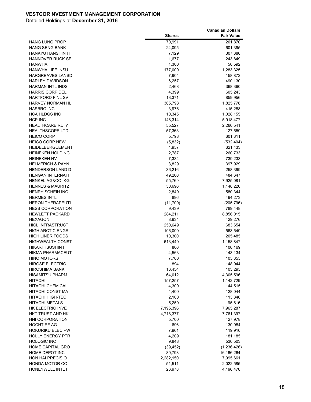| <b>Shares</b><br><b>Fair Value</b><br><b>HANG LUNG PROP</b><br>70,991<br>201,870<br><b>HANG SENG BANK</b><br>24,095<br>601,395<br>7,129<br>307,380<br><b>HANKYU HANSHIN H</b><br><b>HANNOVER RUCK SE</b><br>1,677<br>243,849<br>1,300<br>50,592<br><b>HANWHA</b><br><b>HANWHA LIFE INSU</b><br>177,000<br>1,283,325<br><b>HARGREAVES LANSD</b><br>7,904<br>158,872<br><b>HARLEY DAVIDSON</b><br>6,257<br>490,130<br><b>HARMAN INTL INDS</b><br>2,468<br>368,360<br><b>HARRIS CORP DEL</b><br>4,399<br>605,243<br><b>HARTFORD FINL SV</b><br>13,371<br>859,956<br><b>HARVEY NORMAN HL</b><br>365,798<br>1,825,778<br><b>HASBRO INC</b><br>3,976<br>415,288<br><b>HCA HLDGS INC</b><br>10,345<br>1,028,155<br><b>HCP INC</b><br>148,314<br>5,918,477<br><b>HEALTHCARE RLTY</b><br>55,527<br>2,260,541<br><b>HEALTHSCOPE LTD</b><br>57,363<br>127,559<br>601,311<br><b>HEICO CORP</b><br>5,798<br><b>HEICO CORP NEW</b><br>(5,832)<br>(532, 404)<br><b>HEIDELBERGCEMENT</b><br>4,957<br>621,433<br><b>HEINEKEN HOLDING</b><br>2,787<br>260,733<br><b>HEINEKEN NV</b><br>7,334<br>739,233<br><b>HELMERICH &amp; PAYN</b><br>3,829<br>397,929<br><b>HENDERSON LAND D</b><br>36,216<br>258,399<br>49,200<br><b>HENGAN INTERNATI</b><br>484,647<br><b>HENKEL AG&amp;CO. KG</b><br>55,769<br>7,925,081<br><b>HENNES &amp; MAURITZ</b><br>30,696<br>1,148,226<br>HENRY SCHEIN INC<br>2,849<br>580,344<br><b>HERMES INTL</b><br>896<br>494,273<br><b>HERON THERAPEUTI</b><br>(11,700)<br>(205, 796)<br><b>HESS CORPORATION</b><br>9,439<br>789,448<br><b>HEWLETT PACKARD</b><br>284,211<br>8,856,015<br>8,934<br><b>HEXAGON</b><br>429,276<br><b>HICL INFRASTRUCT</b><br>250,649<br>683,654<br><b>HIGH ARCTIC ENGR</b><br>106,000<br>563,549<br><b>HIGH LINER FOODS</b><br>10,300<br>205,485<br><b>HIGHWEALTH CONST</b><br>613,440<br>1,158,847<br>HIKARI TSUSHIN I<br>800<br>100,169<br>4,563<br><b>HIKMA PHARMACEUT</b><br>143,134<br><b>HINO MOTORS</b><br>7,700<br>105,355<br><b>HIROSE ELECTRIC</b><br>894<br>148,944<br>16,454<br>103,295<br>HIROSHIMA BANK<br><b>HISAMITSU PHARM</b><br>64,012<br>4,305,596<br><b>HITACHI</b><br>157,257<br>1,142,729<br><b>HITACHI CHEMICAL</b><br>4,300<br>144,515<br>HITACHI CONST MA<br>4,400<br>128,044<br>HITACHI HIGH-TEC<br>2,100<br>113,846<br><b>HITACHI METALS</b><br>5,250<br>95,616<br>HK ELECTRIC INVE<br>7,195,396<br>7,965,287<br>HKT TRUST AND HK<br>4,718,377<br>7,761,397<br><b>HNI CORPORATION</b><br>5,700<br>427,978<br><b>HOCHTIEF AG</b><br>696<br>130,984<br><b>HOKURIKU ELEC PW</b><br>7,961<br>119,910<br><b>HOLLY ENERGY PTR</b><br>4,209<br>181,185<br><b>HOLOGIC INC</b><br>9,848<br>530,503<br><b>HOME CAPITAL GRO</b><br>(1,236,426)<br>(39, 452)<br>HOME DEPOT INC<br>89,798<br>16,166,264<br><b>HON HAI PRECISIO</b><br>2,282,150<br>7,995,661<br>HONDA MOTOR CO<br>51,511<br>2,022,585<br>26,978 |                  | <b>Canadian Dollars</b> |
|------------------------------------------------------------------------------------------------------------------------------------------------------------------------------------------------------------------------------------------------------------------------------------------------------------------------------------------------------------------------------------------------------------------------------------------------------------------------------------------------------------------------------------------------------------------------------------------------------------------------------------------------------------------------------------------------------------------------------------------------------------------------------------------------------------------------------------------------------------------------------------------------------------------------------------------------------------------------------------------------------------------------------------------------------------------------------------------------------------------------------------------------------------------------------------------------------------------------------------------------------------------------------------------------------------------------------------------------------------------------------------------------------------------------------------------------------------------------------------------------------------------------------------------------------------------------------------------------------------------------------------------------------------------------------------------------------------------------------------------------------------------------------------------------------------------------------------------------------------------------------------------------------------------------------------------------------------------------------------------------------------------------------------------------------------------------------------------------------------------------------------------------------------------------------------------------------------------------------------------------------------------------------------------------------------------------------------------------------------------------------------------------------------------------------------------------------------------------------------------------------------------------------------------------------------------------------------------------------------------------------------------------------------------------------------------------------------------------------------------------------------------------------------------------------------------------------------------------------------------|------------------|-------------------------|
|                                                                                                                                                                                                                                                                                                                                                                                                                                                                                                                                                                                                                                                                                                                                                                                                                                                                                                                                                                                                                                                                                                                                                                                                                                                                                                                                                                                                                                                                                                                                                                                                                                                                                                                                                                                                                                                                                                                                                                                                                                                                                                                                                                                                                                                                                                                                                                                                                                                                                                                                                                                                                                                                                                                                                                                                                                                                  |                  |                         |
|                                                                                                                                                                                                                                                                                                                                                                                                                                                                                                                                                                                                                                                                                                                                                                                                                                                                                                                                                                                                                                                                                                                                                                                                                                                                                                                                                                                                                                                                                                                                                                                                                                                                                                                                                                                                                                                                                                                                                                                                                                                                                                                                                                                                                                                                                                                                                                                                                                                                                                                                                                                                                                                                                                                                                                                                                                                                  |                  |                         |
|                                                                                                                                                                                                                                                                                                                                                                                                                                                                                                                                                                                                                                                                                                                                                                                                                                                                                                                                                                                                                                                                                                                                                                                                                                                                                                                                                                                                                                                                                                                                                                                                                                                                                                                                                                                                                                                                                                                                                                                                                                                                                                                                                                                                                                                                                                                                                                                                                                                                                                                                                                                                                                                                                                                                                                                                                                                                  |                  |                         |
|                                                                                                                                                                                                                                                                                                                                                                                                                                                                                                                                                                                                                                                                                                                                                                                                                                                                                                                                                                                                                                                                                                                                                                                                                                                                                                                                                                                                                                                                                                                                                                                                                                                                                                                                                                                                                                                                                                                                                                                                                                                                                                                                                                                                                                                                                                                                                                                                                                                                                                                                                                                                                                                                                                                                                                                                                                                                  |                  |                         |
|                                                                                                                                                                                                                                                                                                                                                                                                                                                                                                                                                                                                                                                                                                                                                                                                                                                                                                                                                                                                                                                                                                                                                                                                                                                                                                                                                                                                                                                                                                                                                                                                                                                                                                                                                                                                                                                                                                                                                                                                                                                                                                                                                                                                                                                                                                                                                                                                                                                                                                                                                                                                                                                                                                                                                                                                                                                                  |                  |                         |
|                                                                                                                                                                                                                                                                                                                                                                                                                                                                                                                                                                                                                                                                                                                                                                                                                                                                                                                                                                                                                                                                                                                                                                                                                                                                                                                                                                                                                                                                                                                                                                                                                                                                                                                                                                                                                                                                                                                                                                                                                                                                                                                                                                                                                                                                                                                                                                                                                                                                                                                                                                                                                                                                                                                                                                                                                                                                  |                  |                         |
|                                                                                                                                                                                                                                                                                                                                                                                                                                                                                                                                                                                                                                                                                                                                                                                                                                                                                                                                                                                                                                                                                                                                                                                                                                                                                                                                                                                                                                                                                                                                                                                                                                                                                                                                                                                                                                                                                                                                                                                                                                                                                                                                                                                                                                                                                                                                                                                                                                                                                                                                                                                                                                                                                                                                                                                                                                                                  |                  |                         |
|                                                                                                                                                                                                                                                                                                                                                                                                                                                                                                                                                                                                                                                                                                                                                                                                                                                                                                                                                                                                                                                                                                                                                                                                                                                                                                                                                                                                                                                                                                                                                                                                                                                                                                                                                                                                                                                                                                                                                                                                                                                                                                                                                                                                                                                                                                                                                                                                                                                                                                                                                                                                                                                                                                                                                                                                                                                                  |                  |                         |
|                                                                                                                                                                                                                                                                                                                                                                                                                                                                                                                                                                                                                                                                                                                                                                                                                                                                                                                                                                                                                                                                                                                                                                                                                                                                                                                                                                                                                                                                                                                                                                                                                                                                                                                                                                                                                                                                                                                                                                                                                                                                                                                                                                                                                                                                                                                                                                                                                                                                                                                                                                                                                                                                                                                                                                                                                                                                  |                  |                         |
|                                                                                                                                                                                                                                                                                                                                                                                                                                                                                                                                                                                                                                                                                                                                                                                                                                                                                                                                                                                                                                                                                                                                                                                                                                                                                                                                                                                                                                                                                                                                                                                                                                                                                                                                                                                                                                                                                                                                                                                                                                                                                                                                                                                                                                                                                                                                                                                                                                                                                                                                                                                                                                                                                                                                                                                                                                                                  |                  |                         |
|                                                                                                                                                                                                                                                                                                                                                                                                                                                                                                                                                                                                                                                                                                                                                                                                                                                                                                                                                                                                                                                                                                                                                                                                                                                                                                                                                                                                                                                                                                                                                                                                                                                                                                                                                                                                                                                                                                                                                                                                                                                                                                                                                                                                                                                                                                                                                                                                                                                                                                                                                                                                                                                                                                                                                                                                                                                                  |                  |                         |
|                                                                                                                                                                                                                                                                                                                                                                                                                                                                                                                                                                                                                                                                                                                                                                                                                                                                                                                                                                                                                                                                                                                                                                                                                                                                                                                                                                                                                                                                                                                                                                                                                                                                                                                                                                                                                                                                                                                                                                                                                                                                                                                                                                                                                                                                                                                                                                                                                                                                                                                                                                                                                                                                                                                                                                                                                                                                  |                  |                         |
|                                                                                                                                                                                                                                                                                                                                                                                                                                                                                                                                                                                                                                                                                                                                                                                                                                                                                                                                                                                                                                                                                                                                                                                                                                                                                                                                                                                                                                                                                                                                                                                                                                                                                                                                                                                                                                                                                                                                                                                                                                                                                                                                                                                                                                                                                                                                                                                                                                                                                                                                                                                                                                                                                                                                                                                                                                                                  |                  |                         |
|                                                                                                                                                                                                                                                                                                                                                                                                                                                                                                                                                                                                                                                                                                                                                                                                                                                                                                                                                                                                                                                                                                                                                                                                                                                                                                                                                                                                                                                                                                                                                                                                                                                                                                                                                                                                                                                                                                                                                                                                                                                                                                                                                                                                                                                                                                                                                                                                                                                                                                                                                                                                                                                                                                                                                                                                                                                                  |                  |                         |
|                                                                                                                                                                                                                                                                                                                                                                                                                                                                                                                                                                                                                                                                                                                                                                                                                                                                                                                                                                                                                                                                                                                                                                                                                                                                                                                                                                                                                                                                                                                                                                                                                                                                                                                                                                                                                                                                                                                                                                                                                                                                                                                                                                                                                                                                                                                                                                                                                                                                                                                                                                                                                                                                                                                                                                                                                                                                  |                  |                         |
|                                                                                                                                                                                                                                                                                                                                                                                                                                                                                                                                                                                                                                                                                                                                                                                                                                                                                                                                                                                                                                                                                                                                                                                                                                                                                                                                                                                                                                                                                                                                                                                                                                                                                                                                                                                                                                                                                                                                                                                                                                                                                                                                                                                                                                                                                                                                                                                                                                                                                                                                                                                                                                                                                                                                                                                                                                                                  |                  |                         |
|                                                                                                                                                                                                                                                                                                                                                                                                                                                                                                                                                                                                                                                                                                                                                                                                                                                                                                                                                                                                                                                                                                                                                                                                                                                                                                                                                                                                                                                                                                                                                                                                                                                                                                                                                                                                                                                                                                                                                                                                                                                                                                                                                                                                                                                                                                                                                                                                                                                                                                                                                                                                                                                                                                                                                                                                                                                                  |                  |                         |
|                                                                                                                                                                                                                                                                                                                                                                                                                                                                                                                                                                                                                                                                                                                                                                                                                                                                                                                                                                                                                                                                                                                                                                                                                                                                                                                                                                                                                                                                                                                                                                                                                                                                                                                                                                                                                                                                                                                                                                                                                                                                                                                                                                                                                                                                                                                                                                                                                                                                                                                                                                                                                                                                                                                                                                                                                                                                  |                  |                         |
|                                                                                                                                                                                                                                                                                                                                                                                                                                                                                                                                                                                                                                                                                                                                                                                                                                                                                                                                                                                                                                                                                                                                                                                                                                                                                                                                                                                                                                                                                                                                                                                                                                                                                                                                                                                                                                                                                                                                                                                                                                                                                                                                                                                                                                                                                                                                                                                                                                                                                                                                                                                                                                                                                                                                                                                                                                                                  |                  |                         |
|                                                                                                                                                                                                                                                                                                                                                                                                                                                                                                                                                                                                                                                                                                                                                                                                                                                                                                                                                                                                                                                                                                                                                                                                                                                                                                                                                                                                                                                                                                                                                                                                                                                                                                                                                                                                                                                                                                                                                                                                                                                                                                                                                                                                                                                                                                                                                                                                                                                                                                                                                                                                                                                                                                                                                                                                                                                                  |                  |                         |
|                                                                                                                                                                                                                                                                                                                                                                                                                                                                                                                                                                                                                                                                                                                                                                                                                                                                                                                                                                                                                                                                                                                                                                                                                                                                                                                                                                                                                                                                                                                                                                                                                                                                                                                                                                                                                                                                                                                                                                                                                                                                                                                                                                                                                                                                                                                                                                                                                                                                                                                                                                                                                                                                                                                                                                                                                                                                  |                  |                         |
|                                                                                                                                                                                                                                                                                                                                                                                                                                                                                                                                                                                                                                                                                                                                                                                                                                                                                                                                                                                                                                                                                                                                                                                                                                                                                                                                                                                                                                                                                                                                                                                                                                                                                                                                                                                                                                                                                                                                                                                                                                                                                                                                                                                                                                                                                                                                                                                                                                                                                                                                                                                                                                                                                                                                                                                                                                                                  |                  |                         |
|                                                                                                                                                                                                                                                                                                                                                                                                                                                                                                                                                                                                                                                                                                                                                                                                                                                                                                                                                                                                                                                                                                                                                                                                                                                                                                                                                                                                                                                                                                                                                                                                                                                                                                                                                                                                                                                                                                                                                                                                                                                                                                                                                                                                                                                                                                                                                                                                                                                                                                                                                                                                                                                                                                                                                                                                                                                                  |                  |                         |
|                                                                                                                                                                                                                                                                                                                                                                                                                                                                                                                                                                                                                                                                                                                                                                                                                                                                                                                                                                                                                                                                                                                                                                                                                                                                                                                                                                                                                                                                                                                                                                                                                                                                                                                                                                                                                                                                                                                                                                                                                                                                                                                                                                                                                                                                                                                                                                                                                                                                                                                                                                                                                                                                                                                                                                                                                                                                  |                  |                         |
|                                                                                                                                                                                                                                                                                                                                                                                                                                                                                                                                                                                                                                                                                                                                                                                                                                                                                                                                                                                                                                                                                                                                                                                                                                                                                                                                                                                                                                                                                                                                                                                                                                                                                                                                                                                                                                                                                                                                                                                                                                                                                                                                                                                                                                                                                                                                                                                                                                                                                                                                                                                                                                                                                                                                                                                                                                                                  |                  |                         |
|                                                                                                                                                                                                                                                                                                                                                                                                                                                                                                                                                                                                                                                                                                                                                                                                                                                                                                                                                                                                                                                                                                                                                                                                                                                                                                                                                                                                                                                                                                                                                                                                                                                                                                                                                                                                                                                                                                                                                                                                                                                                                                                                                                                                                                                                                                                                                                                                                                                                                                                                                                                                                                                                                                                                                                                                                                                                  |                  |                         |
|                                                                                                                                                                                                                                                                                                                                                                                                                                                                                                                                                                                                                                                                                                                                                                                                                                                                                                                                                                                                                                                                                                                                                                                                                                                                                                                                                                                                                                                                                                                                                                                                                                                                                                                                                                                                                                                                                                                                                                                                                                                                                                                                                                                                                                                                                                                                                                                                                                                                                                                                                                                                                                                                                                                                                                                                                                                                  |                  |                         |
|                                                                                                                                                                                                                                                                                                                                                                                                                                                                                                                                                                                                                                                                                                                                                                                                                                                                                                                                                                                                                                                                                                                                                                                                                                                                                                                                                                                                                                                                                                                                                                                                                                                                                                                                                                                                                                                                                                                                                                                                                                                                                                                                                                                                                                                                                                                                                                                                                                                                                                                                                                                                                                                                                                                                                                                                                                                                  |                  |                         |
|                                                                                                                                                                                                                                                                                                                                                                                                                                                                                                                                                                                                                                                                                                                                                                                                                                                                                                                                                                                                                                                                                                                                                                                                                                                                                                                                                                                                                                                                                                                                                                                                                                                                                                                                                                                                                                                                                                                                                                                                                                                                                                                                                                                                                                                                                                                                                                                                                                                                                                                                                                                                                                                                                                                                                                                                                                                                  |                  |                         |
|                                                                                                                                                                                                                                                                                                                                                                                                                                                                                                                                                                                                                                                                                                                                                                                                                                                                                                                                                                                                                                                                                                                                                                                                                                                                                                                                                                                                                                                                                                                                                                                                                                                                                                                                                                                                                                                                                                                                                                                                                                                                                                                                                                                                                                                                                                                                                                                                                                                                                                                                                                                                                                                                                                                                                                                                                                                                  |                  |                         |
|                                                                                                                                                                                                                                                                                                                                                                                                                                                                                                                                                                                                                                                                                                                                                                                                                                                                                                                                                                                                                                                                                                                                                                                                                                                                                                                                                                                                                                                                                                                                                                                                                                                                                                                                                                                                                                                                                                                                                                                                                                                                                                                                                                                                                                                                                                                                                                                                                                                                                                                                                                                                                                                                                                                                                                                                                                                                  |                  |                         |
|                                                                                                                                                                                                                                                                                                                                                                                                                                                                                                                                                                                                                                                                                                                                                                                                                                                                                                                                                                                                                                                                                                                                                                                                                                                                                                                                                                                                                                                                                                                                                                                                                                                                                                                                                                                                                                                                                                                                                                                                                                                                                                                                                                                                                                                                                                                                                                                                                                                                                                                                                                                                                                                                                                                                                                                                                                                                  |                  |                         |
|                                                                                                                                                                                                                                                                                                                                                                                                                                                                                                                                                                                                                                                                                                                                                                                                                                                                                                                                                                                                                                                                                                                                                                                                                                                                                                                                                                                                                                                                                                                                                                                                                                                                                                                                                                                                                                                                                                                                                                                                                                                                                                                                                                                                                                                                                                                                                                                                                                                                                                                                                                                                                                                                                                                                                                                                                                                                  |                  |                         |
|                                                                                                                                                                                                                                                                                                                                                                                                                                                                                                                                                                                                                                                                                                                                                                                                                                                                                                                                                                                                                                                                                                                                                                                                                                                                                                                                                                                                                                                                                                                                                                                                                                                                                                                                                                                                                                                                                                                                                                                                                                                                                                                                                                                                                                                                                                                                                                                                                                                                                                                                                                                                                                                                                                                                                                                                                                                                  |                  |                         |
|                                                                                                                                                                                                                                                                                                                                                                                                                                                                                                                                                                                                                                                                                                                                                                                                                                                                                                                                                                                                                                                                                                                                                                                                                                                                                                                                                                                                                                                                                                                                                                                                                                                                                                                                                                                                                                                                                                                                                                                                                                                                                                                                                                                                                                                                                                                                                                                                                                                                                                                                                                                                                                                                                                                                                                                                                                                                  |                  |                         |
|                                                                                                                                                                                                                                                                                                                                                                                                                                                                                                                                                                                                                                                                                                                                                                                                                                                                                                                                                                                                                                                                                                                                                                                                                                                                                                                                                                                                                                                                                                                                                                                                                                                                                                                                                                                                                                                                                                                                                                                                                                                                                                                                                                                                                                                                                                                                                                                                                                                                                                                                                                                                                                                                                                                                                                                                                                                                  |                  |                         |
|                                                                                                                                                                                                                                                                                                                                                                                                                                                                                                                                                                                                                                                                                                                                                                                                                                                                                                                                                                                                                                                                                                                                                                                                                                                                                                                                                                                                                                                                                                                                                                                                                                                                                                                                                                                                                                                                                                                                                                                                                                                                                                                                                                                                                                                                                                                                                                                                                                                                                                                                                                                                                                                                                                                                                                                                                                                                  |                  |                         |
|                                                                                                                                                                                                                                                                                                                                                                                                                                                                                                                                                                                                                                                                                                                                                                                                                                                                                                                                                                                                                                                                                                                                                                                                                                                                                                                                                                                                                                                                                                                                                                                                                                                                                                                                                                                                                                                                                                                                                                                                                                                                                                                                                                                                                                                                                                                                                                                                                                                                                                                                                                                                                                                                                                                                                                                                                                                                  |                  |                         |
|                                                                                                                                                                                                                                                                                                                                                                                                                                                                                                                                                                                                                                                                                                                                                                                                                                                                                                                                                                                                                                                                                                                                                                                                                                                                                                                                                                                                                                                                                                                                                                                                                                                                                                                                                                                                                                                                                                                                                                                                                                                                                                                                                                                                                                                                                                                                                                                                                                                                                                                                                                                                                                                                                                                                                                                                                                                                  |                  |                         |
|                                                                                                                                                                                                                                                                                                                                                                                                                                                                                                                                                                                                                                                                                                                                                                                                                                                                                                                                                                                                                                                                                                                                                                                                                                                                                                                                                                                                                                                                                                                                                                                                                                                                                                                                                                                                                                                                                                                                                                                                                                                                                                                                                                                                                                                                                                                                                                                                                                                                                                                                                                                                                                                                                                                                                                                                                                                                  |                  |                         |
|                                                                                                                                                                                                                                                                                                                                                                                                                                                                                                                                                                                                                                                                                                                                                                                                                                                                                                                                                                                                                                                                                                                                                                                                                                                                                                                                                                                                                                                                                                                                                                                                                                                                                                                                                                                                                                                                                                                                                                                                                                                                                                                                                                                                                                                                                                                                                                                                                                                                                                                                                                                                                                                                                                                                                                                                                                                                  |                  |                         |
|                                                                                                                                                                                                                                                                                                                                                                                                                                                                                                                                                                                                                                                                                                                                                                                                                                                                                                                                                                                                                                                                                                                                                                                                                                                                                                                                                                                                                                                                                                                                                                                                                                                                                                                                                                                                                                                                                                                                                                                                                                                                                                                                                                                                                                                                                                                                                                                                                                                                                                                                                                                                                                                                                                                                                                                                                                                                  |                  |                         |
|                                                                                                                                                                                                                                                                                                                                                                                                                                                                                                                                                                                                                                                                                                                                                                                                                                                                                                                                                                                                                                                                                                                                                                                                                                                                                                                                                                                                                                                                                                                                                                                                                                                                                                                                                                                                                                                                                                                                                                                                                                                                                                                                                                                                                                                                                                                                                                                                                                                                                                                                                                                                                                                                                                                                                                                                                                                                  |                  |                         |
|                                                                                                                                                                                                                                                                                                                                                                                                                                                                                                                                                                                                                                                                                                                                                                                                                                                                                                                                                                                                                                                                                                                                                                                                                                                                                                                                                                                                                                                                                                                                                                                                                                                                                                                                                                                                                                                                                                                                                                                                                                                                                                                                                                                                                                                                                                                                                                                                                                                                                                                                                                                                                                                                                                                                                                                                                                                                  |                  |                         |
|                                                                                                                                                                                                                                                                                                                                                                                                                                                                                                                                                                                                                                                                                                                                                                                                                                                                                                                                                                                                                                                                                                                                                                                                                                                                                                                                                                                                                                                                                                                                                                                                                                                                                                                                                                                                                                                                                                                                                                                                                                                                                                                                                                                                                                                                                                                                                                                                                                                                                                                                                                                                                                                                                                                                                                                                                                                                  |                  |                         |
|                                                                                                                                                                                                                                                                                                                                                                                                                                                                                                                                                                                                                                                                                                                                                                                                                                                                                                                                                                                                                                                                                                                                                                                                                                                                                                                                                                                                                                                                                                                                                                                                                                                                                                                                                                                                                                                                                                                                                                                                                                                                                                                                                                                                                                                                                                                                                                                                                                                                                                                                                                                                                                                                                                                                                                                                                                                                  |                  |                         |
|                                                                                                                                                                                                                                                                                                                                                                                                                                                                                                                                                                                                                                                                                                                                                                                                                                                                                                                                                                                                                                                                                                                                                                                                                                                                                                                                                                                                                                                                                                                                                                                                                                                                                                                                                                                                                                                                                                                                                                                                                                                                                                                                                                                                                                                                                                                                                                                                                                                                                                                                                                                                                                                                                                                                                                                                                                                                  |                  |                         |
|                                                                                                                                                                                                                                                                                                                                                                                                                                                                                                                                                                                                                                                                                                                                                                                                                                                                                                                                                                                                                                                                                                                                                                                                                                                                                                                                                                                                                                                                                                                                                                                                                                                                                                                                                                                                                                                                                                                                                                                                                                                                                                                                                                                                                                                                                                                                                                                                                                                                                                                                                                                                                                                                                                                                                                                                                                                                  |                  |                         |
|                                                                                                                                                                                                                                                                                                                                                                                                                                                                                                                                                                                                                                                                                                                                                                                                                                                                                                                                                                                                                                                                                                                                                                                                                                                                                                                                                                                                                                                                                                                                                                                                                                                                                                                                                                                                                                                                                                                                                                                                                                                                                                                                                                                                                                                                                                                                                                                                                                                                                                                                                                                                                                                                                                                                                                                                                                                                  |                  |                         |
|                                                                                                                                                                                                                                                                                                                                                                                                                                                                                                                                                                                                                                                                                                                                                                                                                                                                                                                                                                                                                                                                                                                                                                                                                                                                                                                                                                                                                                                                                                                                                                                                                                                                                                                                                                                                                                                                                                                                                                                                                                                                                                                                                                                                                                                                                                                                                                                                                                                                                                                                                                                                                                                                                                                                                                                                                                                                  |                  |                         |
|                                                                                                                                                                                                                                                                                                                                                                                                                                                                                                                                                                                                                                                                                                                                                                                                                                                                                                                                                                                                                                                                                                                                                                                                                                                                                                                                                                                                                                                                                                                                                                                                                                                                                                                                                                                                                                                                                                                                                                                                                                                                                                                                                                                                                                                                                                                                                                                                                                                                                                                                                                                                                                                                                                                                                                                                                                                                  |                  |                         |
|                                                                                                                                                                                                                                                                                                                                                                                                                                                                                                                                                                                                                                                                                                                                                                                                                                                                                                                                                                                                                                                                                                                                                                                                                                                                                                                                                                                                                                                                                                                                                                                                                                                                                                                                                                                                                                                                                                                                                                                                                                                                                                                                                                                                                                                                                                                                                                                                                                                                                                                                                                                                                                                                                                                                                                                                                                                                  |                  |                         |
|                                                                                                                                                                                                                                                                                                                                                                                                                                                                                                                                                                                                                                                                                                                                                                                                                                                                                                                                                                                                                                                                                                                                                                                                                                                                                                                                                                                                                                                                                                                                                                                                                                                                                                                                                                                                                                                                                                                                                                                                                                                                                                                                                                                                                                                                                                                                                                                                                                                                                                                                                                                                                                                                                                                                                                                                                                                                  |                  |                         |
|                                                                                                                                                                                                                                                                                                                                                                                                                                                                                                                                                                                                                                                                                                                                                                                                                                                                                                                                                                                                                                                                                                                                                                                                                                                                                                                                                                                                                                                                                                                                                                                                                                                                                                                                                                                                                                                                                                                                                                                                                                                                                                                                                                                                                                                                                                                                                                                                                                                                                                                                                                                                                                                                                                                                                                                                                                                                  |                  |                         |
|                                                                                                                                                                                                                                                                                                                                                                                                                                                                                                                                                                                                                                                                                                                                                                                                                                                                                                                                                                                                                                                                                                                                                                                                                                                                                                                                                                                                                                                                                                                                                                                                                                                                                                                                                                                                                                                                                                                                                                                                                                                                                                                                                                                                                                                                                                                                                                                                                                                                                                                                                                                                                                                                                                                                                                                                                                                                  |                  |                         |
|                                                                                                                                                                                                                                                                                                                                                                                                                                                                                                                                                                                                                                                                                                                                                                                                                                                                                                                                                                                                                                                                                                                                                                                                                                                                                                                                                                                                                                                                                                                                                                                                                                                                                                                                                                                                                                                                                                                                                                                                                                                                                                                                                                                                                                                                                                                                                                                                                                                                                                                                                                                                                                                                                                                                                                                                                                                                  |                  |                         |
|                                                                                                                                                                                                                                                                                                                                                                                                                                                                                                                                                                                                                                                                                                                                                                                                                                                                                                                                                                                                                                                                                                                                                                                                                                                                                                                                                                                                                                                                                                                                                                                                                                                                                                                                                                                                                                                                                                                                                                                                                                                                                                                                                                                                                                                                                                                                                                                                                                                                                                                                                                                                                                                                                                                                                                                                                                                                  |                  |                         |
|                                                                                                                                                                                                                                                                                                                                                                                                                                                                                                                                                                                                                                                                                                                                                                                                                                                                                                                                                                                                                                                                                                                                                                                                                                                                                                                                                                                                                                                                                                                                                                                                                                                                                                                                                                                                                                                                                                                                                                                                                                                                                                                                                                                                                                                                                                                                                                                                                                                                                                                                                                                                                                                                                                                                                                                                                                                                  |                  |                         |
|                                                                                                                                                                                                                                                                                                                                                                                                                                                                                                                                                                                                                                                                                                                                                                                                                                                                                                                                                                                                                                                                                                                                                                                                                                                                                                                                                                                                                                                                                                                                                                                                                                                                                                                                                                                                                                                                                                                                                                                                                                                                                                                                                                                                                                                                                                                                                                                                                                                                                                                                                                                                                                                                                                                                                                                                                                                                  |                  |                         |
|                                                                                                                                                                                                                                                                                                                                                                                                                                                                                                                                                                                                                                                                                                                                                                                                                                                                                                                                                                                                                                                                                                                                                                                                                                                                                                                                                                                                                                                                                                                                                                                                                                                                                                                                                                                                                                                                                                                                                                                                                                                                                                                                                                                                                                                                                                                                                                                                                                                                                                                                                                                                                                                                                                                                                                                                                                                                  |                  |                         |
|                                                                                                                                                                                                                                                                                                                                                                                                                                                                                                                                                                                                                                                                                                                                                                                                                                                                                                                                                                                                                                                                                                                                                                                                                                                                                                                                                                                                                                                                                                                                                                                                                                                                                                                                                                                                                                                                                                                                                                                                                                                                                                                                                                                                                                                                                                                                                                                                                                                                                                                                                                                                                                                                                                                                                                                                                                                                  | HONEYWELL INTL I | 4,196,476               |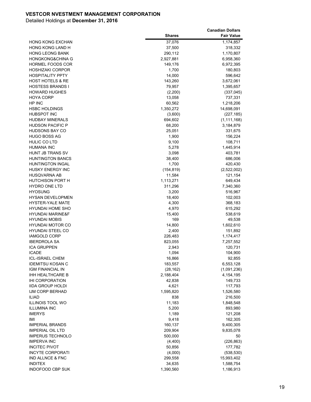|                             |               | <b>Canadian Dollars</b> |
|-----------------------------|---------------|-------------------------|
|                             | <b>Shares</b> | <b>Fair Value</b>       |
| <b>HONG KONG EXCHAN</b>     | 37,076        | 1,174,857               |
| <b>HONG KONG LAND H</b>     | 37,500        | 318,332                 |
| <b>HONG LEONG BANK</b>      | 290,112       | 1,170,807               |
| <b>HONGKONG&amp;CHINA G</b> | 2,927,881     | 6,958,360               |
| <b>HORMEL FOODS COR</b>     | 149,176       | 6,972,395               |
| <b>HOSHIZAKI CORPOR</b>     | 1,700         | 180,803                 |
| <b>HOSPITALITY PPTY</b>     | 14,000        | 596,642                 |
| HOST HOTELS & RE            | 143,260       | 3,672,061               |
| <b>HOSTESS BRANDS I</b>     | 79,957        | 1,395,657               |
| <b>HOWARD HUGHES</b>        | (2,200)       | (337, 045)              |
| <b>HOYA CORP</b>            | 13,058        | 737,331                 |
| HP INC                      | 60,562        | 1,218,206               |
| <b>HSBC HOLDINGS</b>        | 1,350,272     | 14,698,091              |
| <b>HUBSPOT INC</b>          | (3,600)       | (227, 185)              |
| <b>HUDBAY MINERALS</b>      | 694,602       | (1, 111, 168)           |
| <b>HUDSON PACIFIC P</b>     | 68,200        | 3,184,879               |
| <b>HUDSONS BAY CO</b>       | 25,051        | 331,675                 |
| <b>HUGO BOSS AG</b>         | 1,900         | 156,224                 |
| <b>HULIC CO LTD</b>         | 9,100         | 108,711                 |
| <b>HUMANA INC</b>           | 5,278         | 1,445,914               |
| <b>HUNT JB TRANS SV</b>     | 3,098         | 403,781                 |
| <b>HUNTINGTON BANCS</b>     | 38,400        | 686,006                 |
| <b>HUNTINGTON INGAL</b>     | 1,700         | 420,430                 |
| <b>HUSKY ENERGY INC</b>     | (154, 819)    | (2,522,002)             |
| HUSQVARNA AB                | 11,584        | 121,154                 |
| <b>HUTCHISON PORT H</b>     | 1,113,271     | 649,434                 |
| <b>HYDRO ONE LTD</b>        | 311,296       | 7,340,360               |
| <b>HYOSUNG</b>              | 3,200         | 516,967                 |
| <b>HYSAN DEVELOPMEN</b>     | 18,400        | 102,003                 |
| <b>HYSTER-YALE MATE</b>     | 4,300         | 368,183                 |
| HYUNDAI HOME SHO            | 4,970         | 615,292                 |
| <b>HYUNDAI MARINE&amp;F</b> | 15,400        | 538,619                 |
| <b>HYUNDAI MOBIS</b>        | 169           | 49,538                  |
| <b>HYUNDAI MOTOR CO</b>     | 14,800        | 1,602,610               |
| <b>HYUNDAI STEEL CO</b>     | 2,400         | 151,892                 |
| <b>IAMGOLD CORP</b>         | 226,483       | 1,174,417               |
| <b>IBERDROLA SA</b>         | 823,055       | 7,257,552               |
| <b>ICA GRUPPEN</b>          | 2,943         | 120,731                 |
| <b>ICADE</b>                | 1,094         | 104,900                 |
| <b>ICL-ISRAEL CHEM</b>      | 16,866        | 92,855                  |
| <b>IDEMITSU KOSAN C</b>     | 183,557       | 6,553,128               |
| <b>IGM FINANCIAL IN</b>     | (28, 162)     | (1,091,236)             |
| <b>IHH HEALTHCARE B</b>     | 2,188,404     | 4,154,195               |
| <b>IHI CORPORATION</b>      | 42,838        | 149,733                 |
| <b>IIDA GROUP HOLDI</b>     | 4,621         | 117,793                 |
| <b>IJM CORP BERHAD</b>      | 1,595,820     | 1,526,580               |
| ILIAD                       | 838           | 216,500                 |
| <b>ILLINOIS TOOL WO</b>     | 11,183        | 1,848,548               |
| <b>ILLUMINA INC</b>         | 5,200         | 893,980                 |
| <b>IMERYS</b>               | 1,189         | 121,208                 |
| IMI                         | 9,418         | 162,305                 |
| <b>IMPERIAL BRANDS</b>      | 160,137       | 9,400,305               |
| <b>IMPERIAL OIL LTD</b>     | 209,904       | 9,835,078               |
| <b>IMPERUS TECHNOLO</b>     | 500,000       | 50                      |
| <b>IMPERVA INC</b>          | (4,400)       | (226, 863)              |
| <b>INCITEC PIVOT</b>        | 50,856        | 177,782                 |
| <b>INCYTE CORPORATI</b>     | (4,000)       | (538, 530)              |
| <b>IND ALLNCE &amp; FNC</b> | 299,558       | 15,993,402              |
| <b>INDITEX</b>              | 34,635        | 1,588,754               |
| INDOFOOD CBP SUK            | 1,390,560     | 1,186,913               |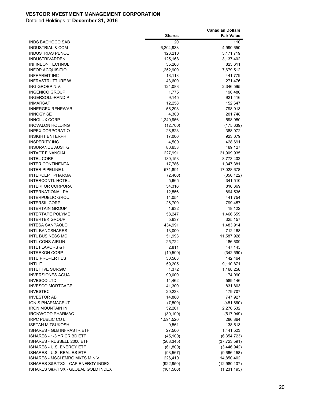|                                            |                         | <b>Canadian Dollars</b>         |
|--------------------------------------------|-------------------------|---------------------------------|
|                                            | <b>Shares</b>           | <b>Fair Value</b>               |
| INDS BACHOCO SAB                           | 20                      | 110                             |
| <b>INDUSTRIAL &amp; COM</b>                | 6,204,938               | 4,990,650                       |
| <b>INDUSTRIAS PENOL</b>                    | 126,210                 | 3,171,719                       |
| <b>INDUSTRIVARDEN</b>                      | 125,168                 | 3,137,402                       |
| <b>INFINEON TECHNOL</b>                    | 35,268                  | 823,611                         |
| <b>INFOR ACQUISITIO</b>                    | 1,252,900               | 7,679,512                       |
| <b>INFRAREIT INC</b>                       | 18,118                  | 441,779                         |
| <b>INFRASTRUTTURE W</b>                    | 43,600                  | 271,476                         |
| ING GROEP N.V.                             | 124,083                 | 2,346,595                       |
| <b>INGENICO GROUP</b>                      | 1,775                   | 190,486                         |
| INGERSOLL-RAND P                           | 9,145                   | 921,416                         |
| <b>INMARSAT</b>                            | 12,258                  | 152,647                         |
| <b>INNERGEX RENEWAB</b>                    | 56,298                  | 798,913                         |
| <b>INNOGY SE</b>                           | 4,300                   | 201,748                         |
| <b>INNOLUX CORP</b>                        | 1,240,956               | 598,980                         |
| <b>INOVALON HOLDING</b>                    | (12,700)                | (175, 639)                      |
| <b>INPEX CORPORATIO</b>                    | 28,823                  | 388,072                         |
| <b>INSIGHT ENTERPRI</b>                    | 17,000                  | 923,079                         |
| <b>INSPERITY INC</b>                       | 4,500                   | 428,691                         |
| <b>INSURANCE AUST G</b>                    | 80,653                  | 469,127                         |
| <b>INTACT FINANCIAL</b>                    | 227,991                 | 21,909,935                      |
| <b>INTEL CORP</b>                          | 180,153                 | 8,773,402                       |
| <b>INTER CONTINENTA</b>                    | 17,786                  | 1,347,381                       |
| <b>INTER PIPELINE L</b>                    | 571,891                 | 17,028,678                      |
| <b>INTERCEPT PHARMA</b>                    | (2,400)                 | (350, 122)                      |
| <b>INTERCONTL HOTEL</b>                    | 5,665                   | 341,510                         |
| <b>INTERFOR CORPORA</b>                    | 54,316                  | 816,369                         |
| <b>INTERNATIONAL PA</b>                    | 12,556                  | 894,535                         |
| <b>INTERPUBLIC GROU</b>                    | 14,054                  | 441,754                         |
| <b>INTERSIL CORP</b>                       | 26,700                  | 799,457                         |
| <b>INTERTAIN GROUP</b>                     | 1,932                   | 18,122                          |
| <b>INTERTAPE POLYME</b>                    | 58,247                  | 1,466,659                       |
| <b>INTERTEK GROUP</b>                      | 5,637                   | 325,157                         |
| <b>INTESA SANPAOLO</b>                     | 434,991                 | 1,483,914                       |
| <b>INTL BANCSHARES</b>                     | 13,000                  | 712,168                         |
| <b>INTL BUSINESS MC</b>                    | 51,993                  | 11,587,928                      |
| <b>INTL CONS AIRLIN</b>                    | 25,722                  | 186,609                         |
| <b>INTL FLAVORS &amp; F</b>                | 2,811                   | 447,145                         |
| <b>INTREXON CORP</b>                       | (10, 500)               | (342, 590)                      |
| <b>INTU PROPERTIES</b>                     | 30,563                  | 142,464                         |
| <b>INTUIT</b>                              | 59,205                  | 9,110,871                       |
| <b>INTUITIVE SURGIC</b>                    | 1,372                   | 1,168,258                       |
| <b>INVERSIONES AGUA</b>                    | 90,000                  | 174,090                         |
| <b>INVESCO LTD</b>                         | 14,462                  | 589,146                         |
| <b>INVESCO MORTGAGE</b><br><b>INVESTEC</b> | 41,300<br>20,233        | 831,803<br>179,707              |
| <b>INVESTOR AB</b>                         | 14,880                  |                                 |
| <b>IONIS PHARMACEUT</b>                    | (7,500)                 | 747,927                         |
| <b>IRON MOUNTAIN IN</b>                    | 52,201                  | (481,660)<br>2,276,532          |
| <b>IRONWOOD PHARMAC</b>                    |                         | (617, 949)                      |
| <b>IRPC PUBLIC CO L</b>                    | (30, 100)<br>1,594,520  | 286,864                         |
| <b>ISETAN MITSUKOSH</b>                    |                         |                                 |
| <b>ISHARES - GLB INFRASTR ETF</b>          | 9,561<br>27,500         | 138,513                         |
| ISHARES - 1-3 YR CR BD ETF                 |                         | 1,441,523                       |
| ISHARES - RUSSELL 2000 ETF                 | (45, 100)<br>(208, 345) | (6, 354, 723)<br>(37, 723, 591) |
| ISHARES - U.S. ENERGY ETF                  | (61, 800)               | (3,446,942)                     |
| ISHARES - U.S. REAL ES ETF                 | (93, 567)               | (9,666,158)                     |
| <b>ISHARES - MSCI EMRG MKTS MIN V</b>      | 226,410                 | 14,850,402                      |
| ISHARES S&P/TSX - CAP ENERGY INDEX         | (922, 950)              | (12,980,107)                    |
| ISHARES S&P/TSX - GLOBAL GOLD INDEX        | (101, 500)              | (1, 231, 195)                   |
|                                            |                         |                                 |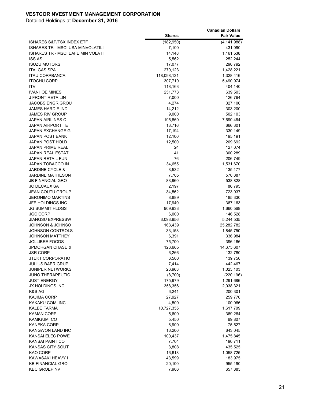|                                      |               | <b>Canadian Dollars</b> |
|--------------------------------------|---------------|-------------------------|
|                                      | <b>Shares</b> | <b>Fair Value</b>       |
| <b>ISHARES S&amp;P/TSX INDEX ETF</b> | (182, 950)    | (4, 141, 988)           |
| ISHARES TR - MSCI USA MINVOLATILI    | 7,100         | 431,090                 |
| ISHARES TR - MSCI EAFE MIN VOLATI    | 14,148        | 1,161,538               |
| <b>ISS AS</b>                        | 5,562         | 252,244                 |
| <b>ISUZU MOTORS</b>                  | 17,077        | 290,792                 |
| <b>ITALGAS SPA</b>                   | 270,123       | 1,428,221               |
| <b>ITAU CORPBANCA</b>                | 118,098,131   | 1,328,416               |
| <b>ITOCHU CORP</b>                   | 307,710       | 5,490,974               |
| <b>ITV</b>                           | 118,163       | 404,140                 |
| <b>IVANHOE MINES</b>                 | 251,773       | 639,503                 |
| J FRONT RETAILIN                     | 7,000         | 126,764                 |
| <b>JACOBS ENGR GROU</b>              | 4,274         | 327,106                 |
| <b>JAMES HARDIE IND</b>              | 14,212        | 303,200                 |
| <b>JAMES RIV GROUP</b>               | 9,000         | 502,103                 |
| JAPAN AIRLINES C                     | 195,860       | 7,690,464               |
| <b>JAPAN AIRPORT TE</b>              | 13,716        | 666,301                 |
| <b>JAPAN EXCHANGE G</b>              | 17,194        | 330,149                 |
| JAPAN POST BANK                      | 12,100        | 195,191                 |
| <b>JAPAN POST HOLD</b>               | 12,500        | 209,692                 |
| <b>JAPAN PRIME REAL</b>              | 24            | 127,074                 |
| <b>JAPAN REAL ESTAT</b>              | 41            | 300,289                 |
| <b>JAPAN RETAIL FUN</b>              | 76            | 206,749                 |
| <b>JAPAN TOBACCO IN</b>              | 34,655        | 1,531,670               |
| <b>JARDINE CYCLE &amp;</b>           | 3,532         | 135,177                 |
| <b>JARDINE MATHESON</b>              | 7,705         | 570,887                 |
| <b>JB FINANCIAL GRO</b>              | 83,960        | 538,828                 |
| <b>JC DECAUX SA</b>                  | 2,197         | 86,795                  |
| <b>JEAN COUTU GROUP</b>              | 34,562        | 723,037                 |
| <b>JERONIMO MARTINS</b>              | 8,889         | 185,330                 |
| JFE HOLDINGS INC                     | 17,940        | 367,163                 |
| JG SUMMIT HLDGS                      | 909,933       | 1,660,568               |
| <b>JGC CORP</b>                      | 6,000         | 146,528                 |
| <b>JIANGSU EXPRESSW</b>              | 3,093,956     | 5,244,535               |
| JOHNSON & JOHNSO                     | 163,439       | 25,282,782              |
| <b>JOHNSON CONTROLS</b>              | 33,158        | 1,845,750               |
| JOHNSON MATTHEY                      | 6,391         | 336,984                 |
| <b>JOLLIBEE FOODS</b>                | 75,700        | 396,166                 |
| <b>JPMORGAN CHASE &amp;</b>          | 126,665       | 14,675,607              |
| JSR CORP                             | 6,266         | 132,780                 |
| JTEKT CORPORATIO                     | 6,500         | 139,756                 |
| <b>JULIUS BAER GRUP</b>              | 7,414         | 442,467                 |
| JUNIPER NETWORKS                     | 26,963        | 1,023,103               |
| <b>JUNO THERAPEUTIC</b>              | (8,700)       | (220, 196)              |
| <b>JUST ENERGY</b>                   | 175,979       | 1,291,686               |
| JX HOLDINGS INC                      | 358,356       | 2,038,321               |
| K&S AG                               | 6,241         | 200,301                 |
| <b>KAJIMA CORP</b>                   | 27,927        | 259,770                 |
| KAKAKU COM. INC                      | 4,500         | 100,066                 |
| KALBE FARMA                          | 10,727,355    | 1,617,709               |
| <b>KAMAN CORP</b>                    | 5,600         | 369,264                 |
| KAMIGUMI CO                          | 5,450         | 69,807                  |
| KANEKA CORP                          | 6,900         | 75,527                  |
| <b>KANGWON LAND INC</b>              | 16,200        | 643,045                 |
| KANSAI ELEC POWE                     | 100,437       | 1,475,845               |
| KANSAI PAINT CO                      | 7,704         | 190,711                 |
| KANSAS CITY SOUT                     | 3,808         | 435,525                 |
| KAO CORP                             | 16,618        | 1,058,725               |
| KAWASAKI HEAVY I                     | 43,599        | 183,975                 |
| <b>KB FINANCIAL GRO</b>              | 20,100        | 955,190                 |
| <b>KBC GROEP NV</b>                  | 7,906         | 657,885                 |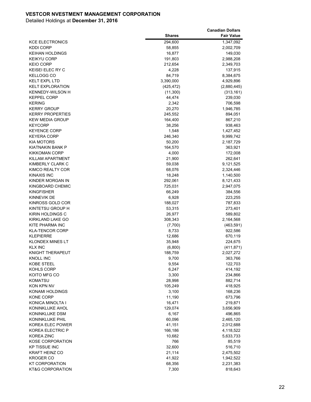|                             |               | <b>Canadian Dollars</b> |
|-----------------------------|---------------|-------------------------|
|                             | <b>Shares</b> | <b>Fair Value</b>       |
| <b>KCE ELECTRONICS</b>      | 294,600       | 1,347,092               |
| <b>KDDI CORP</b>            | 58,855        | 2,002,709               |
| KEIHAN HOLDINGS             | 16,877        | 149,030                 |
| <b>KEIKYU CORP</b>          | 191,803       | 2,988,208               |
| <b>KEIO CORP</b>            | 212,654       | 2,349,703               |
| <b>KEISEI ELEC RY C</b>     | 4,228         | 137,915                 |
| KELLOGG CO                  | 84,719        | 8,384,675               |
| <b>KELT EXPL LTD</b>        | 3,390,000     | 4,929,896               |
| <b>KELT EXPLORATION</b>     | (425, 472)    | (2,880,445)             |
| <b>KENNEDY-WILSON H</b>     | (11,300)      | (313, 161)              |
| <b>KEPPEL CORP</b>          | 44,474        | 239,030                 |
| <b>KERING</b>               | 2,342         | 706,598                 |
| <b>KERRY GROUP</b>          | 20,270        | 1,946,785               |
| <b>KERRY PROPERTIES</b>     | 245,552       | 894,051                 |
| <b>KEW MEDIA GROUP</b>      | 164,400       | 867,210                 |
| <b>KEYCORP</b>              | 38,256        | 938,463                 |
| <b>KEYENCE CORP</b>         | 1,548         | 1,427,452               |
| <b>KEYERA CORP</b>          | 246,340       | 9,999,742               |
| <b>KIA MOTORS</b>           | 50,200        | 2,187,729               |
| KIATNAKIN BANK P            | 164,570       | 363,921                 |
| <b>KIKKOMAN CORP</b>        | 4,000         | 172,008                 |
| KILLAM APARTMENT            | 21,900        | 262,641                 |
| KIMBERLY CLARK C            | 59,038        | 9,121,525               |
| KIMCO REALTY COR            | 68,076        | 2,324,446               |
| KINAXIS INC                 | 18,248        | 1,140,500               |
| KINDER MORGAN IN            | 292,061       | 8,121,433               |
| KINGBOARD CHEMIC            | 725,031       | 2,947,075               |
| <b>KINGFISHER</b>           | 66,249        | 384,556                 |
| KINNEVIK DE                 | 6,928         | 223,255                 |
| KINROSS GOLD COR            | 188,027       | 787,833                 |
| KINTETSU GROUP H            | 53,315        | 273,401                 |
| KIRIN HOLDINGS C            | 26,977        | 589,802                 |
| KIRKLAND LAKE GO            | 308,343       | 2,164,568               |
| KITE PHARMA INC             | (7,700)       | (463, 591)              |
| <b>KLA-TENCOR CORP</b>      | 8,733         | 922,586                 |
| <b>KLEPIERRE</b>            | 12,686        | 670,119                 |
| <b>KLONDEX MINES LT</b>     | 35,948        | 224,675                 |
| <b>KLX INC</b>              | (6,800)       | (411, 871)              |
| KNIGHT THERAPEUT            | 188,759       | 2,027,272               |
| <b>KNOLL INC</b>            | 9,700         | 363,766                 |
| KOBE STEEL                  | 9,554         | 122,703                 |
| KOHLS CORP                  | 6,247         | 414,192                 |
| KOITO MFG CO                | 3,300         | 234,866                 |
| <b>KOMATSU</b>              | 28,998        | 882,714                 |
| KON KPN NV                  | 105,249       | 418,925                 |
| KONAMI HOLDINGS             | 3,100         | 168,236                 |
| KONE CORP                   | 11,190        | 673,796                 |
| KONICA MINOLTA I            | 16,471        | 219,871                 |
| KONINKLIJKE AHOL            | 129,074       | 3,656,909               |
| KONINKLIJKE DSM             | 6,167         | 496,865                 |
| <b>KONINKLIJKE PHIL</b>     | 60,096        | 2,465,120               |
| KOREA ELEC POWER            | 41,151        | 2,012,688               |
| KOREA ELECTRIC P            | 166,186       | 4,118,522               |
| KOREA ZINC                  | 10,682        | 5,633,733               |
| KOSE CORPORATION            | 766           | 85,519                  |
| <b>KP TISSUE INC</b>        |               |                         |
| <b>KRAFT HEINZ CO</b>       | 32,600        | 516,710                 |
|                             | 21,114        | 2,475,502               |
| KROGER CO                   | 41,922        | 1,942,522               |
| <b>KT CORPORATION</b>       | 68,356        | 2,231,383               |
| <b>KT&amp;G CORPORATION</b> | 7,300         | 818,643                 |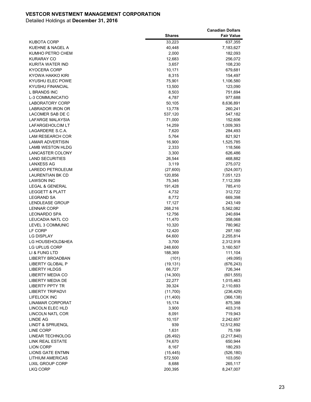|                                            |                    | <b>Canadian Dollars</b> |
|--------------------------------------------|--------------------|-------------------------|
|                                            | <b>Shares</b>      | <b>Fair Value</b>       |
| KUBOTA CORP                                | 33,223             | 637,355                 |
| KUEHNE & NAGEL A                           | 40,448             | 7,183,627               |
| KUMHO PETRO CHEM                           | 2,000              | 182,093                 |
| <b>KURARAY CO</b>                          | 12,683             | 256,072                 |
| <b>KURITA WATER IND</b>                    | 3,657              | 108,230                 |
| KYOCERA CORP                               | 10,171             | 679,681                 |
| KYOWA HAKKO KIRI                           | 8,315              | 154,497                 |
| KYUSHU ELEC POWE                           | 75,901             | 1,106,580               |
| KYUSHU FINANCIAL                           | 13,500             | 123,090                 |
| L BRANDS INC                               | 8,503              | 751,694                 |
| <b>L-3 COMMUNICATIO</b>                    | 4,787              | 977,688                 |
| LABORATORY CORP                            | 50,105             | 8,636,891               |
| LABRADOR IRON OR                           | 13,778             | 260,241                 |
| LACOMER SAB DE C                           | 537,120            | 547,182                 |
| LAFARGE MALAYSIA                           | 71,000             | 152,606                 |
| LAFARGEHOLCIM LT                           | 14,259             | 1,009,393               |
| LAGARDERE S.C.A.                           | 7,620              | 284,493                 |
| <b>LAM RESEARCH COR</b>                    | 5,764              | 821,921                 |
| <b>LAMAR ADVERTISIN</b>                    | 16,900             | 1,525,785               |
| LAMB WESTON HLDG                           | 2,333              | 118,566                 |
| <b>LANCASTER COLONY</b>                    | 3,300              | 626,486                 |
| <b>LAND SECURITIES</b>                     | 26,544             | 468,882                 |
| <b>LANXESS AG</b>                          | 3,119              | 275,072                 |
| LAREDO PETROLEUM                           | (27,600)           | (524,007)               |
| <b>LAURENTIAN BK CD</b>                    | 120,856            | 7,051,123               |
| LAWSON INC                                 | 75,345             | 7,112,359               |
| LEGAL & GENERAL                            | 191,428            | 785,410                 |
| <b>LEGGETT &amp; PLATT</b>                 | 4,732              | 312,722                 |
| <b>LEGRAND SA</b>                          | 8,772              | 669,398                 |
| LENDLEASE GROUP                            | 17,127             | 243,149                 |
| <b>LENNAR CORP</b>                         | 268,216            | 5,562,082               |
| LEONARDO SPA                               | 12,756             | 240,694                 |
| LEUCADIA NATL CO                           | 11,470             | 358,068                 |
| LEVEL 3 COMMUNIC                           | 10,320             | 780,962                 |
| LF CORP                                    | 12,420             | 297,180                 |
| <b>LG DISPLAY</b>                          | 64,600             | 2,255,814               |
| LG HOUSEHOLD&HEA                           | 3,700              | 2,312,918               |
| LG UPLUS CORP                              | 248,600            | 3,160,507               |
| LI & FUNG LTD                              | 188,369            | 111,104                 |
| <b>LIBERTY BROADBAN</b>                    | (101)<br>(19, 131) | (49,095)                |
| LIBERTY GLOBAL P                           |                    | (676, 243)              |
| <b>LIBERTY HLDGS</b><br>LIBERTY MEDIA CO   | 66,727             | 726,344                 |
|                                            | (14, 300)          | (601, 555)              |
| LIBERTY MEDIA DE<br><b>LIBERTY PPTY TR</b> | 22,277             | 1,015,463<br>2,110,693  |
| <b>LIBERTY TRIPADVI</b>                    | 39,324<br>(11,700) | (236, 429)              |
| <b>LIFELOCK INC</b>                        | (11,400)           | (366, 138)              |
| <b>LINAMAR CORPORAT</b>                    | 15,174             | 875,388                 |
| <b>LINCOLN ELEC HLD</b>                    | 3,900              | 403,318                 |
| <b>LINCOLN NATL COR</b>                    | 8,091              | 719,943                 |
| <b>LINDE AG</b>                            | 10,157             | 2,242,657               |
| <b>LINDT &amp; SPRUENGL</b>                | 939                | 12,512,892              |
| <b>LINE CORP</b>                           | 1,631              | 75,199                  |
| LINEAR TECHNOLOG                           | (26, 492)          | (2,217,840)             |
| <b>LINK REAL ESTATE</b>                    | 74,670             | 650,944                 |
| <b>LION CORP</b>                           | 8,167              | 180,293                 |
| LIONS GATE ENTMN                           | (15, 445)          | (526, 180)              |
| <b>LITHIUM AMERICAS</b>                    | 572,500            | 103,050                 |
| <b>LIXIL GROUP CORP</b>                    | 8,688              | 265,117                 |
| <b>LKQ CORP</b>                            | 200,395            | 8,247,007               |
|                                            |                    |                         |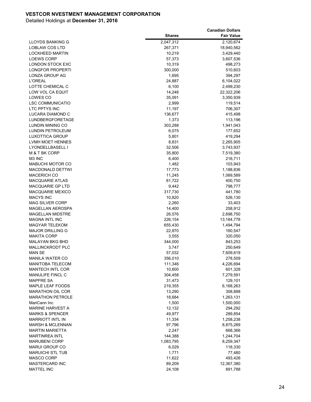|                                             |                   | <b>Canadian Dollars</b> |
|---------------------------------------------|-------------------|-------------------------|
|                                             | <b>Shares</b>     | <b>Fair Value</b>       |
| LLOYDS BANKING G                            | 2,047,312         | 2,120,674               |
| <b>LOBLAW COS LTD</b>                       | 267,371           | 18,940,562              |
| <b>LOCKHEED MARTIN</b>                      | 10,219            | 3,429,440               |
| <b>LOEWS CORP</b>                           | 57,373            | 3,607,536               |
| <b>LONDON STOCK EXC</b>                     | 10,319            | 498,273                 |
| LONGFOR PROPERTI                            | 300,000           | 510,603                 |
| LONZA GROUP AG                              | 1,695             | 394,297                 |
| <b>L'OREAL</b>                              | 24,887            | 6,104,022               |
| LOTTE CHEMICAL C                            | 6,100             | 2,499,230               |
| LOW VOL CA EQUIT                            | 14,248            | 22,322,206              |
| LOWES CO                                    | 35,091            | 3,350,939               |
| <b>LSC COMMUNICATIO</b>                     | 2,999             | 119,514                 |
| LTC PPTYS INC                               | 11,197            | 706,307                 |
| LUCARA DIAMOND C                            | 136,677           | 415,498                 |
| LUNDBERGFORETAGE                            | 1,373             | 113,196                 |
| LUNDIN MINING CO                            | 303,288           | 1,941,043               |
| LUNDIN PETROLEUM                            | 6,075             | 177,652                 |
| LUXOTTICA GROUP                             | 5,801             | 419,294                 |
| LVMH MOET HENNES                            | 8,831             | 2,265,905               |
| LYONDELLBASELL I                            | 32,506            | 3,743,937               |
| M & T BK CORP                               | 35,800            | 7,519,380               |
| M3 INC                                      | 6,400             | 216,711                 |
| <b>MABUCHI MOTOR CO</b>                     | 1,482             | 103,943                 |
| <b>MACDONALD DETTWI</b>                     | 17,773            | 1,188,836               |
| <b>MACERICH CO</b>                          | 11,245            | 1,069,589               |
| <b>MACQUARIE ATLAS</b>                      | 81,722            | 400,750                 |
| MACQUARIE GP LTD                            | 9,442             | 798,777                 |
| <b>MACQUARIE MEXICO</b>                     | 317,730           | 441,780                 |
| <b>MACYS INC</b>                            | 10,820            | 526,130                 |
| <b>MAG SILVER CORP</b>                      | 2,260             | 33,403                  |
| MAGELLAN AEROSPA                            | 14,400            | 258,912                 |
| <b>MAGELLAN MIDSTRE</b>                     | 26,576            | 2,698,750               |
| <b>MAGNA INTL INC</b>                       | 226,154           | 13, 184, 778            |
| <b>MAGYAR TELEKOM</b>                       | 655,430           | 1,494,794               |
| <b>MAJOR DRILLING G</b>                     | 22,870            | 160,547                 |
| <b>MAKITA CORP</b>                          | 3,555             | 320,050                 |
| <b>MALAYAN BKG BHD</b>                      | 344,000           | 843,253                 |
| <b>MALLINCKRODT PLC</b>                     | 3,747             | 250,649                 |
| <b>MAN SE</b>                               | 57,032            | 7,609,619               |
| <b>MANILA WATER CO</b>                      | 356,010           | 278,509                 |
| <b>MANITOBA TELECOM</b><br>MANTECH INTL COR | 111,346<br>10,600 | 4,226,694               |
| MANULIFE FINCL C                            | 304,458           | 601,328<br>7,279,591    |
| <b>MAPFRE SA</b>                            | 31,473            |                         |
| <b>MAPLE LEAF FOODS</b>                     | 219,355           | 129,101<br>6,168,263    |
| <b>MARATHON OIL COR</b>                     | 13,290            | 308,888                 |
| <b>MARATHON PETROLE</b>                     | 18,684            | 1,263,131               |
| MariCann Inc                                | 1,500             | 1,500,000               |
| <b>MARINE HARVEST A</b>                     | 12,132            | 294,292                 |
| <b>MARKS &amp; SPENCER</b>                  | 49,977            | 289,854                 |
| <b>MARRIOTT INTL IN</b>                     | 11,334            | 1,258,238               |
| <b>MARSH &amp; MCLENNAN</b>                 | 97,796            | 8,875,289               |
| <b>MARTIN MARIETTA</b>                      | 2,247             | 668,366                 |
| <b>MARTINREA INTL</b>                       | 144,388           | 1,244,704               |
| <b>MARUBENI CORP</b>                        | 1,083,795         | 8,259,347               |
| MARUI GROUP CO                              | 6,029             | 118,330                 |
| <b>MARUICHI STL TUB</b>                     | 1,771             | 77,480                  |
| MASCO CORP                                  | 11,622            | 493,426                 |
| <b>MASTERCARD INC</b>                       | 89,209            | 12,367,380              |
| <b>MATTEL INC</b>                           | 24,108            | 891,788                 |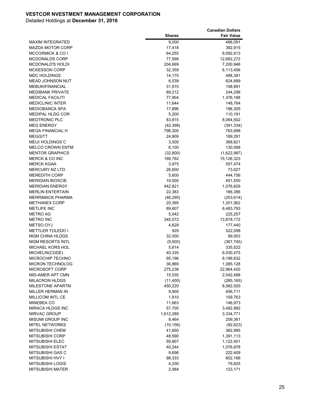|                             |               | <b>Canadian Dollars</b> |
|-----------------------------|---------------|-------------------------|
|                             | <b>Shares</b> | <b>Fair Value</b>       |
| <b>MAXIM INTEGRATED</b>     | 9,000         | 466,091                 |
| <b>MAZDA MOTOR CORP</b>     | 17,418        | 382,915                 |
| <b>MCCORMICK &amp; CO I</b> | 64,255        | 8,092,613               |
| <b>MCDONALDS CORP</b>       | 77,599        | 12,682,272              |
| <b>MCDONALD'S HOLDI</b>     | 204,669       | 7,200,946               |
| <b>MCKESSON CORP</b>        | 32,359        | 6,113,456               |
| <b>MDC HOLDINGS</b>         | 14,175        | 488,381                 |
| MEAD JOHNSON NUT            | 6,539         | 624,889                 |
| <b>MEBUKIFINANCIAL</b>      | 31,915        | 158,891                 |
| <b>MEDIBANK PRIVATE</b>     | 89,212        | 244,296                 |
| <b>MEDICAL FACILITI</b>     | 77,904        | 1,376,188               |
| <b>MEDICLINIC INTER</b>     | 11,644        | 148,764                 |
| <b>MEDIOBANCA SPA</b>       | 17,896        | 196,305                 |
| MEDIPAL HLDG COR            | 5,200         | 110,191                 |
| <b>MEDTRONIC PLC</b>        | 83,815        | 8,064,502               |
| <b>MEG ENERGY</b>           | (42, 398)     | (391, 334)              |
| <b>MEGA FINANCIAL H</b>     | 798,300       | 763,998                 |
| <b>MEGGITT</b>              | 24,909        | 189,291                 |
| <b>MEIJI HOLDINGS C</b>     | 3,500         | 368,621                 |
| <b>MELCO CROWN ENTM</b>     | 6,100         | 130,068                 |
| <b>MENTOR GRAPHICS</b>      | (32,800)      | (1,622,987)             |
| <b>MERCK &amp; CO INC</b>   | 189,782       | 15,126,323              |
| <b>MERCK KGAA</b>           | 3,975         | 557,474                 |
| <b>MERCURY NZ LTD</b>       | 26,600        | 73,627                  |
| <b>MEREDITH CORP</b>        | 5,600         | 444,756                 |
| <b>MERIDIAN BIOSCIE</b>     | 19,000        | 451,550                 |
| <b>MERIDIAN ENERGY</b>      | 442,821       | 1,076,629               |
| <b>MERLIN ENTERTAIN</b>     | 22,383        | 166,386                 |
| <b>MERRIMACK PHARMA</b>     | (46, 295)     | (253, 614)              |
| <b>METHANEX CORP</b>        | 20,395        | 1,201,062               |
| <b>METLIFE INC</b>          | 89,607        | 6,483,793               |
| METRO AG                    | 5,042         | 225,257                 |
| <b>METRO INC</b>            | 345,572       | 13,878,172              |
| <b>METSO OYJ</b>            | 4,629         | 177,440                 |
| <b>METTLER TOLEDO I</b>     | 929           | 522,098                 |
| <b>MGM CHINA HLDGS</b>      | 32,000        | 89,003                  |
| <b>MGM RESORTS INTL</b>     | (9,500)       | (367, 745)              |
| MICHAEL KORS HOL            | 5,814         | 335,522                 |
| MICHELIN(CGDE)              | 40,335        | 6,030,475               |
| <b>MICROCHIP TECHNO</b>     | 95,196        | 8,199,632               |
| <b>MICRON TECHNOLOG</b>     | 36,869        | 1,085,128               |
| MICROSOFT CORP              | 275,236       | 22,964,420              |
| MID-AMER APT CMN            | 15,535        | 2,042,498               |
| <b>MILACRON HLDGS</b>       | (11,400)      | (285, 165)              |
| MILESTONE APARTM            | 450,220       | 8,582,020               |
| MILLER HERMAN IN            | 9,900         | 456,711                 |
| <b>MILLICOM INTL CE</b>     | 1,910         | 109,763                 |
| MINEBEA CO                  | 11,663        | 146,973                 |
| <b>MIRACA HLDGS INC</b>     | 57,700        | 3,482,982               |
| <b>MIRVAC GROUP</b>         | 1,612,289     | 3,334,771               |
| <b>MISUMI GROUP INC</b>     | 9,464         | 209,361                 |
| <b>MITEL NETWORKS</b>       | (10, 156)     | (92, 623)               |
| MITSUBISHI CHEM             | 41,650        | 362,995                 |
| <b>MITSUBISHI CORP</b>      | 48,590        | 1,391,113               |
| <b>MITSUBISHI ELEC</b>      | 59,907        | 1,122,401               |
| <b>MITSUBISHI ESTAT</b>     | 40,244        | 1,076,978               |
| MITSUBISHI GAS C            | 9,696         | 222,409                 |
| MITSUBISHI HVY I            | 98,333        | 602,166                 |
| <b>MITSUBISHI LOGIS</b>     | 4,200         | 79,825                  |
| <b>MITSUBISHI MATER</b>     | 2,984         | 123,171                 |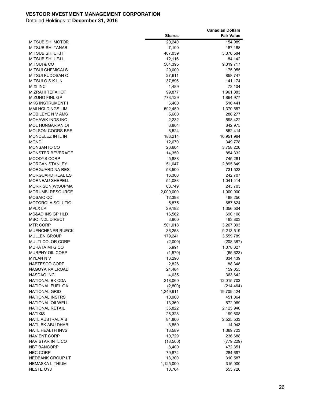|                         |               | <b>Canadian Dollars</b> |
|-------------------------|---------------|-------------------------|
|                         | <b>Shares</b> | <b>Fair Value</b>       |
| <b>MITSUBISHI MOTOR</b> | 20,240        | 154,989                 |
| MITSUBISHI TANAB        | 7,100         | 187,188                 |
| MITSUBISHI UFJ F        | 407,039       | 3,370,584               |
| MITSUBISHI UFJ L        | 12,116        | 84,142                  |
| <b>MITSUI &amp; CO</b>  | 504,395       | 9,319,717               |
| <b>MITSUI CHEMICALS</b> | 29,000        | 175,055                 |
| MITSUI FUDOSAN C        | 27,611        | 858,747                 |
| MITSUI O.S.K.LIN        | 37,896        | 141,174                 |
| <b>MIXI INC</b>         | 1,489         | 73,104                  |
| <b>MIZRAHI TEFAHOT</b>  | 99,877        | 1,961,083               |
| <b>MIZUHO FINL GP</b>   | 773,129       | 1,864,977               |
| MKS INSTRUMENT I        | 6,400         | 510,441                 |
| <b>MMI HOLDINGS LIM</b> | 592,450       | 1,370,557               |
| MOBILEYE N V AMS        | 5,600         | 286,277                 |
| <b>MOHAWK INDS INC</b>  | 2,232         | 598,422                 |
| <b>MOL HUNGARIAN OI</b> | 6,804         | 642,975                 |
| <b>MOLSON COORS BRE</b> | 6,524         | 852,414                 |
| <b>MONDELEZ INTL IN</b> | 183,214       | 10,951,984              |
| <b>MONDI</b>            | 12,670        | 349,778                 |
| <b>MONSANTO CO</b>      | 26,604        | 3,758,226               |
| <b>MONSTER BEVERAGE</b> | 14,350        | 854,332                 |
| <b>MOODYS CORP</b>      | 5,888         | 745,281                 |
| <b>MORGAN STANLEY</b>   | 51,047        | 2,895,849               |
| <b>MORGUARD NA RES</b>  | 53,500        | 731,523                 |
| <b>MORGUARD REAL ES</b> | 16,300        | 242,707                 |
| <b>MORNEAU SHEPELL</b>  | 54,083        | 1,041,414               |
| MORRISON(W)SUPMA        | 63,749        | 243,703                 |
| MORUMBI RESOURCE        | 2,000,000     | 1,000,000               |
| MOSAIC CO               | 12,398        | 488,250                 |
| MOTOROLA SOLUTIO        | 5,875         | 657,824                 |
| MPLX LP                 | 29,182        | 1,356,504               |
| MS&AD INS GP HLD        | 16,562        | 690,108                 |
| <b>MSC INDL DIRECT</b>  | 3,900         | 483,803                 |
| <b>MTR CORP</b>         | 501,018       | 3,267,093               |
| MUENCHENER RUECK        | 36,258        | 9,213,519               |
| <b>MULLEN GROUP</b>     | 179,241       | 3,559,789               |
| <b>MULTI COLOR CORP</b> | (2,000)       | (208, 387)              |
| <b>MURATA MFG CO</b>    | 5,991         | 1,078,027               |
| <b>MURPHY OIL CORP</b>  | (1,570)       | (65, 623)               |
| <b>MYLAN N V</b>        | 16,290        | 834,439                 |
| NABTESCO CORP           | 2,826         | 88,348                  |
| NAGOYA RAILROAD         | 24,484        | 159,055                 |
| NASDAQ INC              | 4,035         | 363,642                 |
| NATIONAL BK CDA         | 218,060       | 12,015,703              |
| NATIONAL FUEL GA        | (2,800)       | (214, 464)              |
| <b>NATIONAL GRID</b>    | 1,249,911     | 19,709,424              |
| <b>NATIONAL INSTRS</b>  | 10,900        | 451,064                 |
| NATIONAL OILWELL        | 13,369        | 672,069                 |
| <b>NATIONAL RETAIL</b>  | 35,822        | 2,125,940               |
| <b>NATIXIS</b>          | 26,328        | 199,608                 |
| NATL AUSTRALIA B        | 84,800        | 2,525,533               |
| NATL BK ABU DHAB        | 3,850         | 14,043                  |
| NATL HEALTH INVS        | 13,589        | 1,369,723               |
| <b>NAVIENT CORP</b>     | 10,729        | 236,688                 |
| NAVISTAR INTL CO        | (18,500)      | (779, 229)              |
| <b>NBT BANCORP</b>      | 8,400         | 472,351                 |
| <b>NEC CORP</b>         | 79,874        | 284,697                 |
| NEDBANK GROUP LT        | 13,300        | 310,587                 |
| NEMASKA LITHIUM         | 1,125,000     | 315,000                 |
| NESTE OYJ               | 10,764        | 555,726                 |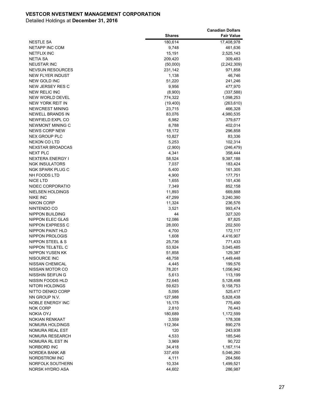|                         |               | <b>Canadian Dollars</b> |
|-------------------------|---------------|-------------------------|
|                         | <b>Shares</b> | <b>Fair Value</b>       |
| <b>NESTLE SA</b>        | 180,614       | 17,408,978              |
| NETAPP INC COM          | 9,748         | 461,636                 |
| <b>NETFLIX INC</b>      | 15,191        | 2,525,143               |
| NETIA SA                | 209,420       | 309,483                 |
| <b>NEUSTAR INC</b>      | (50,000)      | (2, 242, 309)           |
| <b>NEVSUN RESOURCES</b> | 231,142       | 971,858                 |
| <b>NEW FLYER INDUST</b> | 1,138         | 46,746                  |
| <b>NEW GOLD INC</b>     | 51,220        | 241,246                 |
| NEW JERSEY RES C        | 9,956         | 477,970                 |
| <b>NEW RELIC INC</b>    | (8,900)       | (337,588)               |
| <b>NEW WORLD DEVEL</b>  | 774,322       | 1,098,253               |
| NEW YORK REIT IN        | (19,400)      | (263, 610)              |
| NEWCREST MINING         | 23,715        | 466,328                 |
| NEWELL BRANDS IN        | 83,076        | 4,980,535               |
| NEWFIELD EXPL CO        | 6,982         | 379,677                 |
| NEWMONT MINING C        | 8,788         | 402,014                 |
| <b>NEWS CORP NEW</b>    | 18,172        | 296,858                 |
| NEX GROUP PLC           | 10,827        | 83,336                  |
| <b>NEXON CO LTD</b>     | 5,253         | 102,314                 |
| <b>NEXSTAR BROADCAS</b> | (2,900)       | (246, 479)              |
| <b>NEXT PLC</b>         | 4,341         | 358,444                 |
| NEXTERA ENERGY I        | 58,524        | 9,387,188               |
| <b>NGK INSULATORS</b>   | 7,037         | 183,424                 |
| NGK SPARK PLUG C        | 5,400         | 161,305                 |
| NH FOODS LTD            | 4,900         | 177,751                 |
| NICE LTD                | 1,655         | 151,436                 |
| NIDEC CORPORATIO        | 7,349         | 852,158                 |
| NIELSEN HOLDINGS        | 11,893        | 669,888                 |
| NIKE INC                | 47,299        | 3,240,390               |
| <b>NIKON CORP</b>       | 11,324        | 236,576                 |
| NINTENDO CO             | 3,521         | 993,474                 |
| <b>NIPPON BUILDING</b>  | 44            | 327,320                 |
| NIPPON ELEC GLAS        | 12,086        | 87,825                  |
| <b>NIPPON EXPRESS C</b> | 28,000        | 202,500                 |
| NIPPON PAINT HLD        | 4,700         | 172,117                 |
| NIPPON PROLOGIS         | 1,608         | 4,416,907               |
| NIPPON STEEL & S        | 25,736        | 771,433                 |
| NIPPON TEL&TEL C        | 53,924        | 3,045,485               |
| <b>NIPPON YUSEN KK</b>  | 51,858        | 129,387                 |
| NISOURCE INC            | 48,758        | 1,449,448               |
| NISSAN CHEMICAL         | 4,445         | 199,576                 |
| NISSAN MOTOR CO         | 78,201        | 1,056,942               |
| NISSHIN SEIFUN G        | 5,613         | 113,199                 |
| NISSIN FOODS HLD        | 72,645        | 5,128,498               |
| NITORI HOLDINGS         | 59,623        | 9,158,753               |
| NITTO DENKO CORP        | 5,095         | 525,417                 |
| NN GROUP N.V.           | 127,988       | 5,828,438               |
| <b>NOBLE ENERGY INC</b> | 15,175        | 775,490                 |
| <b>NOK CORP</b>         | 2,810         | 76,443                  |
| <b>NOKIA OYJ</b>        | 180,689       | 1,172,599               |
| NOKIAN RENKAAT          | 3,559         | 178,308                 |
| NOMURA HOLDINGS         | 112,364       | 890,278                 |
| NOMURA REAL EST         | 120           | 243,938                 |
| NOMURA RESEARCH         | 4,533         | 185,546                 |
| NOMURA RL EST IN        | 3,969         | 90,722                  |
| NORBORD INC             | 34,418        | 1,167,114               |
| NORDEA BANK AB          | 337,459       | 5,046,260               |
| NORDSTROM INC           | 4,111         | 264,566                 |
| NORFOLK SOUTHERN        | 10,334        | 1,499,521               |
| NORSK HYDRO ASA         | 44,602        | 286,987                 |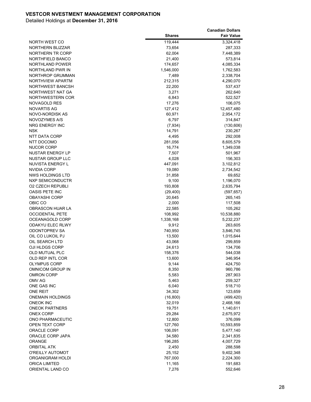|                         |               | <b>Canadian Dollars</b> |
|-------------------------|---------------|-------------------------|
|                         | <b>Shares</b> | <b>Fair Value</b>       |
| NORTH WEST CO           | 119,444       | 3,324,418               |
| NORTHERN BLIZZAR        | 73,654        | 287,333                 |
| NORTHERN TR CORP        | 62,004        | 7,448,389               |
| NORTHFIELD BANCO        | 21,400        | 573,814                 |
| <b>NORTHLAND POWER</b>  | 174,657       | 4,085,334               |
| NORTHLAND PWR IN        | 1,546,000     | 1,762,583               |
| NORTHROP GRUMMAN        | 7,489         | 2,338,704               |
| NORTHVIEW APARTM        | 212,315       | 4,290,070               |
| <b>NORTHWEST BANCSH</b> | 22,200        | 537,437                 |
| NORTHWEST NAT GA        | 3,271         | 262,640                 |
| <b>NORTHWESTERN COR</b> | 6,843         | 522,527                 |
| NOVAGOLD RES            | 17,276        | 106,075                 |
| <b>NOVARTIS AG</b>      | 127,412       | 12,457,480              |
| NOVO-NORDISK AS         | 60,971        | 2,954,172               |
| NOVOZYMES A/S           | 6,797         | 314,847                 |
| NRG ENERGY INC          | (7,934)       | (130, 606)              |
| <b>NSK</b>              | 14,791        | 230,267                 |
| NTT DATA CORP           | 4,495         | 292,008                 |
| NTT DOCOMO              | 281,056       | 8,605,579               |
| <b>NUCOR CORP</b>       | 16,774        | 1,349,038               |
| NUSTAR ENERGY LP        | 7,507         | 501,967                 |
| <b>NUSTAR GROUP LLC</b> | 4,028         | 156,303                 |
| NUVISTA ENERGY L        | 447,091       | 3,102,812               |
| NVIDIA CORP             | 19,080        | 2,734,542               |
| NWS HOLDINGS LTD        | 31,858        | 69,652                  |
| NXP SEMICONDUCTR        | 9,100         | 1,196,070               |
| <b>02 CZECH REPUBLI</b> | 193,808       | 2,635,794               |
| OASIS PETE INC          | (29, 400)     | (597, 657)              |
| <b>OBAYASHI CORP</b>    | 20,645        | 265,145                 |
| OBIC CO                 | 2,000         | 117,508                 |
| OBRASCON HUAR LA        | 22,585        | 105,262                 |
| <b>OCCIDENTAL PETE</b>  | 108,992       | 10,538,880              |
| OCEANAGOLD CORP         | 1,338,168     | 5,232,237               |
| <b>ODAKYU ELEC RLWY</b> | 9,912         | 263,605                 |
| <b>ODONTOPREV SA</b>    | 740,950       | 3,846,745               |
| OIL CO LUKOIL PJ        | 13,500        | 1,015,644               |
| OIL SEARCH LTD          | 43,068        | 299,859                 |
| OJI HLDGS CORP          | 24,613        | 134,706                 |
| OLD MUTUAL PLC          | 158,376       | 544,038                 |
| OLD REP INTL COR        | 13,600        | 346,954                 |
| <b>OLYMPUS CORP</b>     | 9,144         | 424,750                 |
| OMNICOM GROUP IN        | 8,350         | 960,786                 |
| <b>OMRON CORP</b>       | 5,583         | 287,903                 |
| OMV AG                  | 5,463         | 259,327                 |
| ONE GAS INC             | 6,040         | 518,710                 |
| ONE REIT                | 34,302        | 123,659                 |
| <b>ONEMAIN HOLDINGS</b> | (16, 800)     | (499, 420)              |
| <b>ONEOK INC</b>        | 32,019        | 2,468,166               |
| <b>ONEOK PARTNERS</b>   | 19,751        | 1,140,611               |
| <b>ONEX CORP</b>        | 29,284        | 2,675,972               |
| ONO PHARMACEUTIC        | 12,800        | 376,099                 |
| OPEN TEXT CORP          | 127,760       | 10,593,859              |
| ORACLE CORP             | 106,091       | 5,477,140               |
| ORACLE CORP JAPA        | 34,580        | 2,341,835               |
| ORANGE                  | 196,285       | 4,007,729               |
| <b>ORBITAL ATK</b>      | 2,450         | 288,598                 |
| O'REILLY AUTOMOT        | 25,152        | 9,402,348               |
| ORGANIGRAM HOLDI        | 767,000       | 2,224,300               |
| <b>ORICA LIMITED</b>    | 11,165        | 191,683<br>552,646      |
| ORIENTAL LAND CO        | 7,276         |                         |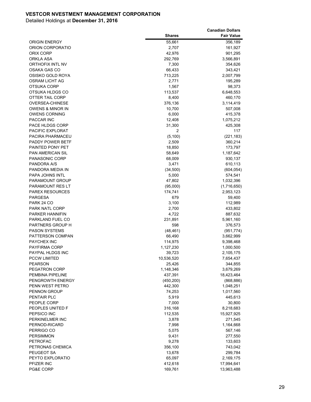| <b>Shares</b><br><b>Fair Value</b><br>55,661<br><b>ORIGIN ENERGY</b><br>356,189<br>ORION CORPORATIO<br>2,707<br>161,927<br>ORIX CORP<br>42,976<br>901,295<br>292,769<br>3,566,891<br>ORKLA ASA<br><b>ORTHOFIX INTL NV</b><br>7,300<br>354,626<br>OSAKA GAS CO<br>66,433<br>343,421<br>OSISKO GOLD ROYA<br>713,225<br>2,007,799<br>2,771<br>OSRAM LICHT AG<br>195,289<br>1,567<br>98,373<br>OTSUKA CORP<br>OTSUKA HLDGS CO<br>113,537<br>6,648,553<br><b>OTTER TAIL CORP</b><br>460,170<br>8,400<br><b>OVERSEA-CHINESE</b><br>376,136<br>3,114,419<br><b>OWENS &amp; MINOR IN</b><br>10,700<br>507,008<br><b>OWENS CORNING</b><br>6,000<br>415,378<br>PACCAR INC<br>12,408<br>1,075,212<br>PACE HLDGS CORP<br>31,300<br>425,308<br>PACIFIC EXPLORAT<br>2<br>117<br>(5, 100)<br>PACIRA PHARMACEU<br>(221, 183)<br>PADDY POWER BETF<br>2,509<br>360,214<br>PAINTED PONY PET<br>18,850<br>173,797<br><b>PAN AMERICAN SIL</b><br>1,187,642<br>58,649<br><b>PANASONIC CORP</b><br>68,009<br>930,137<br>PANDORA A/S<br>3,471<br>610,113<br>PANDORA MEDIA IN<br>(34, 500)<br>(604, 054)<br><b>PAPA JOHNS INTL</b><br>5,000<br>574,541<br>47,802<br>1,032,396<br>PARAMOUNT GROUP<br>PARAMOUNT RES LT<br>(95,000)<br>(1,716,650)<br><b>PAREX RESOURCES</b><br>174,741<br>2,953,123<br><b>PARGESA</b><br>679<br>59,400<br>PARK 24 CO<br>3,100<br>112,989<br>2,700<br>433,802<br>PARK NATL CORP<br>4,722<br>887,632<br>PARKER HANNIFIN<br>231,891<br>PARKLAND FUEL CO<br>5,961,160<br>PARTNERS GROUP H<br>598<br>376,573<br><b>PASON SYSTEMS</b><br>(48, 461)<br>(951, 774)<br>PATTERSON COMPAN<br>66,490<br>3,662,999<br><b>PAYCHEX INC</b><br>114,975<br>9,398,468<br><b>PAYFIRMA CORP</b><br>1,127,230<br>1,000,500<br>PAYPAL HLDGS INC<br>39,723<br>2,105,175<br><b>PCCW LIMITED</b><br>10,536,520<br>7,654,437<br><b>PEARSON</b><br>25,426<br>344,855<br>PEGATRON CORP<br>1,148,346<br>3,679,269<br>PEMBINA PIPELINE<br>437,391<br>18,423,464<br>PENGROWTH ENERGY<br>(450, 200)<br>(868, 886)<br>PENN WEST PETRO<br>442,300<br>1,048,251<br>74,253<br><b>PENNON GROUP</b><br>1,017,560<br><b>PENTAIR PLC</b><br>5,919<br>445,613<br>PEOPLE CORP<br>7,000<br>30,800<br>PEOPLES UNITED F<br>316,168<br>8,218,683<br>PEPSICO INC<br>112,535<br>15,927,925<br>3,878<br>PERKINELMER INC<br>271,545<br>PERNOD-RICARD<br>7,998<br>1,164,668<br>567,146<br>PERRIGO CO<br>5,075<br><b>PERSIMMON</b><br>277,550<br>9,431<br><b>PETROFAC</b><br>9,278<br>133,603<br>PETRONAS CHEMICA<br>743,042<br>356,100<br>PEUGEOT SA<br>13,678<br>299,784<br>PEYTO EXPLORATIO<br>65,097<br>2,169,175<br>PFIZER INC<br>412,618<br>17,994,641<br>PG&E CORP<br>169,761<br>13,963,488 |  | <b>Canadian Dollars</b> |
|-----------------------------------------------------------------------------------------------------------------------------------------------------------------------------------------------------------------------------------------------------------------------------------------------------------------------------------------------------------------------------------------------------------------------------------------------------------------------------------------------------------------------------------------------------------------------------------------------------------------------------------------------------------------------------------------------------------------------------------------------------------------------------------------------------------------------------------------------------------------------------------------------------------------------------------------------------------------------------------------------------------------------------------------------------------------------------------------------------------------------------------------------------------------------------------------------------------------------------------------------------------------------------------------------------------------------------------------------------------------------------------------------------------------------------------------------------------------------------------------------------------------------------------------------------------------------------------------------------------------------------------------------------------------------------------------------------------------------------------------------------------------------------------------------------------------------------------------------------------------------------------------------------------------------------------------------------------------------------------------------------------------------------------------------------------------------------------------------------------------------------------------------------------------------------------------------------------------------------------------------------------------------------------------------------------------------------------------------------------------------------------------------------------------------------------------------------------------------------------------------------------------------------------------------------------------------------------------------------------------------------------------------------|--|-------------------------|
|                                                                                                                                                                                                                                                                                                                                                                                                                                                                                                                                                                                                                                                                                                                                                                                                                                                                                                                                                                                                                                                                                                                                                                                                                                                                                                                                                                                                                                                                                                                                                                                                                                                                                                                                                                                                                                                                                                                                                                                                                                                                                                                                                                                                                                                                                                                                                                                                                                                                                                                                                                                                                                                     |  |                         |
|                                                                                                                                                                                                                                                                                                                                                                                                                                                                                                                                                                                                                                                                                                                                                                                                                                                                                                                                                                                                                                                                                                                                                                                                                                                                                                                                                                                                                                                                                                                                                                                                                                                                                                                                                                                                                                                                                                                                                                                                                                                                                                                                                                                                                                                                                                                                                                                                                                                                                                                                                                                                                                                     |  |                         |
|                                                                                                                                                                                                                                                                                                                                                                                                                                                                                                                                                                                                                                                                                                                                                                                                                                                                                                                                                                                                                                                                                                                                                                                                                                                                                                                                                                                                                                                                                                                                                                                                                                                                                                                                                                                                                                                                                                                                                                                                                                                                                                                                                                                                                                                                                                                                                                                                                                                                                                                                                                                                                                                     |  |                         |
|                                                                                                                                                                                                                                                                                                                                                                                                                                                                                                                                                                                                                                                                                                                                                                                                                                                                                                                                                                                                                                                                                                                                                                                                                                                                                                                                                                                                                                                                                                                                                                                                                                                                                                                                                                                                                                                                                                                                                                                                                                                                                                                                                                                                                                                                                                                                                                                                                                                                                                                                                                                                                                                     |  |                         |
|                                                                                                                                                                                                                                                                                                                                                                                                                                                                                                                                                                                                                                                                                                                                                                                                                                                                                                                                                                                                                                                                                                                                                                                                                                                                                                                                                                                                                                                                                                                                                                                                                                                                                                                                                                                                                                                                                                                                                                                                                                                                                                                                                                                                                                                                                                                                                                                                                                                                                                                                                                                                                                                     |  |                         |
|                                                                                                                                                                                                                                                                                                                                                                                                                                                                                                                                                                                                                                                                                                                                                                                                                                                                                                                                                                                                                                                                                                                                                                                                                                                                                                                                                                                                                                                                                                                                                                                                                                                                                                                                                                                                                                                                                                                                                                                                                                                                                                                                                                                                                                                                                                                                                                                                                                                                                                                                                                                                                                                     |  |                         |
|                                                                                                                                                                                                                                                                                                                                                                                                                                                                                                                                                                                                                                                                                                                                                                                                                                                                                                                                                                                                                                                                                                                                                                                                                                                                                                                                                                                                                                                                                                                                                                                                                                                                                                                                                                                                                                                                                                                                                                                                                                                                                                                                                                                                                                                                                                                                                                                                                                                                                                                                                                                                                                                     |  |                         |
|                                                                                                                                                                                                                                                                                                                                                                                                                                                                                                                                                                                                                                                                                                                                                                                                                                                                                                                                                                                                                                                                                                                                                                                                                                                                                                                                                                                                                                                                                                                                                                                                                                                                                                                                                                                                                                                                                                                                                                                                                                                                                                                                                                                                                                                                                                                                                                                                                                                                                                                                                                                                                                                     |  |                         |
|                                                                                                                                                                                                                                                                                                                                                                                                                                                                                                                                                                                                                                                                                                                                                                                                                                                                                                                                                                                                                                                                                                                                                                                                                                                                                                                                                                                                                                                                                                                                                                                                                                                                                                                                                                                                                                                                                                                                                                                                                                                                                                                                                                                                                                                                                                                                                                                                                                                                                                                                                                                                                                                     |  |                         |
|                                                                                                                                                                                                                                                                                                                                                                                                                                                                                                                                                                                                                                                                                                                                                                                                                                                                                                                                                                                                                                                                                                                                                                                                                                                                                                                                                                                                                                                                                                                                                                                                                                                                                                                                                                                                                                                                                                                                                                                                                                                                                                                                                                                                                                                                                                                                                                                                                                                                                                                                                                                                                                                     |  |                         |
|                                                                                                                                                                                                                                                                                                                                                                                                                                                                                                                                                                                                                                                                                                                                                                                                                                                                                                                                                                                                                                                                                                                                                                                                                                                                                                                                                                                                                                                                                                                                                                                                                                                                                                                                                                                                                                                                                                                                                                                                                                                                                                                                                                                                                                                                                                                                                                                                                                                                                                                                                                                                                                                     |  |                         |
|                                                                                                                                                                                                                                                                                                                                                                                                                                                                                                                                                                                                                                                                                                                                                                                                                                                                                                                                                                                                                                                                                                                                                                                                                                                                                                                                                                                                                                                                                                                                                                                                                                                                                                                                                                                                                                                                                                                                                                                                                                                                                                                                                                                                                                                                                                                                                                                                                                                                                                                                                                                                                                                     |  |                         |
|                                                                                                                                                                                                                                                                                                                                                                                                                                                                                                                                                                                                                                                                                                                                                                                                                                                                                                                                                                                                                                                                                                                                                                                                                                                                                                                                                                                                                                                                                                                                                                                                                                                                                                                                                                                                                                                                                                                                                                                                                                                                                                                                                                                                                                                                                                                                                                                                                                                                                                                                                                                                                                                     |  |                         |
|                                                                                                                                                                                                                                                                                                                                                                                                                                                                                                                                                                                                                                                                                                                                                                                                                                                                                                                                                                                                                                                                                                                                                                                                                                                                                                                                                                                                                                                                                                                                                                                                                                                                                                                                                                                                                                                                                                                                                                                                                                                                                                                                                                                                                                                                                                                                                                                                                                                                                                                                                                                                                                                     |  |                         |
|                                                                                                                                                                                                                                                                                                                                                                                                                                                                                                                                                                                                                                                                                                                                                                                                                                                                                                                                                                                                                                                                                                                                                                                                                                                                                                                                                                                                                                                                                                                                                                                                                                                                                                                                                                                                                                                                                                                                                                                                                                                                                                                                                                                                                                                                                                                                                                                                                                                                                                                                                                                                                                                     |  |                         |
|                                                                                                                                                                                                                                                                                                                                                                                                                                                                                                                                                                                                                                                                                                                                                                                                                                                                                                                                                                                                                                                                                                                                                                                                                                                                                                                                                                                                                                                                                                                                                                                                                                                                                                                                                                                                                                                                                                                                                                                                                                                                                                                                                                                                                                                                                                                                                                                                                                                                                                                                                                                                                                                     |  |                         |
|                                                                                                                                                                                                                                                                                                                                                                                                                                                                                                                                                                                                                                                                                                                                                                                                                                                                                                                                                                                                                                                                                                                                                                                                                                                                                                                                                                                                                                                                                                                                                                                                                                                                                                                                                                                                                                                                                                                                                                                                                                                                                                                                                                                                                                                                                                                                                                                                                                                                                                                                                                                                                                                     |  |                         |
|                                                                                                                                                                                                                                                                                                                                                                                                                                                                                                                                                                                                                                                                                                                                                                                                                                                                                                                                                                                                                                                                                                                                                                                                                                                                                                                                                                                                                                                                                                                                                                                                                                                                                                                                                                                                                                                                                                                                                                                                                                                                                                                                                                                                                                                                                                                                                                                                                                                                                                                                                                                                                                                     |  |                         |
|                                                                                                                                                                                                                                                                                                                                                                                                                                                                                                                                                                                                                                                                                                                                                                                                                                                                                                                                                                                                                                                                                                                                                                                                                                                                                                                                                                                                                                                                                                                                                                                                                                                                                                                                                                                                                                                                                                                                                                                                                                                                                                                                                                                                                                                                                                                                                                                                                                                                                                                                                                                                                                                     |  |                         |
|                                                                                                                                                                                                                                                                                                                                                                                                                                                                                                                                                                                                                                                                                                                                                                                                                                                                                                                                                                                                                                                                                                                                                                                                                                                                                                                                                                                                                                                                                                                                                                                                                                                                                                                                                                                                                                                                                                                                                                                                                                                                                                                                                                                                                                                                                                                                                                                                                                                                                                                                                                                                                                                     |  |                         |
|                                                                                                                                                                                                                                                                                                                                                                                                                                                                                                                                                                                                                                                                                                                                                                                                                                                                                                                                                                                                                                                                                                                                                                                                                                                                                                                                                                                                                                                                                                                                                                                                                                                                                                                                                                                                                                                                                                                                                                                                                                                                                                                                                                                                                                                                                                                                                                                                                                                                                                                                                                                                                                                     |  |                         |
|                                                                                                                                                                                                                                                                                                                                                                                                                                                                                                                                                                                                                                                                                                                                                                                                                                                                                                                                                                                                                                                                                                                                                                                                                                                                                                                                                                                                                                                                                                                                                                                                                                                                                                                                                                                                                                                                                                                                                                                                                                                                                                                                                                                                                                                                                                                                                                                                                                                                                                                                                                                                                                                     |  |                         |
|                                                                                                                                                                                                                                                                                                                                                                                                                                                                                                                                                                                                                                                                                                                                                                                                                                                                                                                                                                                                                                                                                                                                                                                                                                                                                                                                                                                                                                                                                                                                                                                                                                                                                                                                                                                                                                                                                                                                                                                                                                                                                                                                                                                                                                                                                                                                                                                                                                                                                                                                                                                                                                                     |  |                         |
|                                                                                                                                                                                                                                                                                                                                                                                                                                                                                                                                                                                                                                                                                                                                                                                                                                                                                                                                                                                                                                                                                                                                                                                                                                                                                                                                                                                                                                                                                                                                                                                                                                                                                                                                                                                                                                                                                                                                                                                                                                                                                                                                                                                                                                                                                                                                                                                                                                                                                                                                                                                                                                                     |  |                         |
|                                                                                                                                                                                                                                                                                                                                                                                                                                                                                                                                                                                                                                                                                                                                                                                                                                                                                                                                                                                                                                                                                                                                                                                                                                                                                                                                                                                                                                                                                                                                                                                                                                                                                                                                                                                                                                                                                                                                                                                                                                                                                                                                                                                                                                                                                                                                                                                                                                                                                                                                                                                                                                                     |  |                         |
|                                                                                                                                                                                                                                                                                                                                                                                                                                                                                                                                                                                                                                                                                                                                                                                                                                                                                                                                                                                                                                                                                                                                                                                                                                                                                                                                                                                                                                                                                                                                                                                                                                                                                                                                                                                                                                                                                                                                                                                                                                                                                                                                                                                                                                                                                                                                                                                                                                                                                                                                                                                                                                                     |  |                         |
|                                                                                                                                                                                                                                                                                                                                                                                                                                                                                                                                                                                                                                                                                                                                                                                                                                                                                                                                                                                                                                                                                                                                                                                                                                                                                                                                                                                                                                                                                                                                                                                                                                                                                                                                                                                                                                                                                                                                                                                                                                                                                                                                                                                                                                                                                                                                                                                                                                                                                                                                                                                                                                                     |  |                         |
|                                                                                                                                                                                                                                                                                                                                                                                                                                                                                                                                                                                                                                                                                                                                                                                                                                                                                                                                                                                                                                                                                                                                                                                                                                                                                                                                                                                                                                                                                                                                                                                                                                                                                                                                                                                                                                                                                                                                                                                                                                                                                                                                                                                                                                                                                                                                                                                                                                                                                                                                                                                                                                                     |  |                         |
|                                                                                                                                                                                                                                                                                                                                                                                                                                                                                                                                                                                                                                                                                                                                                                                                                                                                                                                                                                                                                                                                                                                                                                                                                                                                                                                                                                                                                                                                                                                                                                                                                                                                                                                                                                                                                                                                                                                                                                                                                                                                                                                                                                                                                                                                                                                                                                                                                                                                                                                                                                                                                                                     |  |                         |
|                                                                                                                                                                                                                                                                                                                                                                                                                                                                                                                                                                                                                                                                                                                                                                                                                                                                                                                                                                                                                                                                                                                                                                                                                                                                                                                                                                                                                                                                                                                                                                                                                                                                                                                                                                                                                                                                                                                                                                                                                                                                                                                                                                                                                                                                                                                                                                                                                                                                                                                                                                                                                                                     |  |                         |
|                                                                                                                                                                                                                                                                                                                                                                                                                                                                                                                                                                                                                                                                                                                                                                                                                                                                                                                                                                                                                                                                                                                                                                                                                                                                                                                                                                                                                                                                                                                                                                                                                                                                                                                                                                                                                                                                                                                                                                                                                                                                                                                                                                                                                                                                                                                                                                                                                                                                                                                                                                                                                                                     |  |                         |
|                                                                                                                                                                                                                                                                                                                                                                                                                                                                                                                                                                                                                                                                                                                                                                                                                                                                                                                                                                                                                                                                                                                                                                                                                                                                                                                                                                                                                                                                                                                                                                                                                                                                                                                                                                                                                                                                                                                                                                                                                                                                                                                                                                                                                                                                                                                                                                                                                                                                                                                                                                                                                                                     |  |                         |
|                                                                                                                                                                                                                                                                                                                                                                                                                                                                                                                                                                                                                                                                                                                                                                                                                                                                                                                                                                                                                                                                                                                                                                                                                                                                                                                                                                                                                                                                                                                                                                                                                                                                                                                                                                                                                                                                                                                                                                                                                                                                                                                                                                                                                                                                                                                                                                                                                                                                                                                                                                                                                                                     |  |                         |
|                                                                                                                                                                                                                                                                                                                                                                                                                                                                                                                                                                                                                                                                                                                                                                                                                                                                                                                                                                                                                                                                                                                                                                                                                                                                                                                                                                                                                                                                                                                                                                                                                                                                                                                                                                                                                                                                                                                                                                                                                                                                                                                                                                                                                                                                                                                                                                                                                                                                                                                                                                                                                                                     |  |                         |
|                                                                                                                                                                                                                                                                                                                                                                                                                                                                                                                                                                                                                                                                                                                                                                                                                                                                                                                                                                                                                                                                                                                                                                                                                                                                                                                                                                                                                                                                                                                                                                                                                                                                                                                                                                                                                                                                                                                                                                                                                                                                                                                                                                                                                                                                                                                                                                                                                                                                                                                                                                                                                                                     |  |                         |
|                                                                                                                                                                                                                                                                                                                                                                                                                                                                                                                                                                                                                                                                                                                                                                                                                                                                                                                                                                                                                                                                                                                                                                                                                                                                                                                                                                                                                                                                                                                                                                                                                                                                                                                                                                                                                                                                                                                                                                                                                                                                                                                                                                                                                                                                                                                                                                                                                                                                                                                                                                                                                                                     |  |                         |
|                                                                                                                                                                                                                                                                                                                                                                                                                                                                                                                                                                                                                                                                                                                                                                                                                                                                                                                                                                                                                                                                                                                                                                                                                                                                                                                                                                                                                                                                                                                                                                                                                                                                                                                                                                                                                                                                                                                                                                                                                                                                                                                                                                                                                                                                                                                                                                                                                                                                                                                                                                                                                                                     |  |                         |
|                                                                                                                                                                                                                                                                                                                                                                                                                                                                                                                                                                                                                                                                                                                                                                                                                                                                                                                                                                                                                                                                                                                                                                                                                                                                                                                                                                                                                                                                                                                                                                                                                                                                                                                                                                                                                                                                                                                                                                                                                                                                                                                                                                                                                                                                                                                                                                                                                                                                                                                                                                                                                                                     |  |                         |
|                                                                                                                                                                                                                                                                                                                                                                                                                                                                                                                                                                                                                                                                                                                                                                                                                                                                                                                                                                                                                                                                                                                                                                                                                                                                                                                                                                                                                                                                                                                                                                                                                                                                                                                                                                                                                                                                                                                                                                                                                                                                                                                                                                                                                                                                                                                                                                                                                                                                                                                                                                                                                                                     |  |                         |
|                                                                                                                                                                                                                                                                                                                                                                                                                                                                                                                                                                                                                                                                                                                                                                                                                                                                                                                                                                                                                                                                                                                                                                                                                                                                                                                                                                                                                                                                                                                                                                                                                                                                                                                                                                                                                                                                                                                                                                                                                                                                                                                                                                                                                                                                                                                                                                                                                                                                                                                                                                                                                                                     |  |                         |
|                                                                                                                                                                                                                                                                                                                                                                                                                                                                                                                                                                                                                                                                                                                                                                                                                                                                                                                                                                                                                                                                                                                                                                                                                                                                                                                                                                                                                                                                                                                                                                                                                                                                                                                                                                                                                                                                                                                                                                                                                                                                                                                                                                                                                                                                                                                                                                                                                                                                                                                                                                                                                                                     |  |                         |
|                                                                                                                                                                                                                                                                                                                                                                                                                                                                                                                                                                                                                                                                                                                                                                                                                                                                                                                                                                                                                                                                                                                                                                                                                                                                                                                                                                                                                                                                                                                                                                                                                                                                                                                                                                                                                                                                                                                                                                                                                                                                                                                                                                                                                                                                                                                                                                                                                                                                                                                                                                                                                                                     |  |                         |
|                                                                                                                                                                                                                                                                                                                                                                                                                                                                                                                                                                                                                                                                                                                                                                                                                                                                                                                                                                                                                                                                                                                                                                                                                                                                                                                                                                                                                                                                                                                                                                                                                                                                                                                                                                                                                                                                                                                                                                                                                                                                                                                                                                                                                                                                                                                                                                                                                                                                                                                                                                                                                                                     |  |                         |
|                                                                                                                                                                                                                                                                                                                                                                                                                                                                                                                                                                                                                                                                                                                                                                                                                                                                                                                                                                                                                                                                                                                                                                                                                                                                                                                                                                                                                                                                                                                                                                                                                                                                                                                                                                                                                                                                                                                                                                                                                                                                                                                                                                                                                                                                                                                                                                                                                                                                                                                                                                                                                                                     |  |                         |
|                                                                                                                                                                                                                                                                                                                                                                                                                                                                                                                                                                                                                                                                                                                                                                                                                                                                                                                                                                                                                                                                                                                                                                                                                                                                                                                                                                                                                                                                                                                                                                                                                                                                                                                                                                                                                                                                                                                                                                                                                                                                                                                                                                                                                                                                                                                                                                                                                                                                                                                                                                                                                                                     |  |                         |
|                                                                                                                                                                                                                                                                                                                                                                                                                                                                                                                                                                                                                                                                                                                                                                                                                                                                                                                                                                                                                                                                                                                                                                                                                                                                                                                                                                                                                                                                                                                                                                                                                                                                                                                                                                                                                                                                                                                                                                                                                                                                                                                                                                                                                                                                                                                                                                                                                                                                                                                                                                                                                                                     |  |                         |
|                                                                                                                                                                                                                                                                                                                                                                                                                                                                                                                                                                                                                                                                                                                                                                                                                                                                                                                                                                                                                                                                                                                                                                                                                                                                                                                                                                                                                                                                                                                                                                                                                                                                                                                                                                                                                                                                                                                                                                                                                                                                                                                                                                                                                                                                                                                                                                                                                                                                                                                                                                                                                                                     |  |                         |
|                                                                                                                                                                                                                                                                                                                                                                                                                                                                                                                                                                                                                                                                                                                                                                                                                                                                                                                                                                                                                                                                                                                                                                                                                                                                                                                                                                                                                                                                                                                                                                                                                                                                                                                                                                                                                                                                                                                                                                                                                                                                                                                                                                                                                                                                                                                                                                                                                                                                                                                                                                                                                                                     |  |                         |
|                                                                                                                                                                                                                                                                                                                                                                                                                                                                                                                                                                                                                                                                                                                                                                                                                                                                                                                                                                                                                                                                                                                                                                                                                                                                                                                                                                                                                                                                                                                                                                                                                                                                                                                                                                                                                                                                                                                                                                                                                                                                                                                                                                                                                                                                                                                                                                                                                                                                                                                                                                                                                                                     |  |                         |
|                                                                                                                                                                                                                                                                                                                                                                                                                                                                                                                                                                                                                                                                                                                                                                                                                                                                                                                                                                                                                                                                                                                                                                                                                                                                                                                                                                                                                                                                                                                                                                                                                                                                                                                                                                                                                                                                                                                                                                                                                                                                                                                                                                                                                                                                                                                                                                                                                                                                                                                                                                                                                                                     |  |                         |
|                                                                                                                                                                                                                                                                                                                                                                                                                                                                                                                                                                                                                                                                                                                                                                                                                                                                                                                                                                                                                                                                                                                                                                                                                                                                                                                                                                                                                                                                                                                                                                                                                                                                                                                                                                                                                                                                                                                                                                                                                                                                                                                                                                                                                                                                                                                                                                                                                                                                                                                                                                                                                                                     |  |                         |
|                                                                                                                                                                                                                                                                                                                                                                                                                                                                                                                                                                                                                                                                                                                                                                                                                                                                                                                                                                                                                                                                                                                                                                                                                                                                                                                                                                                                                                                                                                                                                                                                                                                                                                                                                                                                                                                                                                                                                                                                                                                                                                                                                                                                                                                                                                                                                                                                                                                                                                                                                                                                                                                     |  |                         |
|                                                                                                                                                                                                                                                                                                                                                                                                                                                                                                                                                                                                                                                                                                                                                                                                                                                                                                                                                                                                                                                                                                                                                                                                                                                                                                                                                                                                                                                                                                                                                                                                                                                                                                                                                                                                                                                                                                                                                                                                                                                                                                                                                                                                                                                                                                                                                                                                                                                                                                                                                                                                                                                     |  |                         |
|                                                                                                                                                                                                                                                                                                                                                                                                                                                                                                                                                                                                                                                                                                                                                                                                                                                                                                                                                                                                                                                                                                                                                                                                                                                                                                                                                                                                                                                                                                                                                                                                                                                                                                                                                                                                                                                                                                                                                                                                                                                                                                                                                                                                                                                                                                                                                                                                                                                                                                                                                                                                                                                     |  |                         |
|                                                                                                                                                                                                                                                                                                                                                                                                                                                                                                                                                                                                                                                                                                                                                                                                                                                                                                                                                                                                                                                                                                                                                                                                                                                                                                                                                                                                                                                                                                                                                                                                                                                                                                                                                                                                                                                                                                                                                                                                                                                                                                                                                                                                                                                                                                                                                                                                                                                                                                                                                                                                                                                     |  |                         |
|                                                                                                                                                                                                                                                                                                                                                                                                                                                                                                                                                                                                                                                                                                                                                                                                                                                                                                                                                                                                                                                                                                                                                                                                                                                                                                                                                                                                                                                                                                                                                                                                                                                                                                                                                                                                                                                                                                                                                                                                                                                                                                                                                                                                                                                                                                                                                                                                                                                                                                                                                                                                                                                     |  |                         |
|                                                                                                                                                                                                                                                                                                                                                                                                                                                                                                                                                                                                                                                                                                                                                                                                                                                                                                                                                                                                                                                                                                                                                                                                                                                                                                                                                                                                                                                                                                                                                                                                                                                                                                                                                                                                                                                                                                                                                                                                                                                                                                                                                                                                                                                                                                                                                                                                                                                                                                                                                                                                                                                     |  |                         |
|                                                                                                                                                                                                                                                                                                                                                                                                                                                                                                                                                                                                                                                                                                                                                                                                                                                                                                                                                                                                                                                                                                                                                                                                                                                                                                                                                                                                                                                                                                                                                                                                                                                                                                                                                                                                                                                                                                                                                                                                                                                                                                                                                                                                                                                                                                                                                                                                                                                                                                                                                                                                                                                     |  |                         |
|                                                                                                                                                                                                                                                                                                                                                                                                                                                                                                                                                                                                                                                                                                                                                                                                                                                                                                                                                                                                                                                                                                                                                                                                                                                                                                                                                                                                                                                                                                                                                                                                                                                                                                                                                                                                                                                                                                                                                                                                                                                                                                                                                                                                                                                                                                                                                                                                                                                                                                                                                                                                                                                     |  |                         |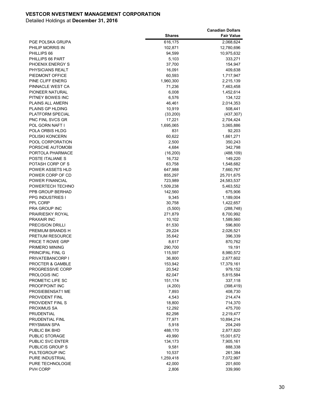|                                      |                    | <b>Canadian Dollars</b>  |
|--------------------------------------|--------------------|--------------------------|
|                                      | <b>Shares</b>      | <b>Fair Value</b>        |
| PGE POLSKA GRUPA                     | 616,175            | 2,068,624                |
| PHILIP MORRIS IN                     | 102,871            | 12,780,696               |
| PHILLIPS 66                          | 94,599             | 10,975,632               |
| PHILLIPS 66 PART                     | 5,103              | 333,271                  |
| PHOENIX ENERGY S                     | 37,700             | 154,947                  |
| PHYSICIANS REALT                     | 16,091             | 409,638                  |
| PIEDMONT OFFICE                      | 60,593             | 1,717,947                |
| PINE CLIFF ENERG                     | 1,960,300          | 2,215,139                |
| PINNACLE WEST CA                     | 71,236             | 7,463,458                |
| PIONEER NATURAL                      | 6,008              | 1,452,614                |
| PITNEY BOWES INC                     | 6,576              | 134,122                  |
| <b>PLAINS ALL AMERN</b>              | 46,461             | 2,014,353                |
| PLAINS GP HLDING                     | 10,919             | 508,441                  |
| PLATFORM SPECIAL                     | (33, 200)          | (437, 307)               |
| <b>PNC FINL SVCS GR</b>              | 17,221             | 2,704,424                |
| POL GORN NAFT I                      | 1,695,065          | 3,065,886                |
| POLA ORBIS HLDG                      | 831                | 92,203                   |
| POLISKI KONCERN                      | 60,622             | 1,661,271                |
| POOL CORPORATION                     | 2,500              | 350,243                  |
| PORSCHE AUTOMOBI                     | 4,684              | 342,798                  |
| PORTOLA PHARMACE                     | (16, 200)          | (488, 109)               |
| POSTE ITALIANE S                     | 16,732<br>63,758   | 149,220                  |
| POTASH CORP OF S<br>POWER ASSETS HLD |                    | 1,548,682                |
| POWER CORP OF CD                     | 647,988<br>855,297 | 7,660,767                |
| POWER FINANCIAL                      | 723,989            | 25,701,675<br>24,583,537 |
| POWERTECH TECHNO                     | 1,509,238          |                          |
| PPB GROUP BERHAD                     | 142,560            | 5,463,552<br>675,906     |
| <b>PPG INDUSTRIES I</b>              | 9,345              | 1,189,004                |
| PPL CORP                             | 30,758             | 1,422,657                |
| <b>PRA GROUP INC</b>                 | (5,500)            | (288, 748)               |
| <b>PRAIRIESKY ROYAL</b>              | 271,879            | 8,700,992                |
| PRAXAIR INC                          | 10,102             | 1,589,560                |
| <b>PRECISION DRILLI</b>              | 81,530             | 596,800                  |
| PREMIUM BRANDS H                     | 29,224             | 2,026,521                |
| <b>PRETIUM RESOURCE</b>              | 35,642             | 396,339                  |
| <b>PRICE T ROWE GRP</b>              | 8,617              | 870,762                  |
| PRIMERO MINING                       | 290,700            | 19,191                   |
| PRINCIPAL FINL G                     | 115,597            | 8,980,572                |
| PRIVATEBANCORP I                     | 36,800             | 2,677,602                |
| <b>PROCTER &amp; GAMBLE</b>          | 153,942            | 17,379,161               |
| <b>PROGRESSIVE CORP</b>              | 20,542             | 979,152                  |
| PROLOGIS INC                         | 82,047             | 5,815,584                |
| PROMETIC LIFE SC                     | 151,174            | 337,118                  |
| PROOFPOINT INC                       | (4,200)            | (398, 419)               |
| PROSIEBENSAT1 ME                     | 7,893              | 408,730                  |
| <b>PROVIDENT FINL</b>                | 4,543              | 214,474                  |
| PROVIDENT FINL S                     | 18,800             | 714,370                  |
| PROXIMUS SA                          | 12,292             | 475,700                  |
| PRUDENTIAL                           | 82,298             | 2,219,477                |
| PRUDENTIAL FINL                      | 77,971             | 10,894,214               |
| PRYSMIAN SPA                         | 5,918              | 204,249                  |
| PUBLIC BK BHD                        | 488,170            | 2,877,820                |
| PUBLIC STORAGE                       | 49,990             | 15,001,672               |
| PUBLIC SVC ENTER                     | 134,173            | 7,905,161                |
| PUBLICIS GROUP S                     | 9,581              | 888,338                  |
| PULTEGROUP INC                       | 10,537             | 261,384                  |
| PURE INDUSTRIAL                      | 1,259,418          | 7,072,997                |
| PURE TECHNOLOGIE                     | 42,000             | 201,600                  |
| PVH CORP                             | 2,806              | 339,990                  |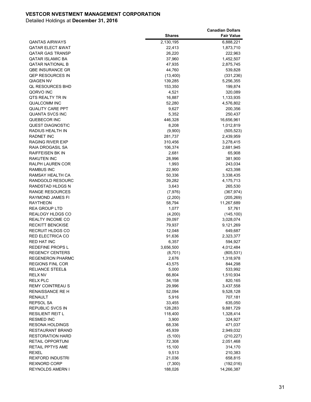|                                 |               | <b>Canadian Dollars</b> |
|---------------------------------|---------------|-------------------------|
|                                 | <b>Shares</b> | <b>Fair Value</b>       |
| <b>QANTAS AIRWAYS</b>           | 2,130,195     | 6,888,221               |
| <b>QATAR ELECT &amp;WAT</b>     | 22,413        | 1,873,710               |
| <b>QATAR GAS TRANSP</b>         | 26,220        | 222,963                 |
| <b>QATAR ISLAMIC BA</b>         | 37,960        | 1,452,507               |
| <b>QATAR NATIONAL B</b>         | 47,935        | 2,875,745               |
| <b>QBE INSURANCE GR</b>         | 44,760        | 539,828                 |
| <b>QEP RESOURCES IN</b>         | (13, 400)     | (331, 236)              |
| <b>QIAGEN NV</b>                | 139,285       | 5,256,355               |
| <b>QL RESOURCES BHD</b>         | 153,350       | 199,874                 |
| QORVO INC                       | 4,521         | 320,089                 |
| QTS REALTY TR IN                | 16,887        | 1,133,935               |
| <b>QUALCOMM INC</b>             | 52,280        | 4,576,802               |
| <b>QUALITY CARE PPT</b>         | 9,627         | 200,356                 |
| <b>QUANTA SVCS INC</b>          | 5,352         | 250,437                 |
| QUEBECOR INC                    | 446,328       | 16,656,961              |
| <b>QUEST DIAGNOSTIC</b>         | 8,208         | 1,012,819               |
| RADIUS HEALTH IN                | (9,900)       | (505, 523)              |
| <b>RADNET INC</b>               | 281,737       | 2,439,959               |
| RAGING RIVER EXP                | 310,456       | 3,278,415               |
| RAIA DROGASIL SA                | 106,374       |                         |
| <b>RAIFFEISEN BK IN</b>         | 2,681         | 2,681,945               |
|                                 | 28,996        | 65,908                  |
| RAKUTEN INC<br>RALPH LAUREN COR | 1,993         | 381,900                 |
| <b>RAMBUS INC</b>               | 22,900        | 243,034<br>423,398      |
| RAMSAY HEALTH CA                |               |                         |
|                                 | 50,336        | 3,338,435               |
| RANDGOLD RESOURC                | 39,282        | 4,175,713               |
| RANDSTAD HLDGS N                | 3,643         | 265,530                 |
| RANGE RESOURCES                 | (7,976)       | (367, 974)              |
| RAYMOND JAMES FI                | (2,200)       | (205, 269)              |
| <b>RAYTHEON</b>                 | 58,794        | 11,267,689              |
| REA GROUP LTD                   | 1,077         | 57,761                  |
| <b>REALOGY HLDGS CO</b>         | (4,200)       | (145, 100)              |
| REALTY INCOME CO                | 39,097        | 3,028,074               |
| <b>RECKITT BENCKISE</b>         | 79,937        | 9,121,269               |
| <b>RECRUIT HLDGS CO</b>         | 12,048        | 649,687                 |
| RED ELECTRICA CO                | 91,636        | 2,323,377               |
| <b>RED HAT INC</b>              | 6,357         | 594,927                 |
| <b>REDEFINE PROPS L</b>         | 3,656,500     | 4,012,484               |
| <b>REGENCY CENTERS</b>          | (8,701)       | (805, 531)              |
| <b>REGENERON PHARMC</b>         | 2,676         | 1,318,978               |
| <b>REGIONS FINL COR</b>         | 43,575        | 844,298                 |
| <b>RELIANCE STEEL&amp;</b>      | 5,000         | 533,992                 |
| <b>RELX NV</b>                  | 66,804        | 1,510,934               |
| <b>RELX PLC</b>                 | 34,158        | 820,165                 |
| <b>REMY COINTREAU S</b>         | 29,996        | 3,437,558               |
| RENAISSANCE RE H                | 52,094        | 9,528,128               |
| RENAULT                         | 5,916         | 707,181                 |
| REPSOL SA                       | 33,455        | 635,050                 |
| REPUBLIC SVCS IN                | 128,283       | 9,881,729               |
| <b>RESILIENT REIT L</b>         | 118,400       | 1,328,414               |
| <b>RESMED INC</b>               | 3,900         | 324,927                 |
| <b>RESONA HOLDINGS</b>          | 68,336        | 471,037                 |
| RESTAURANT BRAND                | 45,939        | 2,949,032               |
| <b>RESTORATION HARD</b>         | (5, 100)      | (210, 227)              |
| RETAIL OPPORTUNI                | 72,308        | 2,051,468               |
| <b>RETAIL PPTYS AME</b>         | 15,100        | 314,170                 |
| <b>REXEL</b>                    | 9,513         | 210,383                 |
| <b>REXFORD INDUSTRI</b>         | 21,036        | 658,815                 |
| <b>REXNORD CORP</b>             | (7,300)       | (192, 016)              |
| REYNOLDS AMERN I                | 188,026       | 14,266,387              |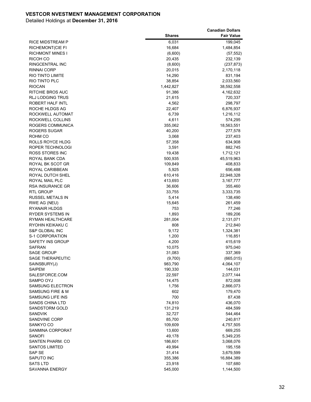|                           |               | <b>Canadian Dollars</b> |
|---------------------------|---------------|-------------------------|
|                           | <b>Shares</b> | <b>Fair Value</b>       |
| RICE MIDSTREAM P          | 6,031         | 199,045                 |
| <b>RICHEMONT(CIE FI</b>   | 16,684        | 1,484,854               |
| <b>RICHMONT MINES I</b>   | (6,600)       | (57, 552)               |
| RICOH CO                  | 20,435        | 232,139                 |
| RINGCENTRAL INC           | (8,600)       | (237, 873)              |
| <b>RINNAI CORP</b>        | 20,015        | 2,170,118               |
| RIO TINTO LIMITE          | 14,290        | 831,194                 |
| RIO TINTO PLC             | 38,854        | 2,033,560               |
| <b>RIOCAN</b>             | 1,442,827     | 38,592,558              |
| RITCHIE BROS AUC          | 91,386        | 4,162,632               |
| <b>RLJ LODGING TRUS</b>   | 21,615        | 720,337                 |
| ROBERT HALF INTL          | 4,562         | 298,797                 |
| ROCHE HLDGS AG            | 22,407        | 6,876,937               |
| ROCKWELL AUTOMAT          | 6,739         | 1,216,112               |
| ROCKWELL COLLINS          | 4,611         | 574,295                 |
| ROGERS COMMUNICA          | 355,062       | 18,563,551              |
| ROGERS SUGAR              | 40,200        | 277,578                 |
| ROHM CO                   | 3,068         | 237,403                 |
| <b>ROLLS ROYCE HLDG</b>   | 57,358        | 634,908                 |
| ROPER TECHNOLOGI          | 3,591         | 882,745                 |
| ROSS STORES INC           | 19,438        | 1,712,121               |
| ROYAL BANK CDA            | 500,935       | 45,519,963              |
| ROYAL BK SCOT GR          | 109,849       | 408,833                 |
| ROYAL CARIBBEAN           | 5,925         | 656,488                 |
| ROYAL DUTCH SHEL          | 610,416       | 22,948,328              |
| ROYAL MAIL PLC            | 413,693       | 3,167,777               |
| <b>RSA INSURANCE GR</b>   | 36,606        | 355,460                 |
| <b>RTL GROUP</b>          | 33,755        | 3,333,735               |
| RUSSEL METALS IN          | 5,414         | 138,490                 |
| RWE AG (NEU)              | 15,645        | 261,459                 |
| RYANAIR HLDGS             | 753           | 77,246                  |
| RYDER SYSTEMS IN          | 1,893         | 189,206                 |
| RYMAN HEALTHCARE          | 281,004       | 2,131,071               |
| RYOHIN KEIKAKU C          | 808           | 212,840                 |
| <b>S&amp;P GLOBAL INC</b> | 9,172         | 1,324,381               |
| S-1 CORPORATION           | 1,200         | 116,851                 |
| SAFETY INS GROUP          | 4,200         | 415,619                 |
| <b>SAFRAN</b>             | 10,075        | 975,040                 |
| <b>SAGE GROUP</b>         | 31,083        | 337,369                 |
| <b>SAGE THERAPEUTIC</b>   | (9,700)       | (665, 015)              |
| SAINSBURY(J)              | 983,790       | 4,064,107               |
| <b>SAIPEM</b>             | 190,330       | 144,031                 |
| SALESFORCE.COM            | 22,597        | 2,077,144               |
| SAMPO OYJ                 | 14,475        | 872,008                 |
| SAMSUNG ELECTRON          | 1,756         | 2,866,073               |
| SAMSUNG FIRE & M          | 602           | 179,470                 |
| SAMSUNG LIFE INS          | 700           | 87,438                  |
| <b>SANDS CHINA LTD</b>    | 74,810        | 436,070                 |
| SANDSTORM GOLD            | 131,219       | 484,599                 |
| <b>SANDVIK</b>            | 32,727        | 544,464                 |
| SANDVINE CORP             | 85,700        | 240,817                 |
| SANKYO CO                 | 109,609       | 4,757,505               |
| SANMINA CORPORAT          | 13,600        | 669,255                 |
| SANOFI                    | 49,178        | 5,349,235               |
| SANTEN PHARM. CO          | 186,601       | 3,068,076               |
| <b>SANTOS LIMITED</b>     | 49,994        | 195,158                 |
| SAP SE                    | 31,414        | 3,679,599               |
| SAPUTO INC                | 355,386       | 16,884,389              |
| <b>SATS LTD</b>           | 23,918        | 107,680                 |
| SAVANNA ENERGY            | 545,000       | 1,144,500               |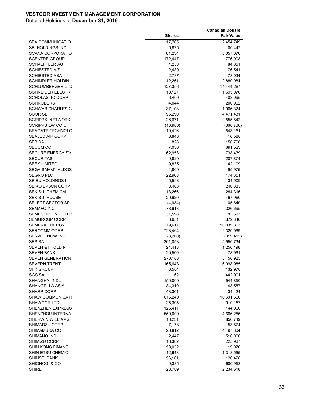|                             |               | <b>Canadian Dollars</b> |
|-----------------------------|---------------|-------------------------|
|                             | <b>Shares</b> | <b>Fair Value</b>       |
| <b>SBA COMMUNICATIO</b>     | 17,705        | 2,454,749               |
| <b>SBI HOLDINGS INC</b>     | 5,875         | 100,447                 |
| <b>SCANA CORPORATIO</b>     | 81,234        | 8,057,076               |
| <b>SCENTRE GROUP</b>        | 172,447       | 776,993                 |
| <b>SCHAEFFLER AG</b>        | 4,258         | 84,651                  |
| <b>SCHIBSTED A/S</b>        | 2,480         | 76,541                  |
| <b>SCHIBSTED ASA</b>        | 2,737         | 78,034                  |
| <b>SCHINDLER HOLDIN</b>     | 12,261        | 2,880,984               |
| <b>SCHLUMBERGER LTD</b>     | 127,356       | 14,444,267              |
| <b>SCHNEIDER ELECTR</b>     | 18,127        | 1,695,070               |
| <b>SCHOLASTIC CORP</b>      | 6,400         | 408,095                 |
| <b>SCHRODERS</b>            | 4,044         | 200,902                 |
| <b>SCHWAB CHARLES C</b>     | 37,103        | 1,966,324               |
| <b>SCOR SE</b>              | 96,290        | 4,471,431               |
| <b>SCRIPPS NETWORK</b>      | 26,671        | 2,555,842               |
| SCRIPPS EW CO OH            | (13,900)      | (360, 766)              |
| <b>SEAGATE TECHNOLO</b>     | 10,426        | 543,161                 |
| <b>SEALED AIR CORP</b>      | 6,843         | 416,588                 |
| <b>SEB SA</b>               | 828           | 150,790                 |
| <b>SECOM CO</b>             | 7,036         | 691,523                 |
| SECURE ENERGY SV            | 62,953        | 738,439                 |
| <b>SECURITAS</b>            | 9,820         | 207,874                 |
| <b>SEEK LIMITED</b>         | 9,835         | 142,109                 |
| <b>SEGA SAMMY HLDGS</b>     | 4,800         | 95,975                  |
| <b>SEGRO PLC</b>            | 22,968        | 174,351                 |
| SEIBU HOLDINGS I            | 5,598         | 134,909                 |
| <b>SEIKO EPSON CORP</b>     | 8,463         | 240,833                 |
| <b>SEKISUI CHEMICAL</b>     | 13,266        | 284,316                 |
| <b>SEKISUI HOUSE</b>        | 20,920        | 467,960                 |
| <b>SELECT SECTOR SP</b>     | (4,934)       | 105,840                 |
| <b>SEMAFO INC</b>           | 73,913        | 326,695                 |
| <b>SEMBCORP INDUSTR</b>     | 31,598        | 83,593                  |
| <b>SEMGROUP CORP</b>        | 6,651         | 372,840                 |
| <b>SEMPRA ENERGY</b>        | 79,617        | 10,839,303              |
| <b>SERCOMM CORP</b>         | 723,464       | 2,320,969               |
| SERVICENOW INC              | (3,200)       | (319, 412)              |
| <b>SES SA</b>               | 201,053       | 5,950,734               |
| <b>SEVEN &amp; I HOLDIN</b> | 24,418        | 1,250,198               |
| <b>SEVEN BANK</b>           | 20,500        | 78,961                  |
| <b>SEVEN GENERATION</b>     | 270,103       | 8,456,925               |
| <b>SEVERN TRENT</b>         | 165,643       | 6,098,985               |
| SFR GROUP                   | 3,504         | 132,978                 |
| <b>SGS SA</b>               | 162           | 442,901                 |
| SHANGHAI INDL               | 150,000       | 544,850                 |
| <b>SHANGRI-LA ASIA</b>      | 34,319        | 48,557                  |
| <b>SHARP CORP</b>           | 43,301        | 134,424                 |
| <b>SHAW COMMUNICATI</b>     | 616,240       | 16,601,506              |
| SHAWCOR LTD                 | 25,395        | 910,157                 |
| <b>SHENZHEN EXPRESS</b>     | 126,411       | 144,966                 |
| SHENZHOU INTERNA            | 550,000       | 4,666,255               |
| <b>SHERWIN WILLIAMS</b>     | 16,231        | 5,856,749               |
| SHIMADZU CORP               | 7,178         | 153,674                 |
| SHIMAMURA CO                | 26,812        | 4,497,804               |
| SHIMANO INC                 | 2,447         | 516,000                 |
| SHIMIZU CORP                | 18,382        | 225,937                 |
| <b>SHIN KONG FINANC</b>     | 58,032        | 19,076                  |
| SHIN-ETSU CHEMIC            | 12,648        | 1,318,565               |
| SHINSEI BANK                | 56,101        | 126,428                 |
| SHIONOGI & CO               | 9,335         | 600,953                 |
| <b>SHIRE</b>                | 28,789        | 2,234,518               |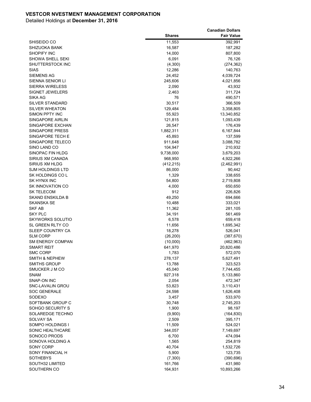|                                     |                     | <b>Canadian Dollars</b>  |
|-------------------------------------|---------------------|--------------------------|
|                                     | <b>Shares</b>       | <b>Fair Value</b>        |
| SHISEIDO CO                         | 11,553              | 392,991                  |
| SHIZUOKA BANK                       | 16,587              | 187,282                  |
| <b>SHOPIFY INC</b>                  | 14,000              | 807,800                  |
| <b>SHOWA SHELL SEKI</b>             | 6,091               | 76,126                   |
| SHUTTERSTOCK INC                    | (4,300)             | (274, 362)               |
| <b>SIAS</b>                         | 12,286              | 140,763                  |
| SIEMENS AG                          | 24,452              | 4,039,724                |
| SIENNA SENIOR LI                    | 245,606             | 4,021,856                |
| <b>SIERRA WIRELESS</b>              | 2,090               | 43,932                   |
| SIGNET JEWELERS                     | 2,463               | 311,724                  |
| SIKA AG                             | 76                  | 490,571                  |
| <b>SILVER STANDARD</b>              | 30,517              | 366,509                  |
| <b>SILVER WHEATON</b>               | 129,484             | 3,358,805                |
| SIMON PPTY INC                      | 55,923              | 13,340,852               |
| SINGAPORE AIRLIN                    | 121,815             | 1,093,439                |
| SINGAPORE EXCHAN                    | 26,547              | 176,439                  |
| SINGAPORE PRESS                     | 1,882,311           | 6,167,844                |
| SINGAPORE TECH E                    | 45,893              | 137,599                  |
| SINGAPORE TELECO                    | 911,648             | 3,088,782                |
| SINO LAND CO                        | 104,947             | 210,932                  |
| SINOPAC FIN HLDG                    | 9,738,000           | 3,679,203                |
| SIRIUS XM CANADA                    | 968,950             | 4,922,266                |
| SIRIUS XM HLDG                      | (412, 215)          | (2,462,991)              |
| <b>SJM HOLDINGS LTD</b>             | 86,000              | 90,442                   |
| SK HOLDINGS CO L                    | 1,329               | 338,655                  |
| SK HYNIX INC                        | 54,800              | 2,719,808                |
| <b>SK INNOVATION CO</b>             | 4,000               | 650,650                  |
| <b>SK TELECOM</b>                   | 912                 | 226,826                  |
| <b>SKAND ENSKILDA B</b>             | 49,250              | 694,666                  |
| SKANSKA SE                          | 10,488              | 333,021                  |
| SKF AB                              | 11,362              | 281,105                  |
| <b>SKY PLC</b>                      | 34,191              | 561,469                  |
| <b>SKYWORKS SOLUTIO</b>             | 6,578               | 659,418                  |
| SL GREEN RLTY CO                    | 11,656              | 1,695,342                |
| SLEEP COUNTRY CA<br><b>SLM CORP</b> | 18,278              | 526,041                  |
| <b>SM ENERGY COMPAN</b>             | (26, 200)           | (387, 670)               |
| <b>SMART REIT</b>                   | (10,000)<br>641,970 | (462, 963)<br>20,820,486 |
| <b>SMC CORP</b>                     | 1,783               | 572,070                  |
| <b>SMITH &amp; NEPHEW</b>           | 278,137             | 5,627,491                |
| <b>SMITHS GROUP</b>                 | 13,788              | 323,523                  |
| SMUCKER J M CO                      | 45,040              | 7,744,455                |
| <b>SNAM</b>                         | 927,318             | 5,133,860                |
| SNAP-ON INC                         | 2,054               | 472,347                  |
| SNC-LAVALIN GROU                    | 53,823              | 3,110,431                |
| <b>SOC GENERALE</b>                 | 24,598              | 1,626,408                |
| SODEXO                              | 3,457               | 533,970                  |
| SOFTBANK GROUP C                    | 30,748              | 2,745,203                |
| SOHGO SECURITY S                    | 1,900               | 98,197                   |
| SOLAREDGE TECHNO                    | (9,900)             | (164, 830)               |
| <b>SOLVAY SA</b>                    | 2,509               | 395,171                  |
| SOMPO HOLDINGS I                    | 11,509              | 524,021                  |
| SONIC HEALTHCARE                    | 344,057             | 7,149,697                |
| SONOCO PRODS                        | 6,700               | 474,094                  |
| SONOVA HOLDING A                    | 1,565               | 254,819                  |
| SONY CORP                           | 40,704              | 1,532,726                |
| SONY FINANCIAL H                    | 5,900               | 123,735                  |
| SOTHEBYS                            | (7,300)             | (390, 696)               |
| SOUTH32 LIMITED                     | 161,766             | 431,980                  |
| SOUTHERN CO                         | 164,931             | 10,893,266               |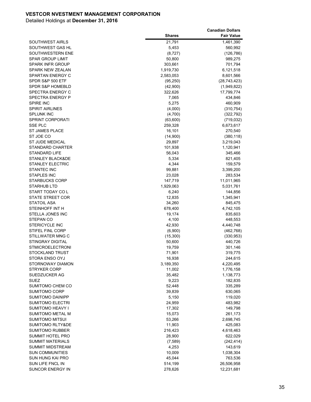|                             |               | <b>Canadian Dollars</b> |
|-----------------------------|---------------|-------------------------|
|                             | <b>Shares</b> | <b>Fair Value</b>       |
| <b>SOUTHWEST AIRLS</b>      | 21,791        | 1,461,390               |
| SOUTHWEST GAS HL            | 5,453         | 560,992                 |
| SOUTHWESTERN ENE            | (8,727)       | (126, 786)              |
| <b>SPAR GROUP LIMIT</b>     | 50,800        | 989,275                 |
| <b>SPARK INFR GROUP</b>     | 303,661       | 701,794                 |
| <b>SPARK NEW ZEALAN</b>     | 1,919,730     | 6,121,518               |
| SPARTAN ENERGY C            | 2,583,053     | 8,601,566               |
| SPDR S&P 500 ETF            | (95, 250)     | (28, 743, 423)          |
| <b>SPDR S&amp;P HOMEBLD</b> | (42,900)      | (1,949,822)             |
| <b>SPECTRA ENERGY C</b>     | 322,626       | 17,799,774              |
| <b>SPECTRA ENERGY P</b>     | 7,065         | 434,846                 |
| <b>SPIRE INC</b>            | 5,275         | 460,909                 |
| <b>SPIRIT AIRLINES</b>      | (4,000)       | (310, 754)              |
| <b>SPLUNK INC</b>           | (4,700)       | (322, 792)              |
| <b>SPRINT CORPORATI</b>     | (63,600)      | (719, 032)              |
| <b>SSE PLC</b>              | 259,328       | 6,673,617               |
| <b>ST JAMES PLACE</b>       | 16,101        | 270,540                 |
| ST JOE CO                   | (14,900)      | (380, 118)              |
| <b>ST JUDE MEDICAL</b>      | 29,897        | 3,219,043               |
| <b>STANDARD CHARTER</b>     | 101,938       | 1,120,941               |
| <b>STANDARD LIFE</b>        | 56,043        | 345,466                 |
| <b>STANLEY BLACK&amp;DE</b> | 5,334         | 821,405                 |
| <b>STANLEY ELECTRIC</b>     | 4,344         | 159,579                 |
| <b>STANTEC INC</b>          | 99,881        | 3,399,200               |
| <b>STAPLES INC</b>          | 23,028        | 283,534                 |
| <b>STARBUCKS CORP</b>       | 147,719       | 11,011,965              |
| STARHUB LTD                 | 1,929,063     | 5,031,761               |
| START TODAY COL             | 6,240         | 144,856                 |
| <b>STATE STREET COR</b>     | 12,835        | 1,345,941               |
| <b>STATOIL ASA</b>          | 34,260        | 845,475                 |
| STEINHOFF INT H             | 678,400       | 4,742,105               |
| STELLA JONES INC            | 19,174        | 835,603                 |
| STEPAN CO                   | 4,100         | 448,553                 |
| <b>STERICYCLE INC</b>       | 42,930        | 4,440,748               |
| STIFEL FINL CORP            | (6,900)       | (462, 768)              |
| STILLWATER MNG C            | (15, 300)     | (330, 953)              |
| <b>STINGRAY DIGITAL</b>     | 50,600        | 440,726                 |
| <b>STMICROELECTRONI</b>     | 19,759        | 301,146                 |
| STOCKLAND TRUST             | 71,901        | 319,775                 |
| STORA ENSO OYJ              | 16,938        | 244,615                 |
| STORNOWAY DIAMON            | 3,189,350     | 4,220,495               |
| <b>STRYKER CORP</b>         | 11,002        | 1,776,158               |
| SUEDZUCKER AG               | 35,482        | 1,138,773               |
| <b>SUEZ</b>                 | 9,223         | 182,835                 |
| SUMITOMO CHEM CO            | 52,448        | 335,289                 |
| <b>SUMITOMO CORP</b>        | 39,839        | 630,065                 |
| SUMITOMO DAINIPP            | 5,150         | 119,020                 |
| <b>SUMITOMO ELECTRI</b>     | 24,959        | 483,982                 |
| SUMITOMO HEAVY I            | 17,302        | 149,798                 |
| SUMITOMO METAL M            | 15,073        | 261,173                 |
| SUMITOMO MITSUI             | 53,266        | 2,698,745               |
| <b>SUMITOMO RLTY&amp;DE</b> | 11,903        | 425,083                 |
| SUMITOMO RUBBER             | 216,423       | 4,618,463               |
| SUMMIT HOTEL PRO            | 28,900        | 622,029                 |
| <b>SUMMIT MATERIALS</b>     | (7,589)       | (242, 414)              |
| <b>SUMMIT MIDSTREAM</b>     | 4,253         | 143,619                 |
| <b>SUN COMMUNITIES</b>      | 10,009        | 1,038,304               |
| SUN HUNG KAI PRO            | 45,044        | 763,536                 |
| SUN LIFE FNCL IN            | 514,199       | 26,506,958              |
| SUNCOR ENERGY IN            | 278,626       | 12,231,681              |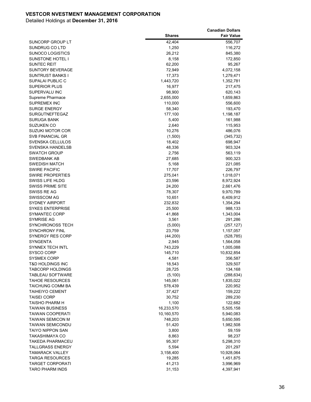|                         |               | <b>Canadian Dollars</b> |
|-------------------------|---------------|-------------------------|
|                         | <b>Shares</b> | <b>Fair Value</b>       |
| SUNCORP GROUP LT        | 42,404        | 556,707                 |
| SUNDRUG CO LTD          | 1,250         | 116,272                 |
| <b>SUNOCO LOGISTICS</b> | 26,212        | 845,380                 |
| <b>SUNSTONE HOTEL I</b> | 8,158         | 172,850                 |
| <b>SUNTEC REIT</b>      | 62,200        | 95,267                  |
| <b>SUNTORY BEVERAGE</b> | 72,949        | 4,072,158               |
| <b>SUNTRUST BANKS I</b> | 17,373        | 1,279,471               |
| SUPALAI PUBLIC C        | 1,443,720     | 1,352,781               |
| <b>SUPERIOR PLUS</b>    | 16,977        | 217,475                 |
| SUPERVALU INC           | 98,900        | 620,143                 |
| Supreme Pharmace        | 2,655,000     | 1,659,863               |
| <b>SUPREMEX INC</b>     | 110,000       | 556,600                 |
| <b>SURGE ENERGY</b>     | 58,340        | 193,470                 |
| <b>SURGUTNEFTEGAZ</b>   | 177,100       | 1,198,187               |
| <b>SURUGA BANK</b>      | 5,400         | 161,988                 |
| <b>SUZUKEN CO</b>       | 2,640         | 115,953                 |
| SUZUKI MOTOR COR        | 10,276        | 486,076                 |
| SVB FINANCIAL GR        | (1,500)       | (345, 732)              |
| SVENSKA CELLULOS        | 18,402        | 698,947                 |
| SVENSKA HANDELSB        | 48,336        | 903,324                 |
| <b>SWATCH GROUP</b>     | 2,756         | 563,119                 |
| SWEDBANK AB             | 27,685        | 900,323                 |
| <b>SWEDISH MATCH</b>    | 5,168         | 221,085                 |
| <b>SWIRE PACIFIC</b>    | 17,707        | 226,797                 |
| <b>SWIRE PROPERTIES</b> | 275,041       | 1,018,071               |
| SWISS LIFE HLDG         | 23,596        | 8,972,924               |
| <b>SWISS PRIME SITE</b> | 24,200        | 2,661,476               |
| SWISS RE AG             | 78,307        | 9,970,789               |
| <b>SWISSCOM AG</b>      | 10,651        | 6,409,912               |
| <b>SYDNEY AIRPORT</b>   | 232,832       | 1,354,294               |
| <b>SYKES ENTERPRISE</b> | 25,500        | 988,133                 |
| <b>SYMANTEC CORP</b>    | 41,868        | 1,343,004               |
| SYMRISE AG              | 3,561         | 291,286                 |
| <b>SYNCHRONOSS TECH</b> | (5,000)       | (257, 127)              |
| <b>SYNCHRONY FINL</b>   | 23,759        | 1,157,057               |
| <b>SYNERGY RES CORP</b> | (44, 200)     | (528, 785)              |
| <b>SYNGENTA</b>         | 2,945         | 1,564,058               |
| <b>SYNNEX TECH INTL</b> | 743,229       | 1,005,088               |
| SYSCO CORP              | 145,710       | 10,832,854              |
| <b>SYSMEX CORP</b>      | 4,581         | 356,587                 |
| T&D HOLDINGS INC        | 18,543        | 329,507                 |
| <b>TABCORP HOLDINGS</b> | 28,725        | 134,168                 |
| <b>TABLEAU SOFTWARE</b> | (5, 100)      | (288, 634)              |
| <b>TAHOE RESOURCES</b>  | 145,061       | 1,835,022               |
| <b>TAICHUNG COMM BA</b> | 578,439       | 220,952                 |
| <b>TAIHEIYO CEMENT</b>  | 37,427        | 159,222                 |
| <b>TAISEI CORP</b>      | 30,752        | 289,230                 |
| TAISHO PHARM H          | 1,100         | 122,682                 |
| <b>TAIWAN BUSINESS</b>  | 16,233,570    | 5,505,158               |
| <b>TAIWAN COOPERATI</b> | 10,160,570    | 5,940,083               |
| <b>TAIWAN SEMICON M</b> | 748,203       | 5,650,595               |
| <b>TAIWAN SEMICONDU</b> | 51,420        | 1,982,508               |
| <b>TAIYO NIPPON SAN</b> | 3,800         | 59,159                  |
| TAKASHIMAYA CO          | 8,863         | 98,237                  |
| TAKEDA PHARMACEU        | 95,307        | 5,298,310               |
| <b>TALLGRASS ENERGY</b> | 5,594         | 201,297                 |
| <b>TAMARACK VALLEY</b>  | 3,158,400     | 10,928,064              |
| <b>TARGA RESOURCES</b>  | 19,285        | 1,451,875               |
| <b>TARGET CORPORATI</b> | 41,213        | 3,996,969               |
| <b>TARO PHARM INDS</b>  | 31,153        | 4,397,941               |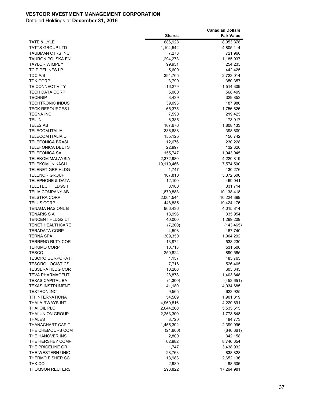|                             |               | <b>Canadian Dollars</b> |
|-----------------------------|---------------|-------------------------|
|                             | <b>Shares</b> | <b>Fair Value</b>       |
| TATE & LYLE                 | 686,928       | 8,053,378               |
| TATTS GROUP LTD             | 1,104,542     | 4,805,114               |
| TAUBMAN CTRS INC            | 7,273         | 721,960                 |
| TAURON POLSKA EN            | 1,294,273     | 1,185,037               |
| <b>TAYLOR WIMPEY</b>        | 99,951        | 254,235                 |
| <b>TC PIPELINES LP</b>      | 5,600         | 442,425                 |
| TDC A/S                     | 394,765       | 2,723,014               |
| <b>TDK CORP</b>             | 3,790         | 350,357                 |
| <b>TE CONNECTIVITY</b>      | 16,279        | 1,514,309               |
| <b>TECH DATA CORP</b>       | 5,000         | 568,499                 |
| <b>TECHNIP</b>              | 3,439         | 329,853                 |
| <b>TECHTRONIC INDUS</b>     | 39,093        | 187,980                 |
| <b>TECK RESOURCES L</b>     | 65,375        | 1,756,626               |
| <b>TEGNA INC</b>            | 7,590         | 219,425                 |
| TEIJIN                      | 6,385         | 173,917                 |
| TELE2 AB                    | 167,676       | 1,808,133               |
| <b>TELECOM ITALIA</b>       | 336,688       | 398,609                 |
| TELECOM ITALIA D            | 155,125       | 150,742                 |
| <b>TELEFONICA BRASI</b>     | 12,676        | 230,228                 |
| <b>TELEFONICA DEUTS</b>     | 22,997        | 132,326                 |
| <b>TELEFONICA SA</b>        | 155,747       | 1,943,045               |
| <b>TELEKOM MALAYSIA</b>     | 2,372,980     | 4,220,819               |
| TELEKOMUNIKASI I            | 19,119,466    | 7,574,500               |
| <b>TELENET GRP HLDG</b>     | 1,747         | 130,276                 |
| <b>TELENOR GROUP</b>        | 167,810       | 3,372,606               |
| <b>TELEPHONE &amp; DATA</b> | 12,100        | 469,041                 |
| <b>TELETECH HLDGS I</b>     | 8,100         | 331,714                 |
| TELIA COMPANY AB            | 1,870,883     | 10,138,418              |
| <b>TELSTRA CORP</b>         | 2,064,544     | 10,224,399              |
| <b>TELUS CORP</b>           | 448,885       | 19,424,176              |
| TENAGA NASIONL B            | 966,436       | 4,015,814               |
| TENARIS S A                 | 13,996        | 335,954                 |
| TENCENT HLDGS LT            | 40,000        | 1,299,209               |
| <b>TENET HEALTHCARE</b>     | (7,200)       | (143, 465)              |
| <b>TERADATA CORP</b>        | 4,598         | 167,740                 |
| <b>TERNA SPA</b>            | 309,350       | 1,904,292               |
| <b>TERRENO RLTY COR</b>     | 13,972        | 538,230                 |
| <b>TERUMO CORP</b>          | 10,713        | 531,506                 |
| <b>TESCO</b>                | 259,824       | 890,585                 |
| <b>TESORO CORPORATI</b>     | 4,137         | 485,763                 |
| <b>TESORO LOGISTICS</b>     | 7,716         | 526,405                 |
| TESSERA HLDG COR            | 10,200        | 605,343                 |
| <b>TEVA PHARMACEUTI</b>     | 28,878        | 1,403,848               |
| TEXAS CAPITAL BA            | (4,300)       | (452, 651)              |
| <b>TEXAS INSTRUMENT</b>     | 41,180        | 4,034,685               |
| <b>TEXTRON INC</b>          | 9,565         | 623,925                 |
| TFI INTERNATIONA            | 54,509        | 1,901,819               |
| THAI AIRWAYS INT            | 4,960,816     | 4,220,691               |
| THAI OIL PLC                | 2,044,200     | 5,535,615               |
| THAI UNION GROUP            | 2,253,300     | 1,773,548               |
| <b>THALES</b>               | 3,720         | 484,773                 |
| THANACHART CAPIT            | 1,455,302     | 2,399,995               |
| THE CHEMOURS COM            | (21,600)      | (640, 661)              |
| THE HANOVER INS             | 2,800         | 342,158                 |
| THE HERSHEY COMP            | 62,982        | 8,746,654               |
| THE PRICELINE GR            | 1,747         | 3,438,932               |
| THE WESTERN UNIO            | 28,763        | 838,828                 |
| THERMO FISHER SC            | 13,983        | 2,652,136               |
| THK CO                      | 2,980         | 88,606                  |
| <b>THOMSON REUTERS</b>      | 293,822       | 17,264,981              |
|                             |               |                         |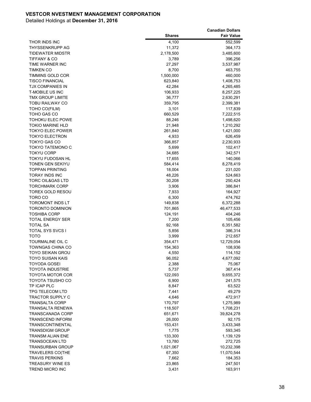|                                            |                   | <b>Canadian Dollars</b> |
|--------------------------------------------|-------------------|-------------------------|
|                                            | <b>Shares</b>     | <b>Fair Value</b>       |
| THOR INDS INC                              | 4,100             | 552,599                 |
| THYSSENKRUPP AG                            | 11,372            | 364,173                 |
| TIDEWATER MIDSTR                           | 2,178,500         | 3,485,600               |
| <b>TIFFANY &amp; CO</b>                    | 3,789             | 396,256                 |
| TIME WARNER INC                            | 27,297            | 3,537,987               |
| <b>TIMKEN CO</b>                           | 8,700             | 463,755                 |
| TIMMINS GOLD COR                           | 1,500,000         | 460,000                 |
| <b>TISCO FINANCIAL</b>                     | 623,840           | 1,408,753               |
| TJX COMPANIES IN                           | 42,284            | 4,265,485               |
| <b>T-MOBILE US INC</b>                     | 106,933           | 8,257,225               |
| TMX GROUP LIMITE                           | 36,777            | 2,630,291               |
| TOBU RAILWAY CO                            | 359,795           | 2,399,381               |
| TOHO CO(FILM)                              | 3,101             | 117,839                 |
| TOHO GAS CO                                | 660,529           | 7,222,515               |
| TOHOKU ELEC POWE                           | 88,246            | 1,498,620               |
| <b>TOKIO MARINE HLD</b>                    | 21,948            | 1,210,292               |
| <b>TOKYO ELEC POWER</b>                    | 261,840           | 1,421,000               |
| <b>TOKYO ELECTRON</b>                      | 4,933             | 626,459                 |
| TOKYO GAS CO                               | 366,857           | 2,230,933               |
| TOKYO TATEMONO C                           | 5,699             | 102,417                 |
| <b>TOKYU CORP</b>                          | 34,685            | 342,571                 |
| TOKYU FUDOSAN HL                           | 17,655            | 140,066                 |
| TONEN GEN SEKIYU<br><b>TOPPAN PRINTING</b> | 584,414<br>18,004 | 8,278,419<br>231,020    |
| <b>TORAY INDS INC</b>                      | 48,226            | 524,663                 |
| <b>TORC OIL&amp;GAS LTD</b>                | 30,208            | 250,424                 |
| <b>TORCHMARK CORP</b>                      | 3,906             | 386,841                 |
| TOREX GOLD RESOU                           | 7,933             | 164,927                 |
| TORO CO                                    | 6,300             | 474,762                 |
| TOROMONT INDS LT                           | 149,838           | 6,372,288               |
| <b>TORONTO DOMINION</b>                    | 701,865           | 46,477,533              |
| <b>TOSHIBA CORP</b>                        | 124,191           | 404,246                 |
| TOTAL ENERGY SER                           | 7,200             | 105,456                 |
| <b>TOTAL SA</b>                            | 92,168            | 6,351,582               |
| TOTAL SYS SVCS I                           | 5,856             | 386,314                 |
| <b>TOTO</b>                                | 3,999             | 212,657                 |
| <b>TOURMALINE OIL C</b>                    | 354,471           | 12,729,054              |
| TOWNGAS CHINA CO                           | 154,363           | 108,936                 |
| <b>TOYO SEIKAN GROU</b>                    | 4,550             | 114,152                 |
| <b>TOYO SUISAN KAIS</b>                    | 96,052            | 4,677,092               |
| <b>TOYODA GOSEI</b>                        | 2,388             | 75,067                  |
| <b>TOYOTA INDUSTRIE</b>                    | 5,737             | 367,414                 |
| <b>TOYOTA MOTOR COR</b>                    | 122,093           | 9,655,372               |
| TOYOTA TSUSHO CO                           | 6,900             | 241,575                 |
| TP ICAP PLC                                | 8,847             | 63,522                  |
| TPG TELECOM LTD                            | 7,441             | 49,279                  |
| <b>TRACTOR SUPPLY C</b>                    | 4,646             | 472,917                 |
| <b>TRANSALTA CORP</b>                      | 170,797           | 1,275,989               |
| TRANSALTA RENEWA                           | 118,507           | 1,708,231               |
| TRANSCANADA CORP                           | 651,671           | 39,824,278              |
| <b>TRANSCEND INFORM</b>                    | 26,000            | 92,175                  |
| TRANSCONTINENTAL                           | 153,431           | 3,433,348               |
| <b>TRANSDIGM GROUP</b>                     | 1,775             | 593,345                 |
| TRANSM ALIAN ENE                           | 133,300           | 1,139,129               |
| <b>TRANSOCEAN LTD</b>                      | 13,780            | 272,725                 |
| <b>TRANSURBAN GROUP</b>                    | 1,021,067         | 10,232,398              |
| <b>TRAVELERS CO(THE</b>                    | 67,350            | 11,070,544              |
| <b>TRAVIS PERKINS</b>                      | 7,662             | 184,353                 |
| <b>TREASURY WINE ES</b>                    | 23,865            | 247,501                 |
| <b>TREND MICRO INC</b>                     | 3,431             | 163,911                 |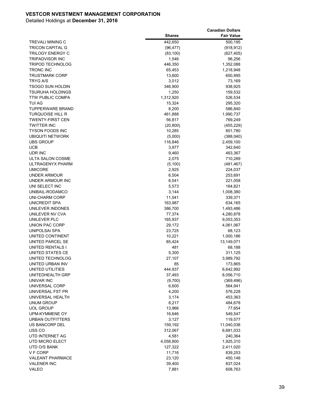|                                |                    | <b>Canadian Dollars</b> |
|--------------------------------|--------------------|-------------------------|
|                                | <b>Shares</b>      | <b>Fair Value</b>       |
| <b>TREVALI MINING C</b>        | 442,650            | 500,195                 |
| <b>TRICON CAPITAL G</b>        | (96, 477)          | (918, 912)              |
| <b>TRILOGY ENERGY C</b>        | (83, 100)          | (627, 405)              |
| <b>TRIPADVISOR INC</b>         | 1,546              | 96,256                  |
| <b>TRIPOD TECHNOLOG</b>        | 446,350            | 1,352,088               |
| <b>TRONC INC</b>               | 65,453             | 1,218,948               |
| <b>TRUSTMARK CORP</b>          | 13,600             | 650,995                 |
| TRYG A/S                       | 3,012              | 73,169                  |
| TSOGO SUN HOLDIN               | 346,900            | 938,925                 |
| <b>TSURUHA HOLDINGS</b>        | 1,250              | 159,532                 |
| <b>TTW PUBLIC COMPA</b>        | 1,312,920          | 526,534                 |
| TUI AG                         | 15,324             | 295,320                 |
| <b>TUPPERWARE BRAND</b>        | 8,200              | 586,840                 |
| <b>TURQUOISE HILL R</b>        | 461,888            | 1,990,737               |
| <b>TWENTY-FIRST CEN</b>        | 56,817             | 769,249                 |
| <b>TWITTER INC</b>             | (20, 800)          | (455, 229)              |
| <b>TYSON FOODS INC</b>         | 10,285             | 851,780                 |
| <b>UBIQUITI NETWORK</b>        | (5,000)            | (388, 040)              |
| <b>UBS GROUP</b>               | 116,846            | 2,459,100               |
| UCB                            | 3,977              | 342,640                 |
| UDR INC                        | 9,460              | 463,367                 |
| ULTA SALON COSME               | 2,075              | 710,289                 |
| ULTRAGENYX PHARM               | (5, 100)           | (481, 467)              |
| <b>UMICORE</b>                 | 2,925              | 224,037                 |
| UNDER ARMOUR                   | 6,504              | 253,691                 |
| UNDER ARMOUR INC               | 6,541              | 221,058                 |
| UNI SELECT INC                 | 5,573              | 164,821                 |
| UNIBAIL-RODAMCO                | 3,144              | 1,008,380               |
| UNI-CHARM CORP                 | 11,541             | 339,371                 |
| UNICREDIT SPA                  | 163,987            | 634,165                 |
| UNILEVER INDONES               | 386,700            | 1,493,486               |
| UNILEVER NV CVA                | 77,374             | 4,280,878               |
| UNILEVER PLC                   | 165,937            | 9,053,353               |
| UNION PAC CORP                 | 29,172             | 4,061,067               |
| <b>UNIPOLSAI SPA</b>           | 23,725             | 68,123                  |
| UNITED CONTINENT               | 10,221             | 1,000,186               |
| UNITED PARCEL SE               | 85,424             | 13,149,071              |
| UNITED RENTALS I               | 481                | 68,188                  |
| UNITED STATES CE               | 5,300              | 311,125                 |
| UNITED TECHNOLOG               | 27,107             | 3,989,792               |
| UNITED URBAN INV               | 85                 | 173,865                 |
| UNITED UTILITIES               | 444,937            | 6,642,992               |
| UNITEDHEALTH GRP               | 37,493             | 8,056,710               |
| UNIVAR INC                     | (9,700)            | (369, 496)              |
| UNIVERSAL CORP                 | 6,600              | 564,941                 |
| UNIVERSAL FST PR               | 4,200              | 576,228                 |
| UNIVERSAL HEALTH<br>UNUM GROUP | 3,174              | 453,363                 |
| UOL GROUP                      | 8,217<br>13,966    | 484,678<br>77,654       |
| UPM-KYMMENE OY                 | 16,646             | 549,547                 |
| <b>URBAN OUTFITTERS</b>        | 3,127              | 119,577                 |
| US BANCORP DEL                 | 159,192            |                         |
| USS <sub>co</sub>              | 312,067            | 11,040,038<br>6,681,033 |
| UTD INTERNET AG                |                    |                         |
| UTD MICRO ELECT                | 4,581<br>4,058,800 | 240,364<br>1,925,310    |
| UTD O/S BANK                   | 127,322            | 2,411,020               |
| V F CORP                       | 11,716             | 839,253                 |
| VALEANT PHARMACE               | 23,120             | 450,146                 |
| <b>VALENER INC</b>             | 39,400             | 837,024                 |
| VALEO                          | 7,881              | 608,763                 |
|                                |                    |                         |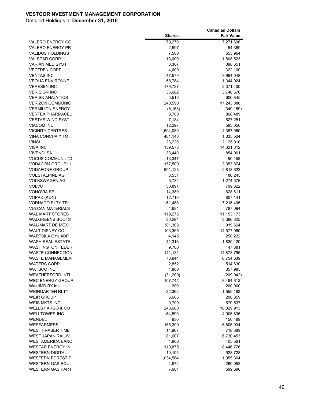|                                           |                   | <b>Canadian Dollars</b> |
|-------------------------------------------|-------------------|-------------------------|
|                                           | <b>Shares</b>     | <b>Fair Value</b>       |
| <b>VALERO ENERGY CO</b>                   | 79,270            | 7,271,696               |
| <b>VALERO ENERGY PR</b>                   | 2,597             | 154,369                 |
| <b>VALIDUS HOLDINGS</b>                   | 7,500             | 553,964                 |
| <b>VALSPAR CORP</b>                       | 13,000            | 1,808,523               |
| VARIAN MED SYS I                          | 3,307             | 398,651                 |
| <b>VECTREN CORP</b>                       | 4,600             | 322,100                 |
| <b>VENTAS INC</b>                         | 47,579            | 3,994,048               |
| <b>VEOLIA ENVIRONNE</b>                   | 58,784            | 1,344,924               |
| <b>VERESEN INC</b>                        | 179,727           | 2,371,400               |
| <b>VERISIGN INC</b>                       | 36,682            | 3,746,670               |
| <b>VERISK ANALYTICS</b>                   | 5,513             | 600,845                 |
| <b>VERIZON COMMUNIC</b>                   | 240,590           | 17,243,886              |
| <b>VERMILION ENERGY</b>                   | (6, 158)          | (349, 189)              |
| <b>VERTEX PHARMACEU</b>                   | 8,780             | 868,489                 |
| <b>VESTAS WIND SYST</b>                   | 7,184             | 627,281                 |
| <b>VIACOM INC</b>                         | 12,297            | 583,050                 |
| <b>VICINITY CENTRES</b>                   | 1,504,089         | 4,367,050               |
| VINA CONCHA Y TO                          | 481,143           | 1,035,504               |
| <b>VINCI</b>                              | 23,220            | 2,125,010               |
| <b>VISA INC</b>                           | 139,573           | 14,621,312              |
| VIVENDI SA                                | 33,440            | 854,001                 |
| <b>VOCUS COMMUN LTD</b>                   | 13,347            | 50,158                  |
| <b>VODACOM GROUP LI</b>                   | 157,500           | 2,353,874               |
| <b>VODAFONE GROUP</b>                     | 851,123           | 2,818,622               |
| <b>VOESTALPINE AG</b>                     | 3,531             | 186,245                 |
| VOLKSWAGEN AG                             | 6,734             | 1,274,576               |
| VOLVO                                     | 50,891            | 799,322                 |
| <b>VONOVIA SE</b>                         | 14,380            | 628,611                 |
| VOPAK (KON)                               | 12,716            | 807,141                 |
| <b>VORNADO RLTY TR</b>                    | 51,488            | 7,215,405               |
| <b>VULCAN MATERIALS</b>                   | 4,684             | 787,094                 |
| WAL MART STORES                           | 119,276           | 11, 153, 173            |
| <b>WALGREENS BOOTS</b>                    | 30,294            | 3,366,325               |
| WAL-MART DE MEXI                          | 381,308           | 919,624                 |
| WALT DISNEY CO                            | 103,365           | 14,577,950              |
| <b>WARTSILA OYJ ABP</b>                   | 4,145             | 250,232                 |
| WASH REAL ESTATE                          | 41,316            | 1,830,120               |
| <b>WASHINGTON FEDER</b>                   | 9,700             | 447,381                 |
| <b>WASTE CONNECTION</b>                   | 141,131           | 14,873,795              |
| WASTE MANAGEMENT                          | 70,944            | 6,754,639               |
| <b>WATERS CORP</b>                        | 2,852             | 514,630                 |
| <b>WATSCO INC</b>                         | 1,800             | 357,985                 |
| <b>WEATHERFORD INTL</b>                   | (31,200)          | (209, 042)              |
| <b>WEC ENERGY GROUP</b><br>WeedMD RX Inc. | 107,742           | 8,484,613               |
|                                           | 200               | 200,000                 |
| <b>WEINGARTEN RLTY</b>                    | 32,362            | 1,555,163               |
| WEIR GROUP<br>WEIS MKTS INC               | 6,605             | 206,859                 |
| <b>WELLS FARGO &amp; CO</b>               | 9,700             | 870,537<br>18,029,913   |
| <b>WELLTOWER INC</b>                      | 243,660<br>54,590 | 4,905,835               |
| WENDEL                                    | 930               | 150,489                 |
| WESFARMERS                                | 166,300           |                         |
| <b>WEST FRASER TIMB</b>                   | 14,907            | 6,805,034<br>718,389    |
| WEST JAPAN RAILW                          |                   |                         |
| <b>WESTAMERICA BANC</b>                   | 81,607            | 6,730,453               |
| <b>WESTAR ENERGY IN</b>                   | 4,800             | 405,581                 |
| <b>WESTERN DIGITAL</b>                    | 110,875           | 8,446,776               |
|                                           | 10,105            | 928,728                 |
| WESTERN FOREST P                          | 1,034,584         | 1,955,364               |
| WESTERN GAS EQUI                          | 4,574             | 260,093                 |
| <b>WESTERN GAS PART</b>                   | 7,601             | 599,696                 |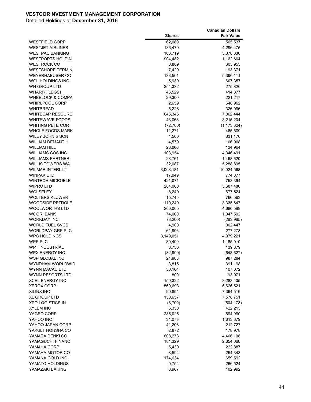|                             |                 | <b>Canadian Dollars</b> |
|-----------------------------|-----------------|-------------------------|
|                             | <b>Shares</b>   | <b>Fair Value</b>       |
| WESTFIELD CORP              | 62,089          | 565,537                 |
| <b>WESTJET AIRLINES</b>     | 186,479         | 4,296,476               |
| <b>WESTPAC BANKING</b>      | 106,719         | 3,378,336               |
| <b>WESTPORTS HOLDIN</b>     | 904,482         | 1,162,664               |
| <b>WESTROCK CO</b>          | 8,889           | 605,953                 |
| <b>WESTSHORE TERMIN</b>     | 7,420           | 193,371                 |
| <b>WEYERHAEUSER CO</b>      | 133,561         | 5,396,111               |
| WGL HOLDINGS INC            | 5,930           | 607,357                 |
| WH GROUP LTD                | 254,332         | 275,826                 |
| <b>WHARF(HLDGS)</b>         | 46,529          | 414,877                 |
| <b>WHEELOCK &amp; COMPA</b> | 29,300          | 221,217                 |
| <b>WHIRLPOOL CORP</b>       | 2,659           | 648,962                 |
| WHITBREAD                   | 5,226           | 326,996                 |
| <b>WHITECAP RESOURC</b>     | 645,346         | 7,862,444               |
| <b>WHITEWAVE FOODS</b>      | 43,068          | 3,215,204               |
| WHITING PETE COR            | (72, 700)       | (1, 173, 324)           |
| <b>WHOLE FOODS MARK</b>     | 11,271          | 465,509                 |
| WILEY JOHN & SON            | 4,500           | 331,170                 |
| WILLIAM DEMANT H            | 4,579           | 106,968                 |
| WILLIAM HILL                | 28,066          | 134,964                 |
| <b>WILLIAMS COS INC</b>     | 103,954         | 4,346,491               |
| <b>WILLIAMS PARTNER</b>     | 28,761          | 1,468,620               |
| WILLIS TOWERS WA            | 32,087          | 5,288,895               |
| <b>WILMAR INTERL LT</b>     | 3,008,181       | 10,024,568              |
| <b>WINPAK LTD</b>           | 17,049          | 774,877                 |
| <b>WINTECH MICROELE</b>     | 421,071         | 753,394                 |
| WIPRO LTD                   | 284,060         | 3,687,486               |
| WOLSELEY                    | 8,240           | 677,524                 |
| <b>WOLTERS KLUWER</b>       | 15,745          | 766,563                 |
| <b>WOODSIDE PETROLE</b>     | 110,240         | 3,335,647               |
| WOOLWORTHS LTD              | 200,005         | 4,680,598               |
| WOORI BANK                  | 74,000          | 1,047,592               |
| WORKDAY INC                 | (3,200)         | (283, 965)              |
| <b>WORLD FUEL SVCS</b>      | 4,900           | 302,447                 |
| WORLDPAY GRP PLC            | 61,996          | 277,273                 |
| <b>WPG HOLDINGS</b>         | 3,149,051       | 4,979,221               |
| WPP PLC                     | 39,409          | 1,185,910               |
| <b>WPT INDUSTRIAL</b>       | 8,730           | 139,879                 |
| <b>WPX ENERGY INC</b>       | (32,900)        | (643, 627)              |
| WSP GLOBAL INC              | 21,908          | 987,284                 |
| <b>WYNDHAM WORLDWID</b>     | 3,815           | 391,198                 |
| WYNN MACAU LTD              | 50,164          | 107,072                 |
| WYNN RESORTS LTD            | 809             | 93,971                  |
| <b>XCEL ENERGY INC</b>      | 150,322         | 8,283,405               |
| <b>XEROX CORP</b>           | 560,693         | 6,626,521               |
| XILINX INC                  | 90,854          | 7,364,516               |
| XL GROUP LTD                | 150,657         | 7,578,751               |
| <b>XPO LOGISTICS IN</b>     | (8,700)         | (504, 173)              |
| XYLEM INC                   | 6,350           | 422,215                 |
| YAGEO CORP                  | 285,025         | 694,990                 |
| YAHOO INC                   | 31,073          | 1,613,379               |
| YAHOO JAPAN CORP            |                 | 212,727                 |
| YAKULT HONSHA CO            | 41,206<br>2,872 | 178,978                 |
|                             | 608,273         |                         |
| YAMADA DENKI CO             |                 | 4,406,108               |
| YAMAGUCHI FINANC            | 181,329         | 2,654,066               |
| YAMAHA CORP                 | 5,430           | 222,887                 |
| YAMAHA MOTOR CO             | 8,594           | 254,343                 |
| YAMANA GOLD INC             | 174,634         | 659,592                 |
| YAMATO HOLDINGS             | 9,754           | 266,524                 |
| YAMAZAKI BAKING             | 3,967           | 102,992                 |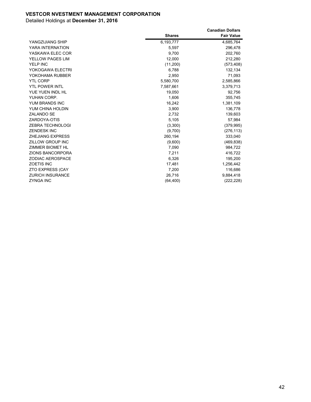|                         |               | <b>Canadian Dollars</b> |
|-------------------------|---------------|-------------------------|
|                         | <b>Shares</b> | <b>Fair Value</b>       |
| YANGZIJIANG SHIP        | 6,193,777     | 4,685,764               |
| YARA INTERNATION        | 5,597         | 296,478                 |
| YASKAWA ELEC COR        | 9,700         | 202,760                 |
| YELLOW PAGES LIM        | 12,000        | 212,280                 |
| YELP INC                | (11,200)      | (573, 408)              |
| YOKOGAWA ELECTRI        | 6,788         | 132,134                 |
| YOKOHAMA RUBBER         | 2,950         | 71,093                  |
| <b>YTL CORP</b>         | 5,580,700     | 2,585,866               |
| <b>YTL POWER INTL</b>   | 7,587,661     | 3,379,713               |
| YUE YUEN INDL HL        | 19.050        | 92.756                  |
| YUHAN CORP.             | 1,606         | 355,745                 |
| YUM BRANDS INC          | 16,242        | 1,381,109               |
| YUM CHINA HOLDIN        | 3,900         | 136,778                 |
| <b>ZALANDO SE</b>       | 2.732         | 139,603                 |
| ZARDOYA-OTIS            | 5,105         | 57,984                  |
| ZEBRA TECHNOLOGI        | (3,300)       | (379, 995)              |
| <b>ZENDESK INC</b>      | (9,700)       | (276, 113)              |
| <b>ZHEJIANG EXPRESS</b> | 260,194       | 333,040                 |
| ZILLOW GROUP INC        | (9,600)       | (469, 838)              |
| ZIMMER BIOMET HL        | 7,090         | 984,722                 |
| <b>ZIONS BANCORPORA</b> | 7,211         | 416,722                 |
| <b>ZODIAC AEROSPACE</b> | 6,326         | 195,200                 |
| <b>ZOETIS INC</b>       | 17,481        | 1,256,442               |
| <b>ZTO EXPRESS (CAY</b> | 7,200         | 116,686                 |
| <b>ZURICH INSURANCE</b> | 26,716        | 9,884,418               |
| <b>ZYNGA INC</b>        | (64, 400)     | (222, 228)              |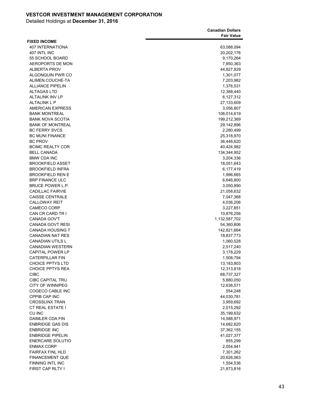|                         | <b>Canadian Dollars</b> |
|-------------------------|-------------------------|
|                         | <b>Fair Value</b>       |
| <b>FIXED INCOME</b>     |                         |
| <b>407 INTERNATIONA</b> | 63,088,094              |
| 407 INTL INC            | 20,202,176              |
| 55 SCHOOL BOARD         | 9,170,264               |
| <b>AEROPORTS DE MON</b> | 7,850,363               |
| ALBERTA PROV            | 44,827,829              |
| ALGONQUIN PWR CO        | 1,301,077               |
| ALIMEN.COUCHE-TA        | 7,203,982               |
| <b>ALLIANCE PIPELIN</b> | 1,376,531               |
| <b>ALTAGAS LTD</b>      | 12,388,440              |
| <b>ALTALINK INV LP</b>  |                         |
| <b>ALTALINK L P</b>     | 6,127,312               |
|                         | 27,133,609              |
| <b>AMERICAN EXPRESS</b> | 3,056,807               |
| <b>BANK MONTREAL</b>    | 108,014,619             |
| <b>BANK NOVA SCOTIA</b> | 199,212,369             |
| <b>BANK OF MONTREAL</b> | 29,142,896              |
| <b>BC FERRY SVCS</b>    | 2,280,499               |
| <b>BC MUNI FINANCE</b>  | 25,318,970              |
| <b>BC PROV</b>          | 36,448,620              |
| <b>BCIMC REALTY COR</b> | 40,424,982              |
| <b>BELL CANADA</b>      | 134,344,952             |
| <b>BMW CDA INC</b>      | 3,204,336               |
| <b>BROOKFIELD ASSET</b> | 18,051,643              |
| <b>BROOKFIELD INFRA</b> | 6,177,419               |
| <b>BROOKFIELD REN E</b> | 1,996,665               |
| <b>BRP FINANCE ULC</b>  | 6,646,800               |
| BRUCE POWER L.P.        | 3,050,890               |
| <b>CADILLAC FAIRVIE</b> | 21,058,632              |
| <b>CAISSE CENTRALE</b>  | 7,047,368               |
| <b>CALLOWAY REIT</b>    | 4,036,206               |
| <b>CAMECO CORP</b>      | 3,227,851               |
| CAN CR CARD TR I        | 10,876,256              |
| CANADA GOV'T            | 1,132,587,702           |
| <b>CANADA GOVT RESI</b> | 54,360,806              |
| <b>CANADA HOUSING T</b> | 142,821,664             |
| <b>CANADIAN NAT RES</b> | 18,837,773              |
| <b>CANADIAN UTILS L</b> | 1,060,528               |
| <b>CANADIAN WESTERN</b> | 2,517,240               |
| <b>CAPITAL POWER LP</b> | 3,178,229               |
| <b>CATERPILLAR FIN</b>  | 1,508,794               |
| <b>CHOICE PPTYS LTD</b> | 13,183,803              |
| <b>CHOICE PPTYS REA</b> | 12,313,818              |
| <b>CIBC</b>             | 68,737,327              |
| <b>CIBC CAPITAL TRU</b> | 5,880,050               |
| <b>CITY OF WINNIPEG</b> | 12,638,571              |
| COGECO CABLE INC        | 554,248                 |
| <b>CPPIB CAP INC</b>    | 44,030,781              |
| <b>CROSSLINX TRAN</b>   |                         |
| <b>CT REAL ESTATE I</b> | 3,959,692               |
|                         | 2,015,292               |
| CU INC                  | 35,199,632              |
| <b>DAIMLER CDA FIN</b>  | 14,588,971              |
| <b>ENBRIDGE GAS DIS</b> | 14,682,620              |
| <b>ENBRIDGE INC</b>     | 37,362,155              |
| <b>ENBRIDGE PIPELIN</b> | 41,027,377              |
| <b>ENERCARE SOLUTIO</b> | 855,299                 |
| <b>ENMAX CORP</b>       | 2,054,941               |
| FAIRFAX FINL HLD        | 7,301,262               |
| <b>FINANCEMENT QUE</b>  | 20,626,063              |
| FINNING INTL INC        | 1,554,536               |
| FIRST CAP RLTY I        | 21,873,816              |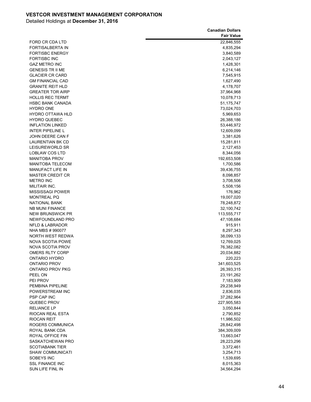|                                             | <b>Canadian Dollars</b> |
|---------------------------------------------|-------------------------|
|                                             | <b>Fair Value</b>       |
| FORD CR CDA LTD                             | 22,846,555              |
| FORTISALBERTA IN                            | 4,835,294               |
| <b>FORTISBC ENERGY</b>                      | 3,840,589               |
| <b>FORTISBC INC</b>                         | 2,043,127               |
| <b>GAZ METRO INC</b>                        | 1,428,301               |
| <b>GENESIS TR II ME</b>                     | 6,214,146               |
| <b>GLACIER CR CARD</b>                      | 7,545,915               |
| <b>GM FINANCIAL CAD</b>                     | 1,627,490               |
| <b>GRANITE REIT HLD</b>                     | 4,178,707               |
| <b>GREATER TOR AIRP</b>                     | 37,964,968              |
| <b>HOLLIS REC TERMT</b>                     | 10,078,713              |
| <b>HSBC BANK CANADA</b>                     | 51,175,747              |
| <b>HYDRO ONE</b>                            |                         |
| <b>HYDRO OTTAWA HLD</b>                     | 73,024,703              |
| <b>HYDRO QUEBEC</b>                         | 5,969,653               |
| <b>INFLATION LINKED</b>                     | 26,388,186              |
| <b>INTER PIPELINE L</b>                     | 53,446,972              |
|                                             | 12,609,099              |
| JOHN DEERE CAN F<br><b>LAURENTIAN BK CD</b> | 3,381,626               |
|                                             | 15,281,811              |
| LEISUREWORLD SR                             | 2,127,453               |
| LOBLAW COS LTD                              | 8,344,056               |
| <b>MANITOBA PROV</b>                        | 192,653,508             |
| <b>MANITOBA TELECOM</b>                     | 1,700,586               |
| <b>MANUFACT LIFE IN</b>                     | 39,436,755              |
| <b>MASTER CREDIT CR</b>                     | 8,098,857               |
| <b>METRO INC</b>                            | 3,708,506               |
| MILITAIR INC.                               | 5,508,156               |
| <b>MISSISSAGI POWER</b>                     | 176,962                 |
| <b>MONTREAL PQ</b>                          | 19,007,020              |
| <b>NATIONAL BANK</b>                        | 78,248,872              |
| NB MUNI FINANCE                             | 32,100,742              |
| <b>NEW BRUNSWICK PR</b>                     | 113,555,717             |
| NEWFOUNDLAND PRO                            | 47,108,684              |
| <b>NFLD &amp; LABRADOR</b>                  | 915,911                 |
| NHA MBS # 990077                            | 8,297,343               |
| NORTH WEST REDWA                            | 38,099,133              |
| <b>NOVA SCOTIA POWE</b>                     | 12,769,025              |
| NOVA SCOTIA PROV                            | 76,382,082              |
| <b>OMERS RLTY CORP</b>                      | 20,034,882              |
| ONTARIO HYDRO                               | 220,223                 |
| ONTARIO PROV                                | 341,603,525             |
| ONTARIO PROV PKG                            | 26,393,315              |
| PEEL ON                                     | 23, 191, 262            |
| PEI PROV                                    | 7,183,909               |
| PEMBINA PIPELINE                            | 29,238,949              |
| POWERSTREAM INC                             | 2,836,035               |
| PSP CAP INC                                 | 37,282,964              |
| QUEBEC PROV                                 | 227,905,583             |
| RELIANCE LP                                 | 3,050,844               |
| RIOCAN REAL ESTA                            | 2,790,852               |
| RIOCAN REIT                                 | 11,986,502              |
| ROGERS COMMUNICA                            | 28,842,498              |
| ROYAL BANK CDA                              | 384,309,009             |
| ROYAL OFFICE FIN                            | 13,663,047              |
| SASKATCHEWAN PRO                            | 28,223,296              |
| SCOTIABANK TIER                             | 3,372,461               |
| <b>SHAW COMMUNICATI</b>                     | 3,254,713               |
| SOBEYS INC                                  | 1,539,695               |
| <b>SSL FINANCE INC</b>                      | 8,015,363               |
| SUN LIFE FINL IN                            | 34,564,294              |